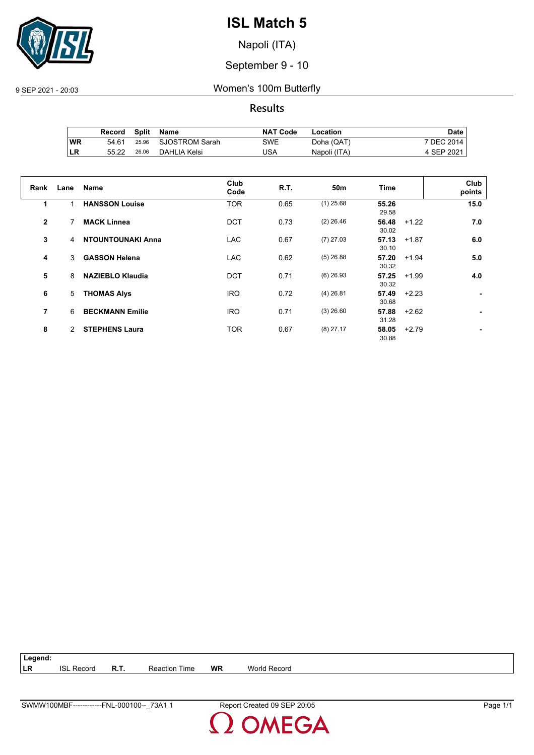

Napoli (ITA)

September 9 - 10

9 SEP 2021 - 20:03 Women's 100m Butterfly

**Results**

|     | Record | Split | Name           | <b>NAT Code</b> | Location     | Date       |
|-----|--------|-------|----------------|-----------------|--------------|------------|
| ∣WR | 54.61  | 25.96 | SJOSTROM Sarah | SWE             | Doha (QAT)   | 7 DEC 2014 |
| ∣LR | 55.22  | 26.06 | DAHLIA Kelsi   | JSA             | Napoli (ITA) | 4 SEP 2021 |

| Rank         | Lane | <b>Name</b>              | Club<br>Code | <b>R.T.</b> | 50m         | <b>Time</b>               | Club<br>points |
|--------------|------|--------------------------|--------------|-------------|-------------|---------------------------|----------------|
| 1            |      | <b>HANSSON Louise</b>    | <b>TOR</b>   | 0.65        | $(1)$ 25.68 | 55.26<br>29.58            | 15.0           |
| $\mathbf{2}$ | 7    | <b>MACK Linnea</b>       | <b>DCT</b>   | 0.73        | $(2)$ 26.46 | 56.48<br>$+1.22$<br>30.02 | 7.0            |
| 3            | 4    | <b>NTOUNTOUNAKI Anna</b> | LAC.         | 0.67        | $(7)$ 27.03 | 57.13<br>$+1.87$<br>30.10 | 6.0            |
| 4            | 3    | <b>GASSON Helena</b>     | <b>LAC</b>   | 0.62        | $(5)$ 26.88 | 57.20<br>$+1.94$<br>30.32 | 5.0            |
| 5            | 8    | <b>NAZIEBLO Klaudia</b>  | <b>DCT</b>   | 0.71        | $(6)$ 26.93 | 57.25<br>$+1.99$<br>30.32 | 4.0            |
| 6            | 5    | <b>THOMAS Alys</b>       | <b>IRO</b>   | 0.72        | $(4)$ 26.81 | 57.49<br>$+2.23$<br>30.68 | ۰.             |
| 7            | 6    | <b>BECKMANN Emilie</b>   | <b>IRO</b>   | 0.71        | $(3)$ 26.60 | 57.88<br>$+2.62$<br>31.28 | ٠              |
| 8            | 2    | <b>STEPHENS Laura</b>    | <b>TOR</b>   | 0.67        | $(8)$ 27.17 | 58.05<br>$+2.79$<br>30.88 | ٠              |

| Legend: |                   |      |                      |           |                     |  |
|---------|-------------------|------|----------------------|-----------|---------------------|--|
| LR      | <b>ISL Record</b> | R.T. | <b>Reaction Time</b> | <b>WR</b> | <b>World Record</b> |  |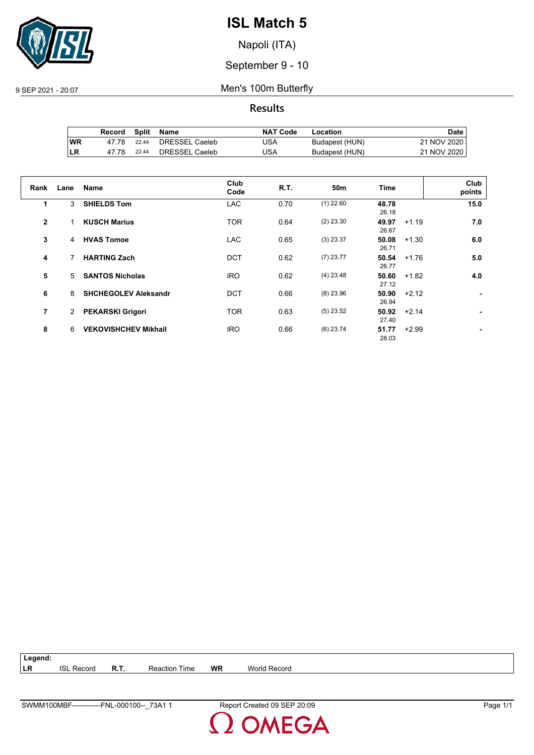

Napoli (ITA)

September 9 - 10

9 SEP 2021 - 20:07 Men's 100m Butterfly

**Results**

|           | Record | <b>Split</b> | Name           | <b>NAT Code</b> | Location       | Date i      |
|-----------|--------|--------------|----------------|-----------------|----------------|-------------|
| <b>WR</b> | 47.78  | 22.44        | DRESSEL Caeleb | JSA             | Budapest (HUN) | 21 NOV 2020 |
| ILR       | 47.78  | 22.44        | DRESSEL Caeleb | JSA             | Budapest (HUN) | 21 NOV 2020 |

| Rank         | Lane | <b>Name</b>                 | Club<br>Code | R.T. | 50 <sub>m</sub> | Time                      | Club<br>points |
|--------------|------|-----------------------------|--------------|------|-----------------|---------------------------|----------------|
| 1            | 3    | <b>SHIELDS Tom</b>          | <b>LAC</b>   | 0.70 | $(1)$ 22.60     | 48.78<br>26.18            | 15.0           |
| $\mathbf{2}$ |      | <b>KUSCH Marius</b>         | <b>TOR</b>   | 0.64 | $(2)$ 23.30     | 49.97<br>$+1.19$<br>26.67 | 7.0            |
| 3            | 4    | <b>HVAS Tomoe</b>           | <b>LAC</b>   | 0.65 | $(3)$ 23.37     | 50.08<br>$+1.30$<br>26.71 | 6.0            |
| 4            |      | <b>HARTING Zach</b>         | <b>DCT</b>   | 0.62 | $(7)$ 23.77     | 50.54<br>$+1.76$<br>26.77 | 5.0            |
| 5            | 5    | <b>SANTOS Nicholas</b>      | <b>IRO</b>   | 0.62 | $(4)$ 23.48     | 50.60<br>$+1.82$<br>27.12 | 4.0            |
| 6            | 8    | <b>SHCHEGOLEV Aleksandr</b> | <b>DCT</b>   | 0.66 | $(8)$ 23.96     | 50.90<br>$+2.12$<br>26.94 |                |
| 7            | 2    | <b>PEKARSKI Grigori</b>     | <b>TOR</b>   | 0.63 | $(5)$ 23.52     | 50.92<br>$+2.14$<br>27.40 |                |
| 8            | 6    | <b>VEKOVISHCHEV Mikhail</b> | <b>IRO</b>   | 0.66 | $(6)$ 23.74     | 51.77<br>$+2.99$<br>28.03 |                |

**Legend: LR** ISL Record **R.T.** Reaction Time **WR** World Record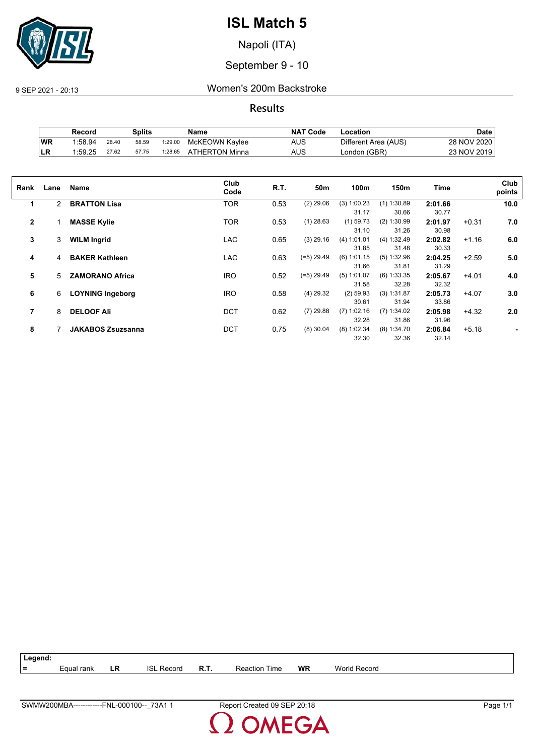

Napoli (ITA)

September 9 - 10

9 SEP 2021 - 20:13 Women's 200m Backstroke

**Results**

|           | Record  |       | Splits |         | Name           | <b>NAT Code</b> | ∟ocation             | Date        |
|-----------|---------|-------|--------|---------|----------------|-----------------|----------------------|-------------|
| WR        | 1:58.94 | 28.40 | 58.59  | 1:29.00 | McKEOWN Kaylee | AUS             | Different Area (AUS) | 28 NOV 2020 |
| <b>LR</b> | 1:59.25 | 27.62 | 57.75  | 1:28.65 | ATHERTON Minna | AUS             | London (GBR)         | 23 NOV 2019 |

| Rank         | Lane           | Name                     | Club<br>Code | R.T. | 50m          | 100m                   | 150m                   | Time             |         | Club<br>points |
|--------------|----------------|--------------------------|--------------|------|--------------|------------------------|------------------------|------------------|---------|----------------|
| 1            | $\overline{2}$ | <b>BRATTON Lisa</b>      | <b>TOR</b>   | 0.53 | $(2)$ 29.06  | $(3)$ 1:00.23<br>31.17 | $(1)$ 1:30.89<br>30.66 | 2:01.66<br>30.77 |         | 10.0           |
| $\mathbf{2}$ |                | <b>MASSE Kylie</b>       | <b>TOR</b>   | 0.53 | $(1)$ 28.63  | $(1)$ 59.73<br>31.10   | $(2)$ 1:30.99<br>31.26 | 2:01.97<br>30.98 | $+0.31$ | 7.0            |
| 3            | 3              | <b>WILM Ingrid</b>       | <b>LAC</b>   | 0.65 | $(3)$ 29.16  | (4) 1:01.01<br>31.85   | (4) 1:32.49<br>31.48   | 2:02.82<br>30.33 | $+1.16$ | 6.0            |
| 4            | 4              | <b>BAKER Kathleen</b>    | <b>LAC</b>   | 0.63 | $(=5)$ 29.49 | (6) 1:01.15<br>31.66   | (5) 1:32.96<br>31.81   | 2:04.25<br>31.29 | $+2.59$ | 5.0            |
| 5            | 5              | <b>ZAMORANO Africa</b>   | <b>IRO</b>   | 0.52 | $(=5)$ 29.49 | $(5)$ 1:01.07<br>31.58 | $(6)$ 1:33.35<br>32.28 | 2:05.67<br>32.32 | $+4.01$ | 4.0            |
| 6            | 6              | <b>LOYNING Ingeborg</b>  | <b>IRO</b>   | 0.58 | $(4)$ 29.32  | $(2)$ 59.93<br>30.61   | (3) 1:31.87<br>31.94   | 2:05.73<br>33.86 | $+4.07$ | 3.0            |
| 7            | 8              | <b>DELOOF Ali</b>        | <b>DCT</b>   | 0.62 | $(7)$ 29.88  | $(7)$ 1:02.16<br>32.28 | $(7)$ 1:34.02<br>31.86 | 2:05.98<br>31.96 | $+4.32$ | 2.0            |
| 8            |                | <b>JAKABOS Zsuzsanna</b> | <b>DCT</b>   | 0.75 | $(8)$ 30.04  | $(8)$ 1:02.34<br>32.30 | $(8)$ 1:34.70<br>32.36 | 2:06.84<br>32.14 | $+5.18$ |                |

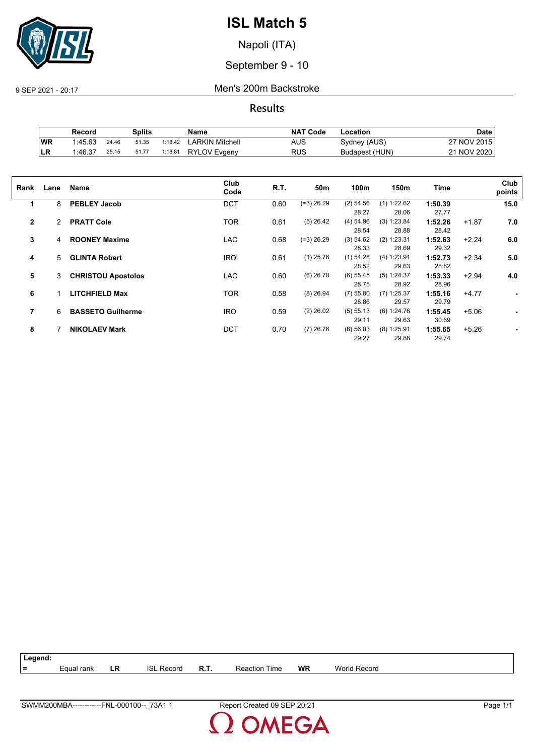

Napoli (ITA)

September 9 - 10

9 SEP 2021 - 20:17 Men's 200m Backstroke

**Results**

|     | Record  |       | Splits |         | Name                | <b>NAT Code</b> | -ocation       | Date        |
|-----|---------|-------|--------|---------|---------------------|-----------------|----------------|-------------|
| WR  | 1:45.63 | 24.46 | 51.35  | 1:18.42 | LARKIN Mitchell     | AUS             | Sydney (AUS)   | 27 NOV 2015 |
| ∣LR | 1:46.37 | 25.15 | 51.77  | 1:18.81 | <b>RYLOV Evgeny</b> | RUS             | Budapest (HUN) | 21 NOV 2020 |

| Lane | Name                      | Club<br>Code | R.T. | 50 <sub>m</sub> | 100m        | 150m          | Time    |         | Club<br>points |
|------|---------------------------|--------------|------|-----------------|-------------|---------------|---------|---------|----------------|
| 8    | <b>PEBLEY Jacob</b>       | <b>DCT</b>   | 0.60 | $(=3)$ 26.29    | $(2)$ 54.56 | $(1)$ 1:22.62 | 1:50.39 |         | 15.0           |
|      |                           |              |      |                 | 28.27       | 28.06         | 27.77   |         |                |
| 2    | <b>PRATT Cole</b>         | <b>TOR</b>   | 0.61 | $(5)$ 26.42     | (4) 54.96   | (3) 1:23.84   | 1:52.26 | $+1.87$ | 7.0            |
|      |                           |              |      |                 | 28.54       | 28.88         | 28.42   |         |                |
| 4    | <b>ROONEY Maxime</b>      | <b>LAC</b>   | 0.68 | $(=3)$ 26.29    | (3) 54.62   | (2) 1:23.31   | 1:52.63 | $+2.24$ | 6.0            |
|      |                           |              |      |                 | 28.33       | 28.69         | 29.32   |         |                |
| 5    | <b>GLINTA Robert</b>      | <b>IRO</b>   | 0.61 | $(1)$ 25.76     | $(1)$ 54.28 | (4) 1:23.91   | 1:52.73 | $+2.34$ | 5.0            |
|      |                           |              |      |                 | 28.52       | 29.63         | 28.82   |         |                |
| 3    | <b>CHRISTOU Apostolos</b> | <b>LAC</b>   | 0.60 | $(6)$ 26.70     | $(6)$ 55.45 | (5) 1:24.37   | 1:53.33 | $+2.94$ | 4.0            |
|      |                           |              |      |                 | 28.75       | 28.92         | 28.96   |         |                |
|      | <b>LITCHFIELD Max</b>     | <b>TOR</b>   | 0.58 | $(8)$ 26.94     | $(7)$ 55.80 | $(7)$ 1:25.37 | 1:55.16 | $+4.77$ | ۰.             |
|      |                           |              |      |                 | 28.86       | 29.57         | 29.79   |         |                |
| 6    | <b>BASSETO Guilherme</b>  | <b>IRO</b>   | 0.59 | $(2)$ 26.02     | (5) 55.13   | (6) 1:24.76   | 1:55.45 | $+5.06$ |                |
|      |                           |              |      |                 | 29.11       | 29.63         | 30.69   |         |                |
|      | <b>NIKOLAEV Mark</b>      | <b>DCT</b>   | 0.70 | $(7)$ 26.76     | (8) 56.03   | $(8)$ 1:25.91 | 1:55.65 | $+5.26$ |                |
|      |                           |              |      |                 | 29.27       | 29.88         | 29.74   |         |                |
|      |                           |              |      |                 |             |               |         |         |                |

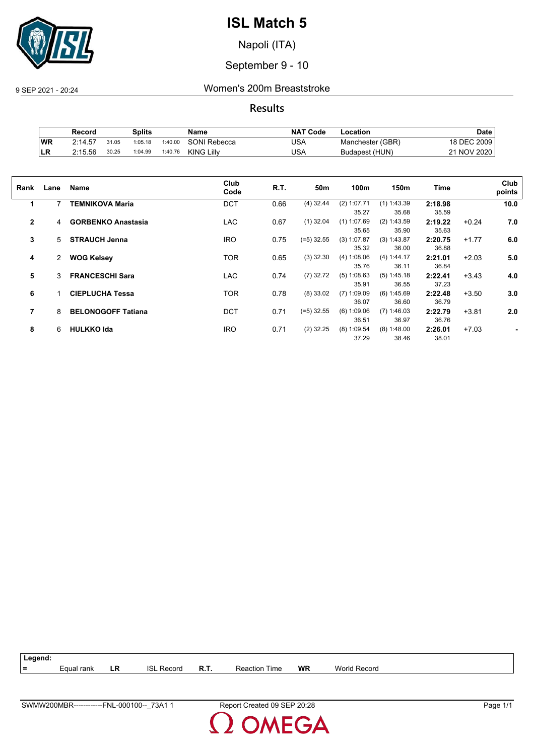

Napoli (ITA)

September 9 - 10

9 SEP 2021 - 20:24 Women's 200m Breaststroke

**Results**

|     | Record  |       | Splits  |         | Name              | <b>NAT Code</b> | -ocation         | Date            |
|-----|---------|-------|---------|---------|-------------------|-----------------|------------------|-----------------|
| ∣wR | 2:14.57 | 31.05 | 1:05.18 | 1:40.00 | SONI Rebecca      | USA             | Manchester (GBR) | <b>DEC 2009</b> |
| LR  | 2:15.56 | 30.25 | 1:04.99 | 1:40.76 | <b>KING Lilly</b> | USA             | Budapest (HUN)   | 21 NOV 2020     |

| Rank           | Lane           | Name                      | Club<br>Code | R.T. | 50m          | 100m                   | 150m                   | Time             |         | Club<br>points |
|----------------|----------------|---------------------------|--------------|------|--------------|------------------------|------------------------|------------------|---------|----------------|
| 1              | 7              | <b>TEMNIKOVA Maria</b>    | <b>DCT</b>   | 0.66 | $(4)$ 32.44  | $(2)$ 1:07.71<br>35.27 | $(1)$ 1:43.39<br>35.68 | 2:18.98<br>35.59 |         | 10.0           |
| $\overline{2}$ | 4              | <b>GORBENKO Anastasia</b> | <b>LAC</b>   | 0.67 | $(1)$ 32.04  | $(1)$ 1:07.69<br>35.65 | (2) 1:43.59<br>35.90   | 2:19.22<br>35.63 | $+0.24$ | 7.0            |
| 3              | 5              | <b>STRAUCH Jenna</b>      | <b>IRO</b>   | 0.75 | (=5) 32.55   | (3) 1:07.87<br>35.32   | (3) 1:43.87<br>36.00   | 2:20.75<br>36.88 | $+1.77$ | 6.0            |
| 4              | $\overline{2}$ | <b>WOG Kelsey</b>         | <b>TOR</b>   | 0.65 | $(3)$ 32.30  | (4) 1:08.06<br>35.76   | (4) 1:44.17<br>36.11   | 2:21.01<br>36.84 | $+2.03$ | 5.0            |
| 5              | 3              | <b>FRANCESCHI Sara</b>    | <b>LAC</b>   | 0.74 | $(7)$ 32.72  | (5) 1:08.63<br>35.91   | $(5)$ 1:45.18<br>36.55 | 2:22.41<br>37.23 | $+3.43$ | 4.0            |
| 6              |                | <b>CIEPLUCHA Tessa</b>    | <b>TOR</b>   | 0.78 | $(8)$ 33.02  | $(7)$ 1:09.09<br>36.07 | (6) 1:45.69<br>36.60   | 2:22.48<br>36.79 | $+3.50$ | 3.0            |
| 7              | 8              | <b>BELONOGOFF Tatiana</b> | <b>DCT</b>   | 0.71 | $(=5)$ 32.55 | (6) 1:09.06<br>36.51   | (7) 1:46.03<br>36.97   | 2:22.79<br>36.76 | $+3.81$ | 2.0            |
| 8              | 6              | <b>HULKKO Ida</b>         | <b>IRO</b>   | 0.71 | $(2)$ 32.25  | $(8)$ 1:09.54<br>37.29 | $(8)$ 1:48.00<br>38.46 | 2:26.01<br>38.01 | $+7.03$ |                |

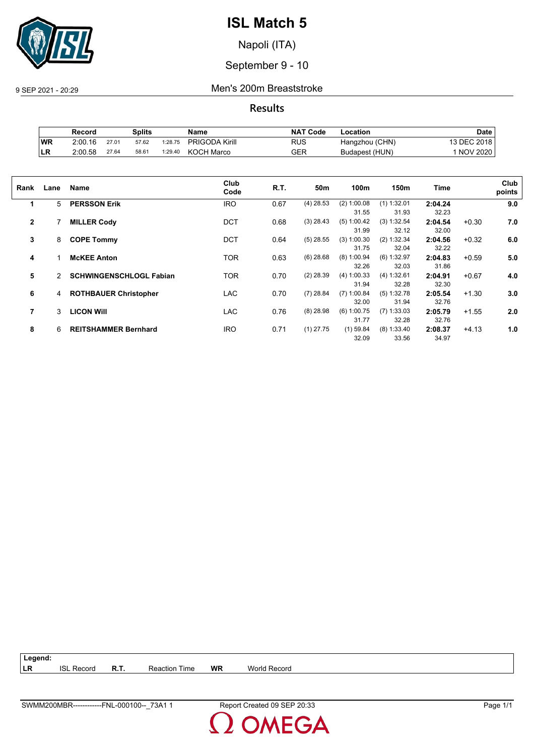

Napoli (ITA)

September 9 - 10

9 SEP 2021 - 20:29 Men's 200m Breaststroke

**Results**

|           | Record  |       | Splits |         | <b>Name</b>           | <b>NAT Code</b> | Location       | Date            |
|-----------|---------|-------|--------|---------|-----------------------|-----------------|----------------|-----------------|
| <b>WR</b> | 2:00.16 | 27.01 | 57.62  | 1:28.75 | <b>PRIGODA Kirill</b> | RUS             | Hangzhou (CHN) | <b>DEC 2018</b> |
| ILR       | 2:00.58 | 27.64 | 58.61  | 1:29.40 | <b>KOCH Marco</b>     | GER             | Budapest (HUN) | 1 NOV 2020      |

| Rank           | Lane | Name                           | Club<br>Code | R.T. | 50m         | 100m          | 150m          | Time    |         | Club<br>points |
|----------------|------|--------------------------------|--------------|------|-------------|---------------|---------------|---------|---------|----------------|
| 1              | 5    | <b>PERSSON Erik</b>            | <b>IRO</b>   | 0.67 | $(4)$ 28.53 | $(2)$ 1:00.08 | $(1)$ 1:32.01 | 2:04.24 |         | 9.0            |
|                |      |                                |              |      |             | 31.55         | 31.93         | 32.23   |         |                |
| $\mathbf{2}$   |      | <b>MILLER Cody</b>             | <b>DCT</b>   | 0.68 | $(3)$ 28.43 | (5) 1:00.42   | (3) 1:32.54   | 2:04.54 | $+0.30$ | 7.0            |
|                |      |                                |              |      |             | 31.99         | 32.12         | 32.00   |         |                |
| 3              | 8    | <b>COPE Tommy</b>              | <b>DCT</b>   | 0.64 | $(5)$ 28.55 | $(3)$ 1:00.30 | (2) 1:32.34   | 2:04.56 | $+0.32$ | 6.0            |
|                |      |                                |              |      |             | 31.75         | 32.04         | 32.22   |         |                |
| 4              |      | <b>McKEE Anton</b>             | TOR          | 0.63 | $(6)$ 28.68 | $(8)$ 1:00.94 | (6) 1:32.97   | 2:04.83 | $+0.59$ | 5.0            |
|                |      |                                |              |      |             | 32.26         | 32.03         | 31.86   |         |                |
| 5              | 2    | <b>SCHWINGENSCHLOGL Fabian</b> | <b>TOR</b>   | 0.70 | $(2)$ 28.39 | (4) 1:00.33   | (4) 1:32.61   | 2:04.91 | $+0.67$ | 4.0            |
|                |      |                                |              |      |             | 31.94         | 32.28         | 32.30   |         |                |
| 6              | 4    | <b>ROTHBAUER Christopher</b>   | <b>LAC</b>   | 0.70 | $(7)$ 28.84 | $(7)$ 1:00.84 | (5) 1:32.78   | 2:05.54 | $+1.30$ | 3.0            |
|                |      |                                |              |      |             | 32.00         | 31.94         | 32.76   |         |                |
| $\overline{7}$ | 3    | <b>LICON WIII</b>              | <b>LAC</b>   | 0.76 | $(8)$ 28.98 | $(6)$ 1:00.75 | $(7)$ 1:33.03 | 2:05.79 | $+1.55$ | 2.0            |
|                |      |                                |              |      |             | 31.77         | 32.28         | 32.76   |         |                |
| 8              | 6    | <b>REITSHAMMER Bernhard</b>    | <b>IRO</b>   | 0.71 | $(1)$ 27.75 | $(1)$ 59.84   | $(8)$ 1:33.40 | 2:08.37 | $+4.13$ | 1.0            |
|                |      |                                |              |      |             | 32.09         | 33.56         | 34.97   |         |                |
|                |      |                                |              |      |             |               |               |         |         |                |

| $ $ Legend: |                   |                      |    |              |
|-------------|-------------------|----------------------|----|--------------|
| <b>LR</b>   | <b>ISL Record</b> | <b>Reaction Time</b> | WR | World Record |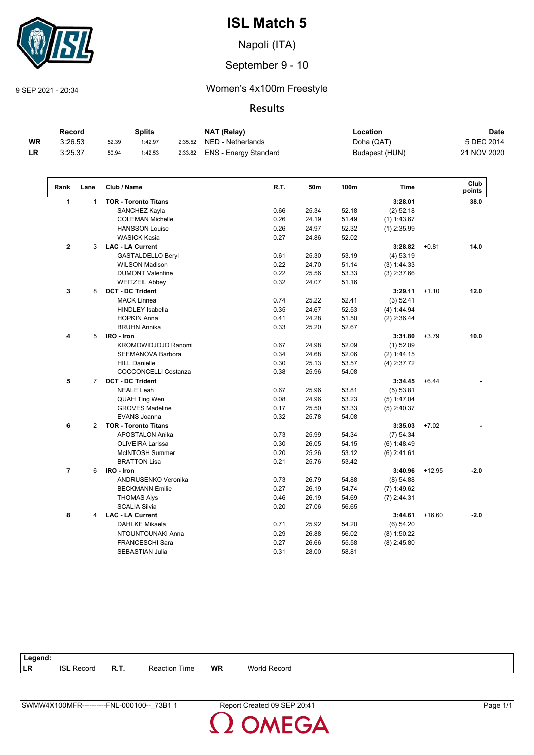

Napoli (ITA)

September 9 - 10

9 SEP 2021 - 20:34 Women's 4x100m Freestyle

**Results**

| Splits<br>Record |         | NAT (Relay) | ∟ocation | <b>Date</b> |                       |                |             |
|------------------|---------|-------------|----------|-------------|-----------------------|----------------|-------------|
| <b>WR</b>        | 3:26.53 | 52.39       | 1:42.97  | 2:35.52     | NED - Netherlands     | Doha (QAT)     | 5 DEC 2014  |
| 'LR              | 3:25.37 | 50.94       | 1:42.53  | 2:33.82     | ENS - Energy Standard | Budapest (HUN) | 21 NOV 2020 |

| Rank           | Lane           | Club / Name                 | R.T. | 50m   | 100m  | <b>Time</b>   |          | Club<br>points |
|----------------|----------------|-----------------------------|------|-------|-------|---------------|----------|----------------|
| 1              | $\mathbf{1}$   | <b>TOR - Toronto Titans</b> |      |       |       | 3:28.01       |          | 38.0           |
|                |                | SANCHEZ Kayla               | 0.66 | 25.34 | 52.18 | $(2)$ 52.18   |          |                |
|                |                | <b>COLEMAN Michelle</b>     | 0.26 | 24.19 | 51.49 | $(1)$ 1:43.67 |          |                |
|                |                | <b>HANSSON Louise</b>       | 0.26 | 24.97 | 52.32 | $(1)$ 2:35.99 |          |                |
|                |                | <b>WASICK Kasia</b>         | 0.27 | 24.86 | 52.02 |               |          |                |
| $\mathbf{2}$   | 3              | <b>LAC - LA Current</b>     |      |       |       | 3:28.82       | $+0.81$  | 14.0           |
|                |                | <b>GASTALDELLO Beryl</b>    | 0.61 | 25.30 | 53.19 | $(4)$ 53.19   |          |                |
|                |                | <b>WILSON Madison</b>       | 0.22 | 24.70 | 51.14 | (3) 1:44.33   |          |                |
|                |                | <b>DUMONT Valentine</b>     | 0.22 | 25.56 | 53.33 | $(3)$ 2:37.66 |          |                |
|                |                | <b>WEITZEIL Abbey</b>       | 0.32 | 24.07 | 51.16 |               |          |                |
| 3              | 8              | <b>DCT - DC Trident</b>     |      |       |       | 3:29.11       | $+1.10$  | 12.0           |
|                |                | <b>MACK Linnea</b>          | 0.74 | 25.22 | 52.41 | (3) 52.41     |          |                |
|                |                | <b>HINDLEY Isabella</b>     | 0.35 | 24.67 | 52.53 | (4) 1:44.94   |          |                |
|                |                | <b>HOPKIN Anna</b>          | 0.41 | 24.28 | 51.50 | $(2)$ 2:36.44 |          |                |
|                |                | <b>BRUHN Annika</b>         | 0.33 | 25.20 | 52.67 |               |          |                |
| 4              | 5              | IRO - Iron                  |      |       |       | 3:31.80       | $+3.79$  | 10.0           |
|                |                | KROMOWIDJOJO Ranomi         | 0.67 | 24.98 | 52.09 | $(1)$ 52.09   |          |                |
|                |                | <b>SEEMANOVA Barbora</b>    | 0.34 | 24.68 | 52.06 | (2) 1:44.15   |          |                |
|                |                | <b>HILL Danielle</b>        | 0.30 | 25.13 | 53.57 | $(4)$ 2:37.72 |          |                |
|                |                | <b>COCCONCELLI Costanza</b> | 0.38 | 25.96 | 54.08 |               |          |                |
| 5              | $\overline{7}$ | <b>DCT - DC Trident</b>     |      |       |       | 3:34.45       | $+6.44$  |                |
|                |                | <b>NEALE Leah</b>           | 0.67 | 25.96 | 53.81 | (5) 53.81     |          |                |
|                |                | <b>QUAH Ting Wen</b>        | 0.08 | 24.96 | 53.23 | (5) 1:47.04   |          |                |
|                |                | <b>GROVES Madeline</b>      | 0.17 | 25.50 | 53.33 | $(5)$ 2:40.37 |          |                |
|                |                | <b>EVANS Joanna</b>         | 0.32 | 25.78 | 54.08 |               |          |                |
| 6              | $\overline{2}$ | <b>TOR - Toronto Titans</b> |      |       |       | 3:35.03       | $+7.02$  |                |
|                |                | <b>APOSTALON Anika</b>      | 0.73 | 25.99 | 54.34 | (7) 54.34     |          |                |
|                |                | <b>OLIVEIRA Larissa</b>     | 0.30 | 26.05 | 54.15 | (6) 1:48.49   |          |                |
|                |                | McINTOSH Summer             | 0.20 | 25.26 | 53.12 | $(6)$ 2:41.61 |          |                |
|                |                | <b>BRATTON Lisa</b>         | 0.21 | 25.76 | 53.42 |               |          |                |
| $\overline{7}$ | 6              | IRO - Iron                  |      |       |       | 3:40.96       | $+12.95$ | $-2.0$         |
|                |                | <b>ANDRUSENKO Veronika</b>  | 0.73 | 26.79 | 54.88 | (8) 54.88     |          |                |
|                |                | <b>BECKMANN Emilie</b>      | 0.27 | 26.19 | 54.74 | $(7)$ 1:49.62 |          |                |
|                |                | <b>THOMAS Alys</b>          | 0.46 | 26.19 | 54.69 | $(7)$ 2:44.31 |          |                |
|                |                | <b>SCALIA Silvia</b>        | 0.20 | 27.06 | 56.65 |               |          |                |
| 8              | 4              | <b>LAC - LA Current</b>     |      |       |       | 3:44.61       | $+16.60$ | $-2.0$         |
|                |                | <b>DAHLKE Mikaela</b>       | 0.71 | 25.92 | 54.20 | (6) 54.20     |          |                |
|                |                | NTOUNTOUNAKI Anna           | 0.29 | 26.88 | 56.02 | $(8)$ 1:50.22 |          |                |
|                |                | FRANCESCHI Sara             | 0.27 | 26.66 | 55.58 | $(8)$ 2:45.80 |          |                |
|                |                | <b>SEBASTIAN Julia</b>      | 0.31 | 28.00 | 58.81 |               |          |                |

| Legend: |                   |             |                      |           |                     |
|---------|-------------------|-------------|----------------------|-----------|---------------------|
| LR      | <b>ISL Record</b> | <b>R.T.</b> | <b>Reaction Time</b> | <b>WR</b> | <b>World Record</b> |
|         |                   |             |                      |           |                     |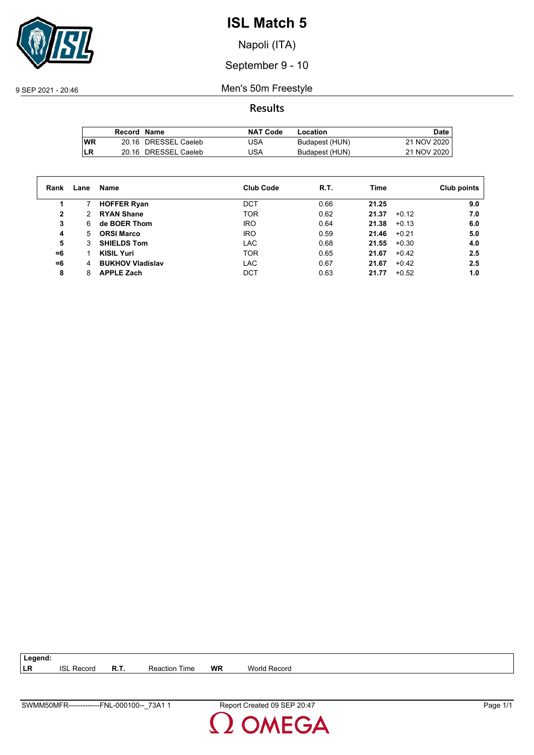

Napoli (ITA)

September 9 - 10

9 SEP 2021 - 20:46 Men's 50m Freestyle

**Results**

|           | Record Name |                      | <b>NAT Code</b> | Location       | Date        |
|-----------|-------------|----------------------|-----------------|----------------|-------------|
| <b>WR</b> |             | 20.16 DRESSEL Caeleb | USA             | Budapest (HUN) | 21 NOV 2020 |
| LR        |             | 20.16 DRESSEL Caeleb | USA             | Budapest (HUN) | 21 NOV 2020 |

| Rank | Lane | Name                    | <b>Club Code</b> | R.T. | Time             | Club points |
|------|------|-------------------------|------------------|------|------------------|-------------|
|      |      | <b>HOFFER Ryan</b>      | <b>DCT</b>       | 0.66 | 21.25            | 9.0         |
| 2    | 2    | <b>RYAN Shane</b>       | <b>TOR</b>       | 0.62 | $+0.12$<br>21.37 | 7.0         |
| 3    | 6    | de BOER Thom            | IRO              | 0.64 | 21.38<br>$+0.13$ | 6.0         |
| 4    | 5    | <b>ORSI Marco</b>       | IRO              | 0.59 | 21.46<br>$+0.21$ | 5.0         |
| 5    | 3    | <b>SHIELDS Tom</b>      | <b>LAC</b>       | 0.68 | 21.55<br>$+0.30$ | 4.0         |
| $=6$ |      | <b>KISIL Yuri</b>       | <b>TOR</b>       | 0.65 | 21.67<br>$+0.42$ | 2.5         |
| $=6$ | 4    | <b>BUKHOV Vladislav</b> | LAC              | 0.67 | 21.67<br>$+0.42$ | 2.5         |
| 8    | 8    | <b>APPLE Zach</b>       | DCT              | 0.63 | $+0.52$<br>21.77 | 1.0         |

| SWMM50MFR-------------<br>73A1<br>L <b>-000100-</b> -<br>FNL | 20.47<br>, SEP 1<br>Report Created 09 | -<br>⊃aɑe |
|--------------------------------------------------------------|---------------------------------------|-----------|

**LR** ISL Record **R.T.** Reaction Time **WR** World Record

**Legend:**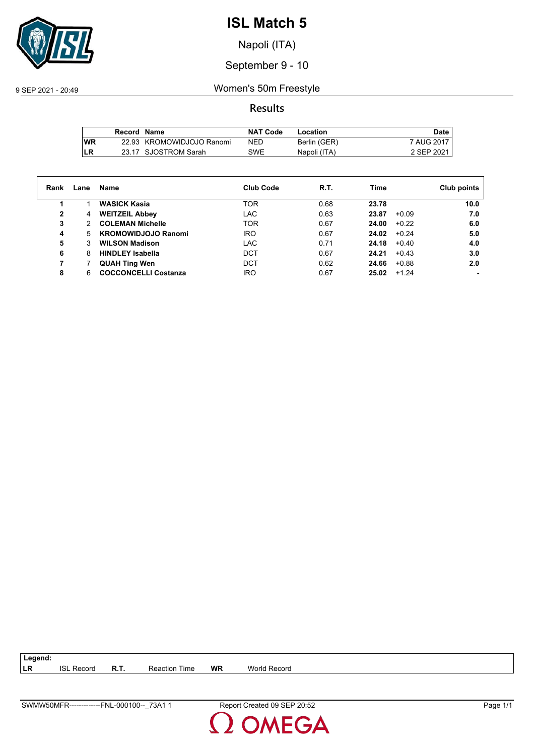

Napoli (ITA)

September 9 - 10

9 SEP 2021 - 20:49 Women's 50m Freestyle

**Results**

|     | Record Name |                           | NAT Code   | Location     | Date       |
|-----|-------------|---------------------------|------------|--------------|------------|
| lWR |             | 22.93 KROMOWIDJOJO Ranomi | <b>NED</b> | Berlin (GER) | 7 AUG 2017 |
| LR  |             | 23.17 SJOSTROM Sarah      | SWE        | Napoli (ITA) | 2 SEP 2021 |

| Rank | Lane | Name                        | <b>Club Code</b> | R.T. | Time  |         | Club points |
|------|------|-----------------------------|------------------|------|-------|---------|-------------|
| 1    |      | <b>WASICK Kasia</b>         | <b>TOR</b>       | 0.68 | 23.78 |         | 10.0        |
| 2    | 4    | <b>WEITZEIL Abbey</b>       | LAC              | 0.63 | 23.87 | $+0.09$ | 7.0         |
| 3    | 2    | <b>COLEMAN Michelle</b>     | <b>TOR</b>       | 0.67 | 24.00 | $+0.22$ | 6.0         |
| 4    | 5.   | <b>KROMOWIDJOJO Ranomi</b>  | <b>IRO</b>       | 0.67 | 24.02 | $+0.24$ | 5.0         |
| 5    | 3    | <b>WILSON Madison</b>       | <b>LAC</b>       | 0.71 | 24.18 | $+0.40$ | 4.0         |
| 6    | 8    | <b>HINDLEY Isabella</b>     | <b>DCT</b>       | 0.67 | 24.21 | $+0.43$ | 3.0         |
| 7    |      | <b>QUAH Ting Wen</b>        | DCT              | 0.62 | 24.66 | $+0.88$ | 2.0         |
| 8    | 6    | <b>COCCONCELLI Costanza</b> | <b>IRO</b>       | 0.67 | 25.02 | $+1.24$ |             |

**LR** ISL Record **R.T.** Reaction Time **WR** World Record

**Legend:**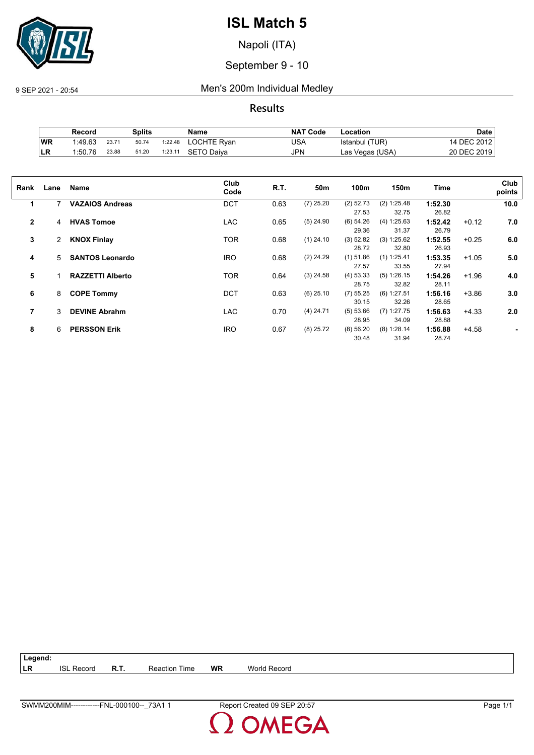

Napoli (ITA)

September 9 - 10

9 SEP 2021 - 20:54 Men's 200m Individual Medley

**Results**

|           | Record  |       | Splits |         | Name        | <b>NAT Code</b> | Location        | Date        |
|-----------|---------|-------|--------|---------|-------------|-----------------|-----------------|-------------|
| WR        | 1:49.63 | 23.71 | 50.74  | 1:22.48 | LOCHTE Ryan | USA             | Istanbul (TUR)  | 14 DEC 2012 |
| <b>LR</b> | 1:50.76 | 23.88 | 51.20  | 1:23.11 | SETO Daiva  | JPN             | Las Vegas (USA) | 20 DEC 2019 |

| Rank           | Lane | Name                    | Club<br>Code | R.T. | 50 <sub>m</sub> | 100m        | 150m          | Time    |         | Club<br>points |
|----------------|------|-------------------------|--------------|------|-----------------|-------------|---------------|---------|---------|----------------|
| 1              | 7    | <b>VAZAIOS Andreas</b>  | <b>DCT</b>   | 0.63 | $(7)$ 25.20     | $(2)$ 52.73 | (2) 1:25.48   | 1:52.30 |         | 10.0           |
|                |      |                         |              |      |                 | 27.53       | 32.75         | 26.82   |         |                |
| $\overline{2}$ | 4    | <b>HVAS Tomoe</b>       | <b>LAC</b>   | 0.65 | $(5)$ 24.90     | (6) 54.26   | (4) 1:25.63   | 1:52.42 | $+0.12$ | 7.0            |
|                |      |                         |              |      |                 | 29.36       | 31.37         | 26.79   |         |                |
| 3              | 2    | <b>KNOX Finlay</b>      | <b>TOR</b>   | 0.68 | $(1)$ 24.10     | $(3)$ 52.82 | (3) 1:25.62   | 1:52.55 | $+0.25$ | 6.0            |
|                |      |                         |              |      |                 | 28.72       | 32.80         | 26.93   |         |                |
| 4              | 5    | <b>SANTOS Leonardo</b>  | <b>IRO</b>   | 0.68 | $(2)$ 24.29     | $(1)$ 51.86 | $(1)$ 1:25.41 | 1:53.35 | $+1.05$ | 5.0            |
|                |      |                         |              |      |                 | 27.57       | 33.55         | 27.94   |         |                |
| 5              |      | <b>RAZZETTI Alberto</b> | <b>TOR</b>   | 0.64 | $(3)$ 24.58     | $(4)$ 53.33 | (5) 1:26.15   | 1:54.26 | $+1.96$ | 4.0            |
|                |      |                         |              |      |                 | 28.75       | 32.82         | 28.11   |         |                |
| 6              | 8    | <b>COPE Tommy</b>       | <b>DCT</b>   | 0.63 | $(6)$ 25.10     | (7) 55.25   | $(6)$ 1:27.51 | 1:56.16 | $+3.86$ | 3.0            |
|                |      |                         |              |      |                 | 30.15       | 32.26         | 28.65   |         |                |
| 7              | 3    | <b>DEVINE Abrahm</b>    | <b>LAC</b>   | 0.70 | $(4)$ 24.71     | (5) 53.66   | $(7)$ 1:27.75 | 1:56.63 | $+4.33$ | 2.0            |
|                |      |                         |              |      |                 | 28.95       | 34.09         | 28.88   |         |                |
| 8              | 6    | <b>PERSSON Erik</b>     | <b>IRO</b>   | 0.67 | $(8)$ 25.72     | (8) 56.20   | $(8)$ 1:28.14 | 1:56.88 | $+4.58$ |                |
|                |      |                         |              |      |                 | 30.48       | 31.94         | 28.74   |         |                |
|                |      |                         |              |      |                 |             |               |         |         |                |

**Legend: LR** ISL Record **R.T.** Reaction Time **WR** World Record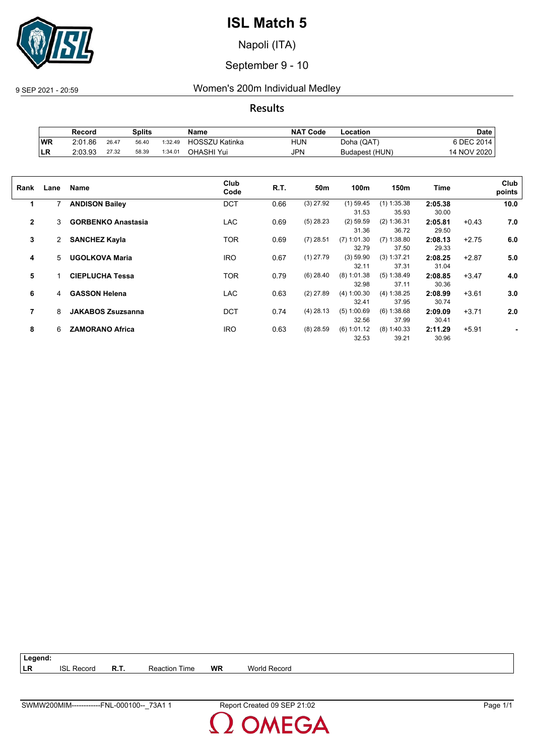

Napoli (ITA)

September 9 - 10

9 SEP 2021 - 20:59 Women's 200m Individual Medley

**Results**

|           | Record  |       | Splits |         | Name                  | <b>NAT Code</b> | -ocation       | Date        |
|-----------|---------|-------|--------|---------|-----------------------|-----------------|----------------|-------------|
| WR        | 2:01.86 | 26.47 | 56.40  | 1:32.49 | <b>HOSSZU Katinka</b> | HUN             | Doha (QAT)     | 6 DEC 2014  |
| <b>LR</b> | 2:03.93 | 27.32 | 58.39  | 1:34.01 | OHASHI Yui            | <b>JPN</b>      | Budapest (HUN) | 14 NOV 2020 |

| Rank           | Lane | <b>Name</b>               | Club<br>Code | R.T. | 50 <sub>m</sub> | 100m          | 150m          | Time    |         | Club<br>points |
|----------------|------|---------------------------|--------------|------|-----------------|---------------|---------------|---------|---------|----------------|
| 1              | 7    | <b>ANDISON Bailey</b>     | <b>DCT</b>   | 0.66 | $(3)$ 27.92     | $(1)$ 59.45   | $(1)$ 1:35.38 | 2:05.38 |         | 10.0           |
|                |      |                           |              |      |                 | 31.53         | 35.93         | 30.00   |         |                |
| $\overline{2}$ | 3    | <b>GORBENKO Anastasia</b> | <b>LAC</b>   | 0.69 | $(5)$ 28.23     | $(2)$ 59.59   | (2) 1:36.31   | 2:05.81 | $+0.43$ | 7.0            |
|                |      |                           |              |      |                 | 31.36         | 36.72         | 29.50   |         |                |
| 3              | 2    | <b>SANCHEZ Kayla</b>      | TOR          | 0.69 | $(7)$ 28.51     | $(7)$ 1:01.30 | $(7)$ 1:38.80 | 2:08.13 | $+2.75$ | 6.0            |
|                |      |                           |              |      |                 | 32.79         | 37.50         | 29.33   |         |                |
| 4              | 5    | <b>UGOLKOVA Maria</b>     | <b>IRO</b>   | 0.67 | $(1)$ 27.79     | (3) 59.90     | (3) 1:37.21   | 2:08.25 | $+2.87$ | 5.0            |
|                |      |                           |              |      |                 | 32.11         | 37.31         | 31.04   |         |                |
| 5              |      | <b>CIEPLUCHA Tessa</b>    | TOR          | 0.79 | $(6)$ 28.40     | $(8)$ 1:01.38 | (5) 1:38.49   | 2:08.85 | $+3.47$ | 4.0            |
|                |      |                           |              |      |                 | 32.98         | 37.11         | 30.36   |         |                |
| 6              | 4    | <b>GASSON Helena</b>      | <b>LAC</b>   | 0.63 | $(2)$ 27.89     | (4) 1:00.30   | (4) 1:38.25   | 2:08.99 | $+3.61$ | 3.0            |
|                |      |                           |              |      |                 | 32.41         | 37.95         | 30.74   |         |                |
| 7              | 8    | <b>JAKABOS Zsuzsanna</b>  | <b>DCT</b>   | 0.74 | $(4)$ 28.13     | (5) 1:00.69   | (6) 1:38.68   | 2:09.09 | $+3.71$ | 2.0            |
|                |      |                           |              |      |                 | 32.56         | 37.99         | 30.41   |         |                |
| 8              | 6    | <b>ZAMORANO Africa</b>    | <b>IRO</b>   | 0.63 | $(8)$ 28.59     | (6) 1:01.12   | $(8)$ 1:40.33 | 2:11.29 | $+5.91$ |                |
|                |      |                           |              |      |                 | 32.53         | 39.21         | 30.96   |         |                |
|                |      |                           |              |      |                 |               |               |         |         |                |

| $\vert$ Legend: |                   |      |                      |           |              |
|-----------------|-------------------|------|----------------------|-----------|--------------|
| <b>ILR</b>      | <b>ISL Record</b> | R.T. | <b>Reaction Time</b> | <b>WR</b> | World Record |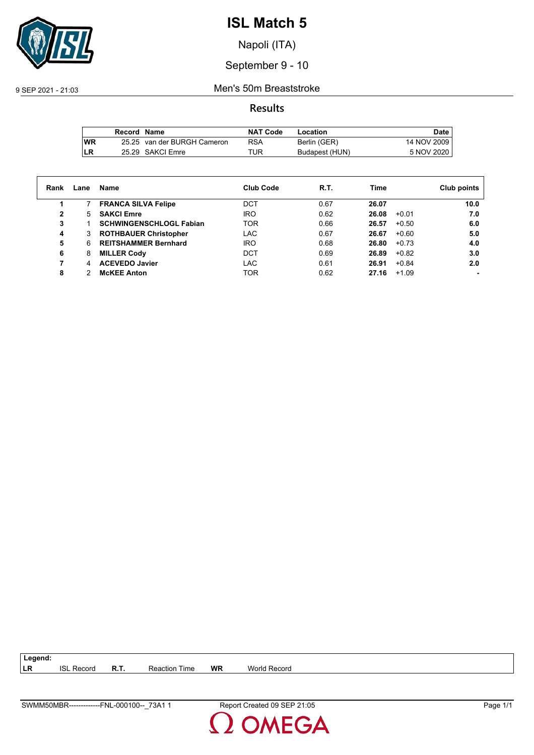

Napoli (ITA)

September 9 - 10

9 SEP 2021 - 21:03 Men's 50m Breaststroke

**Results**

|           | Record Name |                             | <b>NAT Code</b> | Location       | Date.       |
|-----------|-------------|-----------------------------|-----------------|----------------|-------------|
| <b>WR</b> |             | 25.25 van der BURGH Cameron | RSA             | Berlin (GER)   | 14 NOV 2009 |
| LR        |             | 25.29 SAKCI Emre            | TUR             | Budapest (HUN) | 5 NOV 2020  |

| Rank | Lane | Name                           | <b>Club Code</b> | R.T. | Time  |         | Club points |
|------|------|--------------------------------|------------------|------|-------|---------|-------------|
|      |      | <b>FRANCA SILVA Felipe</b>     | DCT              | 0.67 | 26.07 |         | 10.0        |
| 2    | 5.   | <b>SAKCI Emre</b>              | <b>IRO</b>       | 0.62 | 26.08 | $+0.01$ | 7.0         |
| 3    |      | <b>SCHWINGENSCHLOGL Fabian</b> | <b>TOR</b>       | 0.66 | 26.57 | $+0.50$ | 6.0         |
| 4    | 3    | <b>ROTHBAUER Christopher</b>   | LAC              | 0.67 | 26.67 | $+0.60$ | 5.0         |
| 5    | 6    | <b>REITSHAMMER Bernhard</b>    | <b>IRO</b>       | 0.68 | 26.80 | $+0.73$ | 4.0         |
| 6    | 8    | <b>MILLER Cody</b>             | DCT              | 0.69 | 26.89 | $+0.82$ | 3.0         |
| 7    | 4    | <b>ACEVEDO Javier</b>          | LAC              | 0.61 | 26.91 | $+0.84$ | 2.0         |
| 8    |      | <b>McKEE Anton</b>             | TOR              | 0.62 | 27.16 | $+1.09$ |             |

**LR** ISL Record **R.T.** Reaction Time **WR** World Record

**Legend:**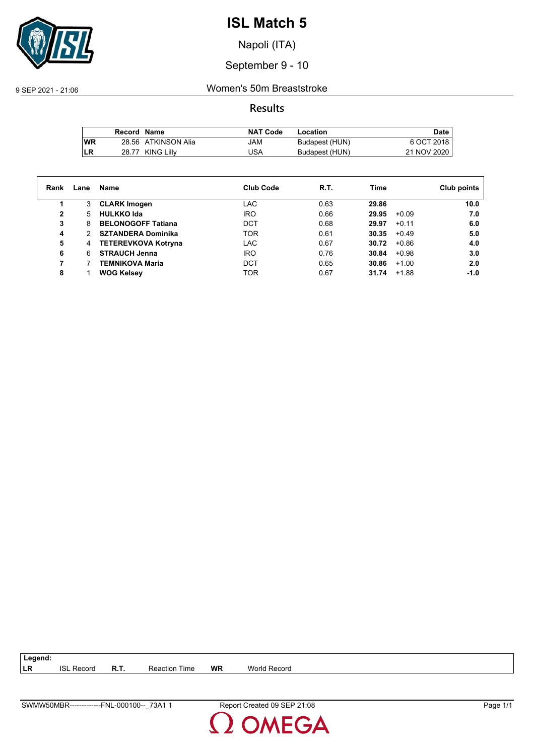

Napoli (ITA)

September 9 - 10

9 SEP 2021 - 21:06 Women's 50m Breaststroke

**Results**

|           | Record Name |                     | <b>NAT Code</b> | Location       | <b>Date</b> |
|-----------|-------------|---------------------|-----------------|----------------|-------------|
| <b>WR</b> |             | 28.56 ATKINSON Alia | JAM             | Budapest (HUN) | 6 OCT 2018  |
| LR        |             | 28.77 KING Lilly    | USA             | Budapest (HUN) | 21 NOV 2020 |

| Rank | Lane | Name                       | <b>Club Code</b> | R.T. | Time  | Club points       |
|------|------|----------------------------|------------------|------|-------|-------------------|
|      | 3    | <b>CLARK Imogen</b>        | LAC              | 0.63 | 29.86 | 10.0              |
| 2    | 5    | <b>HULKKO Ida</b>          | IRO              | 0.66 | 29.95 | 7.0<br>$+0.09$    |
| 3    | 8    | <b>BELONOGOFF Tatiana</b>  | <b>DCT</b>       | 0.68 | 29.97 | 6.0<br>$+0.11$    |
| 4    | 2    | <b>SZTANDERA Dominika</b>  | <b>TOR</b>       | 0.61 | 30.35 | 5.0<br>$+0.49$    |
| 5    | 4    | <b>TETEREVKOVA Kotryna</b> | <b>LAC</b>       | 0.67 | 30.72 | $+0.86$<br>4.0    |
| 6    | 6    | <b>STRAUCH Jenna</b>       | IRO              | 0.76 | 30.84 | 3.0<br>$+0.98$    |
|      |      | TEMNIKOVA Maria            | DCT              | 0.65 | 30.86 | 2.0<br>$+1.00$    |
| 8    |      | <b>WOG Kelsey</b>          | <b>TOR</b>       | 0.67 | 31.74 | $-1.0$<br>$+1.88$ |

**LR** ISL Record **R.T.** Reaction Time **WR** World Record

**Legend:**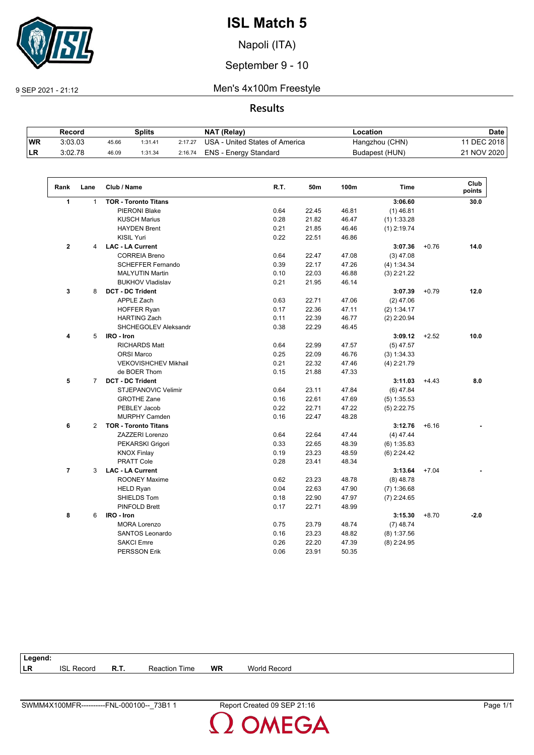

Napoli (ITA)

September 9 - 10

9 SEP 2021 - 21:12 Men's 4x100m Freestyle

### **Results**

|           | Record  |       | Splits  |         | NAT (Relay)                    | ∟ocation       | Date        |
|-----------|---------|-------|---------|---------|--------------------------------|----------------|-------------|
| <b>WR</b> | 3:03.03 | 45.66 | 1:31.41 | 2:17.27 | USA - United States of America | Hangzhou (CHN) | 11 DEC 2018 |
| ILR.      | 3:02.78 | 46.09 | 1:31.34 | 2:16.74 | ENS - Energy Standard          | Budapest (HUN) | 21 NOV 2020 |

| Rank           | Lane           | Club / Name                 | R.T. | 50m   | 100m  | <b>Time</b>   |         | Club<br>points |
|----------------|----------------|-----------------------------|------|-------|-------|---------------|---------|----------------|
| $\mathbf{1}$   | $\mathbf{1}$   | <b>TOR - Toronto Titans</b> |      |       |       | 3:06.60       |         | 30.0           |
|                |                | <b>PIERONI Blake</b>        | 0.64 | 22.45 | 46.81 | $(1)$ 46.81   |         |                |
|                |                | <b>KUSCH Marius</b>         | 0.28 | 21.82 | 46.47 | $(1)$ 1:33.28 |         |                |
|                |                | <b>HAYDEN Brent</b>         | 0.21 | 21.85 | 46.46 | $(1)$ 2:19.74 |         |                |
|                |                | <b>KISIL Yuri</b>           | 0.22 | 22.51 | 46.86 |               |         |                |
| $\mathbf 2$    | 4              | <b>LAC - LA Current</b>     |      |       |       | 3:07.36       | $+0.76$ | 14.0           |
|                |                | <b>CORREIA Breno</b>        | 0.64 | 22.47 | 47.08 | $(3)$ 47.08   |         |                |
|                |                | <b>SCHEFFER Fernando</b>    | 0.39 | 22.17 | 47.26 | (4) 1:34.34   |         |                |
|                |                | <b>MALYUTIN Martin</b>      | 0.10 | 22.03 | 46.88 | $(3)$ 2:21.22 |         |                |
|                |                | <b>BUKHOV Vladislav</b>     | 0.21 | 21.95 | 46.14 |               |         |                |
| 3              | 8              | <b>DCT - DC Trident</b>     |      |       |       | 3:07.39       | $+0.79$ | 12.0           |
|                |                | <b>APPLE Zach</b>           | 0.63 | 22.71 | 47.06 | $(2)$ 47.06   |         |                |
|                |                | <b>HOFFER Ryan</b>          | 0.17 | 22.36 | 47.11 | (2) 1:34.17   |         |                |
|                |                | <b>HARTING Zach</b>         | 0.11 | 22.39 | 46.77 | $(2)$ 2:20.94 |         |                |
|                |                | SHCHEGOLEV Aleksandr        | 0.38 | 22.29 | 46.45 |               |         |                |
| 4              | 5              | IRO - Iron                  |      |       |       | 3:09.12       | $+2.52$ | 10.0           |
|                |                | <b>RICHARDS Matt</b>        | 0.64 | 22.99 | 47.57 | $(5)$ 47.57   |         |                |
|                |                | <b>ORSI Marco</b>           | 0.25 | 22.09 | 46.76 | (3) 1:34.33   |         |                |
|                |                | VEKOVISHCHEV Mikhail        | 0.21 | 22.32 | 47.46 | $(4)$ 2:21.79 |         |                |
|                |                | de BOER Thom                | 0.15 | 21.88 | 47.33 |               |         |                |
| 5              | $\overline{7}$ | <b>DCT - DC Trident</b>     |      |       |       | 3:11.03       | $+4.43$ | 8.0            |
|                |                | STJEPANOVIC Velimir         | 0.64 | 23.11 | 47.84 | $(6)$ 47.84   |         |                |
|                |                | <b>GROTHE Zane</b>          | 0.16 | 22.61 | 47.69 | $(5)$ 1:35.53 |         |                |
|                |                | PEBLEY Jacob                | 0.22 | 22.71 | 47.22 | $(5)$ 2:22.75 |         |                |
|                |                | <b>MURPHY Camden</b>        | 0.16 | 22.47 | 48.28 |               |         |                |
| 6              | $\overline{2}$ | <b>TOR - Toronto Titans</b> |      |       |       | 3:12.76       | $+6.16$ |                |
|                |                | <b>ZAZZERI Lorenzo</b>      | 0.64 | 22.64 | 47.44 | $(4)$ 47.44   |         |                |
|                |                | PEKARSKI Grigori            | 0.33 | 22.65 | 48.39 | $(6)$ 1:35.83 |         |                |
|                |                | <b>KNOX Finlay</b>          | 0.19 | 23.23 | 48.59 | $(6)$ 2:24.42 |         |                |
|                |                | <b>PRATT Cole</b>           | 0.28 | 23.41 | 48.34 |               |         |                |
| $\overline{7}$ | 3              | <b>LAC - LA Current</b>     |      |       |       | 3:13.64       | $+7.04$ |                |
|                |                | <b>ROONEY Maxime</b>        | 0.62 | 23.23 | 48.78 | $(8)$ 48.78   |         |                |
|                |                | <b>HELD Ryan</b>            | 0.04 | 22.63 | 47.90 | $(7)$ 1:36.68 |         |                |
|                |                | SHIELDS Tom                 | 0.18 | 22.90 | 47.97 | $(7)$ 2:24.65 |         |                |
|                |                | <b>PINFOLD Brett</b>        | 0.17 | 22.71 | 48.99 |               |         |                |
| 8              | 6              | IRO - Iron                  |      |       |       | 3:15.30       | $+8.70$ | $-2.0$         |
|                |                | <b>MORA Lorenzo</b>         | 0.75 | 23.79 | 48.74 | $(7)$ 48.74   |         |                |
|                |                | <b>SANTOS Leonardo</b>      | 0.16 | 23.23 | 48.82 | $(8)$ 1:37.56 |         |                |
|                |                | <b>SAKCI Emre</b>           | 0.26 | 22.20 | 47.39 | $(8)$ 2:24.95 |         |                |
|                |                | <b>PERSSON Erik</b>         | 0.06 | 23.91 | 50.35 |               |         |                |

| Legend: |               |      |                |           |                          |
|---------|---------------|------|----------------|-----------|--------------------------|
| LR      | Record<br>ופו | R.T. | Time<br>action | <b>WR</b> | <b>Morle</b><br>: Record |
|         |               |      |                |           |                          |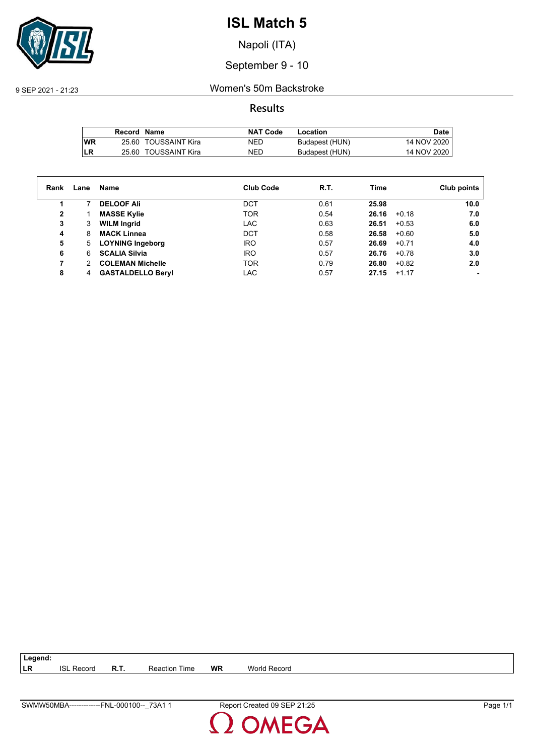

Napoli (ITA)

September 9 - 10

9 SEP 2021 - 21:23 Women's 50m Backstroke

**Results**

|            | Record Name |                      | <b>NAT Code</b> | Location       | Date        |
|------------|-------------|----------------------|-----------------|----------------|-------------|
| <b>IWR</b> |             | 25.60 TOUSSAINT Kira | NED             | Budapest (HUN) | 14 NOV 2020 |
| LR         |             | 25.60 TOUSSAINT Kira | <b>NED</b>      | Budapest (HUN) | 14 NOV 2020 |

| Rank         | Lane | Name                     | <b>Club Code</b> | R.T. | Time  |         | Club points |
|--------------|------|--------------------------|------------------|------|-------|---------|-------------|
| 1            |      | <b>DELOOF Ali</b>        | DCT              | 0.61 | 25.98 |         | 10.0        |
| $\mathbf{2}$ |      | <b>MASSE Kylie</b>       | <b>TOR</b>       | 0.54 | 26.16 | $+0.18$ | 7.0         |
| 3            | 3    | <b>WILM Ingrid</b>       | <b>LAC</b>       | 0.63 | 26.51 | $+0.53$ | 6.0         |
| 4            | 8    | <b>MACK Linnea</b>       | <b>DCT</b>       | 0.58 | 26.58 | $+0.60$ | 5.0         |
| 5            | 5.   | <b>LOYNING Ingeborg</b>  | <b>IRO</b>       | 0.57 | 26.69 | $+0.71$ | 4.0         |
| 6            | 6.   | <b>SCALIA Silvia</b>     | <b>IRO</b>       | 0.57 | 26.76 | $+0.78$ | 3.0         |
| 7            | 2    | <b>COLEMAN Michelle</b>  | <b>TOR</b>       | 0.79 | 26.80 | $+0.82$ | 2.0         |
| 8            | 4    | <b>GASTALDELLO Beryl</b> | LAC              | 0.57 | 27.15 | $+1.17$ |             |

| SWMW50MBA-------------F<br>73A1<br>-000100--<br><b>FNL</b> | 0.1.1<br><b>SEP</b><br>Report Created 09<br>21.25<br>_______ | - 7<br>Page |
|------------------------------------------------------------|--------------------------------------------------------------|-------------|

**LR** ISL Record **R.T.** Reaction Time **WR** World Record

**Legend:**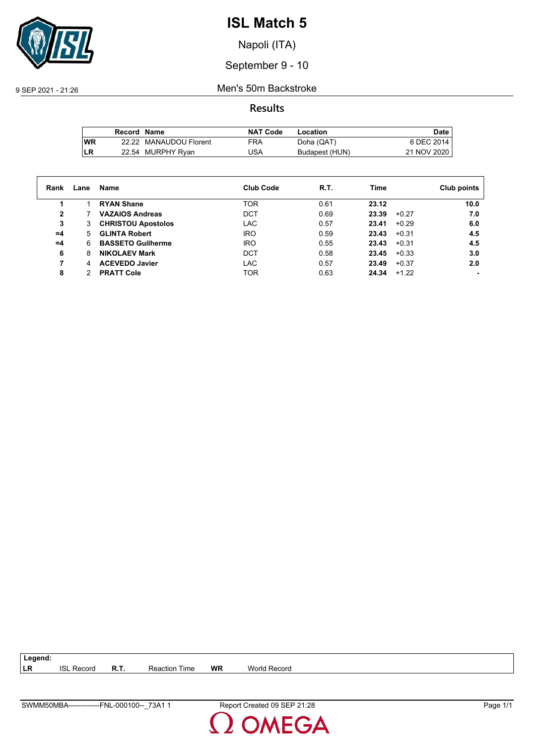

Napoli (ITA)

September 9 - 10

9 SEP 2021 - 21:26 Men's 50m Backstroke

**Results**

|           | Record Name |                        | <b>NAT Code</b> | Location       | Date.       |
|-----------|-------------|------------------------|-----------------|----------------|-------------|
| <b>WR</b> |             | 22.22 MANAUDOU Florent | FRA             | Doha (QAT)     | 6 DEC 2014  |
| LR        |             | 22.54 MURPHY Ryan      | JSA             | Budapest (HUN) | 21 NOV 2020 |

| Rank         | Lane | Name                      | <b>Club Code</b> | R.T. | Time             | Club points |
|--------------|------|---------------------------|------------------|------|------------------|-------------|
|              |      | <b>RYAN Shane</b>         | <b>TOR</b>       | 0.61 | 23.12            | 10.0        |
| $\mathbf{2}$ |      | <b>VAZAIOS Andreas</b>    | <b>DCT</b>       | 0.69 | 23.39<br>$+0.27$ | 7.0         |
| 3            | 3    | <b>CHRISTOU Apostolos</b> | <b>LAC</b>       | 0.57 | 23.41<br>$+0.29$ | 6.0         |
| $=4$         | 5.   | <b>GLINTA Robert</b>      | <b>IRO</b>       | 0.59 | $+0.31$<br>23.43 | 4.5         |
| $=4$         | 6    | <b>BASSETO Guilherme</b>  | <b>IRO</b>       | 0.55 | 23.43<br>$+0.31$ | 4.5         |
| 6            | 8    | <b>NIKOLAEV Mark</b>      | DCT              | 0.58 | 23.45<br>$+0.33$ | 3.0         |
|              | 4    | <b>ACEVEDO Javier</b>     | LAC              | 0.57 | 23.49<br>$+0.37$ | 2.0         |
| 8            |      | <b>PRATT Cole</b>         | <b>TOR</b>       | 0.63 | 24.34<br>$+1.22$ |             |

| SWMM50MBA-------------F<br>73A i<br>$-000100-$<br>FNL. | 21:28<br>SEP<br>Report Created 09 \,<br>_______ | - 7<br>Page |
|--------------------------------------------------------|-------------------------------------------------|-------------|

**LR** ISL Record **R.T.** Reaction Time **WR** World Record

**Legend:**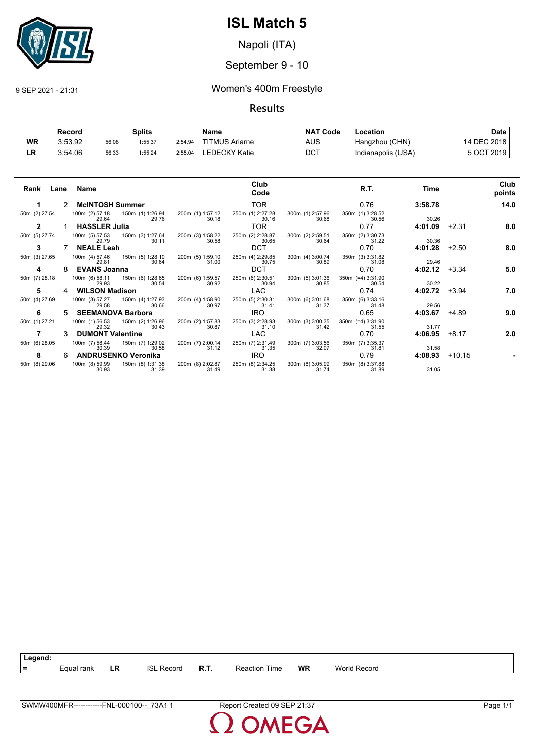

Napoli (ITA)

### September 9 - 10

9 SEP 2021 - 21:31 Women's 400m Freestyle

#### **Results**

|           | Record  |       | Splits  |         | Name                  | <b>NAT</b><br>ˈ Code | -ocation           | Date            |
|-----------|---------|-------|---------|---------|-----------------------|----------------------|--------------------|-----------------|
| <b>WR</b> | 3:53.92 | 56.08 | 1:55.37 | 2:54.94 | <b>TITMUS Ariarne</b> | AUS                  | Hangzhou (CHN)     | 14 DEC 2018     |
| LR        | 3:54.06 | 56.33 | 1:55.24 | 2:55.04 | LEDECKY Katie         | DCT                  | Indianapolis (USA) | ່ 2019<br>E OCT |

| Rank          |   | Lane Name                                 |                           |                           | Club<br>Code              |                           | R.T.                           | Time    |          | Club<br>points |
|---------------|---|-------------------------------------------|---------------------------|---------------------------|---------------------------|---------------------------|--------------------------------|---------|----------|----------------|
|               |   | 2 McINTOSH Summer                         |                           |                           | <b>TOR</b>                |                           | 0.76                           | 3:58.78 |          | 14.0           |
| 50m (2) 27.54 |   | 100m (2) 57.18 150m (1) 1:26.94<br>29.64  | 29.76                     | 200m (1) 1:57.12<br>30.18 | 250m (1) 2:27.28<br>30.16 | 300m (1) 2:57.96<br>30.68 | 350m (1) 3:28.52<br>30.56      | 30.26   |          |                |
| $\mathbf{2}$  |   | <b>HASSLER Julia</b>                      |                           |                           | TOR.                      |                           | 0.77                           | 4:01.09 | $+2.31$  | 8.0            |
| 50m (5) 27.74 |   | 100m (5) 57.53 150m (3) 1:27.64<br>29.79  | 30.11                     | 200m (3) 1:58.22<br>30.58 | 250m (2) 2:28.87<br>30.65 | 300m (2) 2:59.51<br>30.64 | 350m (2) 3:30.73<br>31.22      | 30.36   |          |                |
| 3             |   | <b>NEALE Leah</b>                         |                           |                           | <b>DCT</b>                |                           | 0.70                           | 4:01.28 | $+2.50$  | 8.0            |
| 50m (3) 27.65 |   | 100m (4) 57.46  150m (5) 1:28.10<br>29.81 | 30.64                     | 200m (5) 1:59.10<br>31.00 | 250m (4) 2:29.85<br>30.75 | 300m (4) 3:00.74<br>30.89 | 350m (3) 3:31.82<br>31.08      | 29.46   |          |                |
| 4             |   | <b>EVANS Joanna</b>                       |                           |                           | <b>DCT</b>                |                           | 0.70                           | 4:02.12 | $+3.34$  | 5.0            |
| 50m (7) 28.18 |   | 100m (6) 58.11<br>29.93                   | 150m (6) 1:28.65<br>30.54 | 200m (6) 1:59.57<br>30.92 | 250m (6) 2:30.51<br>30.94 | 300m (5) 3:01.36<br>30.85 | $350m$ (=4) $3:31.90$<br>30.54 | 30.22   |          |                |
| 5             |   | <b>WILSON Madison</b>                     |                           |                           | <b>LAC</b>                |                           | 0.74                           | 4:02.72 | $+3.94$  | 7.0            |
| 50m (4) 27.69 |   | 100m (3) 57.27<br>29.58                   | 150m (4) 1:27.93<br>30.66 | 200m (4) 1:58.90<br>30.97 | 250m (5) 2:30.31<br>31.41 | 300m (6) 3:01.68<br>31.37 | 350m (6) 3:33.16<br>31.48      | 29.56   |          |                |
| 6             | 5 | <b>SEEMANOVA Barbora</b>                  |                           |                           | <b>IRO</b>                |                           | 0.65                           | 4:03.67 | +4.89    | 9.0            |
| 50m (1) 27.21 |   | 100m (1) 56.53<br>29.32                   | 150m (2) 1:26.96<br>30.43 | 200m (2) 1:57.83<br>30.87 | 250m (3) 2:28.93<br>31.10 | 300m (3) 3:00.35<br>31.42 | $350m$ (=4) $3:31.90$<br>31.55 | 31.77   |          |                |
|               |   | <b>DUMONT Valentine</b>                   |                           |                           | <b>LAC</b>                |                           | 0.70                           | 4:06.95 | $+8.17$  | 2.0            |
| 50m (6) 28.05 |   | 100m (7) 58.44<br>30.39                   | 150m (7) 1:29.02<br>30.58 | 200m (7) 2:00.14<br>31.12 | 250m (7) 2:31.49<br>31.35 | 300m (7) 3:03.56<br>32.07 | 350m (7) 3:35.37<br>31.81      | 31.58   |          |                |
| 8             | 6 | <b>ANDRUSENKO Veronika</b>                |                           |                           | <b>IRO</b>                |                           | 0.79                           | 4:08.93 | $+10.15$ |                |
| 50m (8) 29.06 |   | 100m (8) 59.99<br>30.93                   | 150m (8) 1:31.38<br>31.39 | 200m (8) 2:02.87<br>31.49 | 250m (8) 2:34.25<br>31.38 | 300m (8) 3:05.99<br>31.74 | 350m (8) 3:37.88<br>31.89      | 31.05   |          |                |

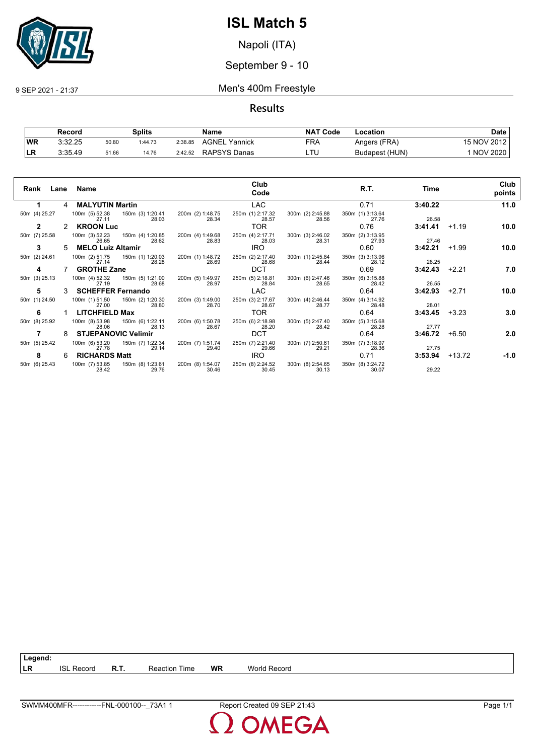

Napoli (ITA)

### September 9 - 10

9 SEP 2021 - 21:37 Men's 400m Freestyle

**Results**

|           | Record  |       | Splits  |         | Name                | <b>NAT</b><br><b>Code</b> | Location       | Date            |
|-----------|---------|-------|---------|---------|---------------------|---------------------------|----------------|-----------------|
| <b>WR</b> | 3:32.25 | 50.80 | 1:44.73 | 2:38.85 | AGNEL<br>Yannick    | FRA                       | Angers (FRA)   | 15 NOV 2012     |
| ∣LR       | 3:35.49 | 51.66 | 14.76   | 2:42.52 | <b>RAPSYS Danas</b> | LTL                       | Budapest (HUN) | <b>NOV 2020</b> |

| Rank          |               | Lane Name                                |                           |                           | Club<br>Code              |                           | R.T.                      | Time    |          | Club<br>points |
|---------------|---------------|------------------------------------------|---------------------------|---------------------------|---------------------------|---------------------------|---------------------------|---------|----------|----------------|
| 1.            |               | 4 MALYUTIN Martin                        |                           |                           | <b>LAC</b>                |                           | 0.71                      | 3:40.22 |          | 11.0           |
| 50m (4) 25.27 |               | 100m (5) 52.38<br>27.11                  | 150m (3) 1:20.41<br>28.03 | 200m (2) 1:48.75<br>28.34 | 250m (1) 2:17.32<br>28.57 | 300m (2) 2:45.88<br>28.56 | 350m (1) 3:13.64<br>27.76 | 26.58   |          |                |
| $\mathbf{2}$  | $\mathcal{P}$ | <b>KROON Luc</b>                         |                           |                           | TOR.                      |                           | 0.76                      | 3:41.41 | $+1.19$  | 10.0           |
| 50m (7) 25.58 |               | 100m (3) 52.23 150m (4) 1:20.85<br>26.65 | 28.62                     | 200m (4) 1:49.68<br>28.83 | 250m (4) 2:17.71<br>28.03 | 300m (3) 2:46.02<br>28.31 | 350m (2) 3:13.95<br>27.93 | 27.46   |          |                |
| 3             |               | <b>MELO Luiz Altamir</b>                 |                           |                           | <b>IRO</b>                |                           | 0.60                      | 3:42.21 | $+1.99$  | 10.0           |
| 50m (2) 24.61 |               | 100m (2) 51.75<br>27.14                  | 150m (1) 1:20.03<br>28.28 | 200m (1) 1:48.72<br>28.69 | 250m (2) 2:17.40<br>28.68 | 300m (1) 2:45.84<br>28.44 | 350m (3) 3:13.96<br>28.12 | 28.25   |          |                |
| 4             |               | <b>GROTHE Zane</b>                       |                           |                           | <b>DCT</b>                |                           | 0.69                      | 3:42.43 | $+2.21$  | 7.0            |
| 50m (3) 25.13 |               | 100m (4) 52.32<br>27.19                  | 150m (5) 1:21.00<br>28.68 | 200m (5) 1:49.97<br>28.97 | 250m (5) 2:18.81<br>28.84 | 300m (6) 2:47.46<br>28.65 | 350m (6) 3:15.88<br>28.42 | 26.55   |          |                |
| 5             | 3             | <b>SCHEFFER Fernando</b>                 |                           |                           | <b>LAC</b>                |                           | 0.64                      | 3:42.93 | $+2.71$  | 10.0           |
| 50m (1) 24.50 |               | 100m (1) 51.50<br>27.00                  | 150m (2) 1:20.30<br>28.80 | 200m (3) 1:49.00<br>28.70 | 250m (3) 2:17.67<br>28.67 | 300m (4) 2:46.44<br>28.77 | 350m (4) 3:14.92<br>28.48 | 28.01   |          |                |
| 6             |               | <b>LITCHFIELD Max</b>                    |                           |                           | TOR                       |                           | 0.64                      | 3:43.45 | $+3.23$  | 3.0            |
| 50m (8) 25.92 |               | 100m (8) 53.98<br>28.06                  | 150m (6) 1:22.11<br>28.13 | 200m (6) 1:50.78<br>28.67 | 250m (6) 2:18.98<br>28.20 | 300m (5) 2:47.40<br>28.42 | 350m (5) 3:15.68<br>28.28 | 27.77   |          |                |
|               | 8             | <b>STJEPANOVIC Velimir</b>               |                           |                           | <b>DCT</b>                |                           | 0.64                      | 3:46.72 | $+6.50$  | 2.0            |
| 50m (5) 25.42 |               | 100m (6) 53.20<br>27.78                  | 150m (7) 1:22.34<br>29.14 | 200m (7) 1:51.74<br>29.40 | 250m (7) 2:21.40<br>29.66 | 300m (7) 2:50.61<br>29.21 | 350m (7) 3:18.97<br>28.36 | 27.75   |          |                |
| 8             | 6             | <b>RICHARDS Matt</b>                     |                           |                           | <b>IRO</b>                |                           | 0.71                      | 3:53.94 | $+13.72$ | -1.0           |
| 50m (6) 25.43 |               | 100m (7) 53.85<br>28.42                  | 150m (8) 1:23.61<br>29.76 | 200m (8) 1:54.07<br>30.46 | 250m (8) 2:24.52<br>30.45 | 300m (8) 2:54.65<br>30.13 | 350m (8) 3:24.72<br>30.07 | 29.22   |          |                |

**LR** ISL Record **R.T.** Reaction Time **WR** World Record

**Legend:**

SWMM400MFR------------FNL-000100--\_73A1 1 Report Created 09 SEP 21:43 Page 1/1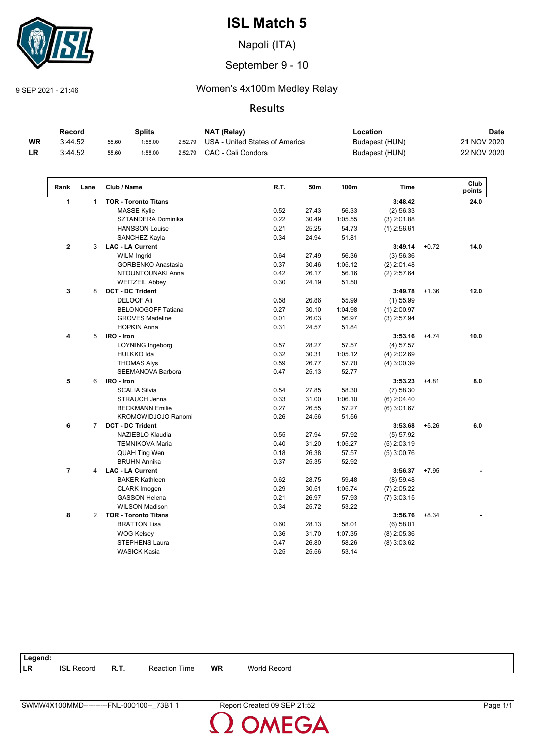

Napoli (ITA)

September 9 - 10

### 9 SEP 2021 - 21:46 Women's 4x100m Medley Relay

#### **Results**

|           | Record  |       | Splits  |         | NAT (Relay)                    | ∟ocation       | Date        |
|-----------|---------|-------|---------|---------|--------------------------------|----------------|-------------|
| <b>WR</b> | 3:44.52 | 55.60 | 1:58.00 | 2:52.79 | USA - United States of America | Budapest (HUN) | 21 NOV 2020 |
| ILR.      | 3:44.52 | 55.60 | 1:58.00 | 2:52.79 | CAC - Cali Condors             | Budapest (HUN) | 22 NOV 2020 |

| Rank           | Lane           | Club / Name                 | R.T. | 50m   | 100m    | <b>Time</b>   |         | Club<br>points |
|----------------|----------------|-----------------------------|------|-------|---------|---------------|---------|----------------|
| $\mathbf{1}$   | $\mathbf{1}$   | <b>TOR - Toronto Titans</b> |      |       |         | 3:48.42       |         | 24.0           |
|                |                | <b>MASSE Kylie</b>          | 0.52 | 27.43 | 56.33   | $(2)$ 56.33   |         |                |
|                |                | SZTANDERA Dominika          | 0.22 | 30.49 | 1:05.55 | $(3)$ 2:01.88 |         |                |
|                |                | <b>HANSSON Louise</b>       | 0.21 | 25.25 | 54.73   | $(1)$ 2:56.61 |         |                |
|                |                | SANCHEZ Kayla               | 0.34 | 24.94 | 51.81   |               |         |                |
| $\mathbf{2}$   | 3              | <b>LAC - LA Current</b>     |      |       |         | 3:49.14       | $+0.72$ | 14.0           |
|                |                | <b>WILM Ingrid</b>          | 0.64 | 27.49 | 56.36   | (3) 56.36     |         |                |
|                |                | <b>GORBENKO Anastasia</b>   | 0.37 | 30.46 | 1:05.12 | $(2)$ 2:01.48 |         |                |
|                |                | NTOUNTOUNAKI Anna           | 0.42 | 26.17 | 56.16   | $(2)$ 2:57.64 |         |                |
|                |                | <b>WEITZEIL Abbey</b>       | 0.30 | 24.19 | 51.50   |               |         |                |
| 3              | 8              | <b>DCT - DC Trident</b>     |      |       |         | 3:49.78       | $+1.36$ | 12.0           |
|                |                | <b>DELOOF Ali</b>           | 0.58 | 26.86 | 55.99   | $(1)$ 55.99   |         |                |
|                |                | <b>BELONOGOFF Tatiana</b>   | 0.27 | 30.10 | 1:04.98 | $(1)$ 2:00.97 |         |                |
|                |                | <b>GROVES Madeline</b>      | 0.01 | 26.03 | 56.97   | $(3)$ 2:57.94 |         |                |
|                |                | <b>HOPKIN Anna</b>          | 0.31 | 24.57 | 51.84   |               |         |                |
| 4              | 5              | IRO - Iron                  |      |       |         | 3:53.16       | $+4.74$ | 10.0           |
|                |                | <b>LOYNING Ingeborg</b>     | 0.57 | 28.27 | 57.57   | (4) 57.57     |         |                |
|                |                | HULKKO Ida                  | 0.32 | 30.31 | 1:05.12 | $(4)$ 2:02.69 |         |                |
|                |                | <b>THOMAS Alys</b>          | 0.59 | 26.77 | 57.70   | $(4)$ 3:00.39 |         |                |
|                |                | <b>SEEMANOVA Barbora</b>    | 0.47 | 25.13 | 52.77   |               |         |                |
| 5              | 6              | IRO - Iron                  |      |       |         | 3:53.23       | $+4.81$ | 8.0            |
|                |                | <b>SCALIA Silvia</b>        | 0.54 | 27.85 | 58.30   | (7) 58.30     |         |                |
|                |                | <b>STRAUCH Jenna</b>        | 0.33 | 31.00 | 1:06.10 | $(6)$ 2:04.40 |         |                |
|                |                | <b>BECKMANN Emilie</b>      | 0.27 | 26.55 | 57.27   | $(6)$ 3:01.67 |         |                |
|                |                | KROMOWIDJOJO Ranomi         | 0.26 | 24.56 | 51.56   |               |         |                |
| 6              | $\overline{7}$ | <b>DCT - DC Trident</b>     |      |       |         | 3:53.68       | $+5.26$ | 6.0            |
|                |                | NAZIEBLO Klaudia            | 0.55 | 27.94 | 57.92   | (5) 57.92     |         |                |
|                |                | <b>TEMNIKOVA Maria</b>      | 0.40 | 31.20 | 1:05.27 | $(5)$ 2:03.19 |         |                |
|                |                | <b>QUAH Ting Wen</b>        | 0.18 | 26.38 | 57.57   | $(5)$ 3:00.76 |         |                |
|                |                | <b>BRUHN Annika</b>         | 0.37 | 25.35 | 52.92   |               |         |                |
| $\overline{7}$ | 4              | <b>LAC - LA Current</b>     |      |       |         | 3:56.37       | $+7.95$ |                |
|                |                | <b>BAKER Kathleen</b>       | 0.62 | 28.75 | 59.48   | $(8)$ 59.48   |         |                |
|                |                | <b>CLARK</b> Imogen         | 0.29 | 30.51 | 1:05.74 | $(7)$ 2:05.22 |         |                |
|                |                | <b>GASSON Helena</b>        | 0.21 | 26.97 | 57.93   | $(7)$ 3:03.15 |         |                |
|                |                | <b>WILSON Madison</b>       | 0.34 | 25.72 | 53.22   |               |         |                |
| 8              | $\overline{2}$ | <b>TOR - Toronto Titans</b> |      |       |         | 3:56.76       | $+8.34$ |                |
|                |                | <b>BRATTON Lisa</b>         | 0.60 | 28.13 | 58.01   | (6) 58.01     |         |                |
|                |                | <b>WOG Kelsey</b>           | 0.36 | 31.70 | 1:07.35 | $(8)$ 2:05.36 |         |                |
|                |                | <b>STEPHENS Laura</b>       | 0.47 | 26.80 | 58.26   | $(8)$ 3:03.62 |         |                |
|                |                | <b>WASICK Kasia</b>         | 0.25 | 25.56 | 53.14   |               |         |                |

| Legend:          |        |      |                                            |    |                 |
|------------------|--------|------|--------------------------------------------|----|-----------------|
| <b>LR</b><br>ISL | Record | R.T. | $- \cdot$<br>Reaction <sup>1</sup><br>Time | WR | World<br>Record |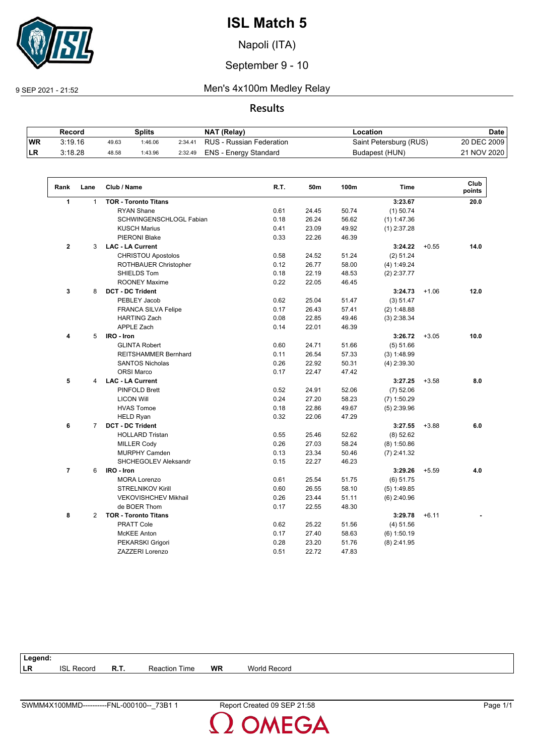

Napoli (ITA)

### September 9 - 10

9 SEP 2021 - 21:52 Men's 4x100m Medley Relay

#### **Results**

|            | Record  |       | Splits  |         | NAT (Relay)              | -ocation               | Date        |
|------------|---------|-------|---------|---------|--------------------------|------------------------|-------------|
| <b>IWR</b> | 3:19.16 | 49.63 | 1:46.06 | 2:34.41 | RUS - Russian Federation | Saint Petersburg (RUS) | 20 DEC 2009 |
| <b>ILR</b> | 3:18.28 | 48.58 | 1:43.96 | 2:32.49 | ENS - Energy Standard    | Budapest (HUN)         | 21 NOV 2020 |

| Rank           | Lane           | Club / Name                 | R.T. | 50m   | 100m  | <b>Time</b>   |         | Club<br>points |
|----------------|----------------|-----------------------------|------|-------|-------|---------------|---------|----------------|
| $\mathbf{1}$   | $\mathbf{1}$   | <b>TOR - Toronto Titans</b> |      |       |       | 3:23.67       |         | 20.0           |
|                |                | <b>RYAN Shane</b>           | 0.61 | 24.45 | 50.74 | $(1)$ 50.74   |         |                |
|                |                | SCHWINGENSCHLOGL Fabian     | 0.18 | 26.24 | 56.62 | $(1)$ 1:47.36 |         |                |
|                |                | <b>KUSCH Marius</b>         | 0.41 | 23.09 | 49.92 | $(1)$ 2:37.28 |         |                |
|                |                | PIERONI Blake               | 0.33 | 22.26 | 46.39 |               |         |                |
| $\mathbf{2}$   | 3              | <b>LAC - LA Current</b>     |      |       |       | 3:24.22       | $+0.55$ | 14.0           |
|                |                | CHRISTOU Apostolos          | 0.58 | 24.52 | 51.24 | (2) 51.24     |         |                |
|                |                | ROTHBAUER Christopher       | 0.12 | 26.77 | 58.00 | (4) 1:49.24   |         |                |
|                |                | SHIELDS Tom                 | 0.18 | 22.19 | 48.53 | $(2)$ 2:37.77 |         |                |
|                |                | <b>ROONEY Maxime</b>        | 0.22 | 22.05 | 46.45 |               |         |                |
| 3              | 8              | <b>DCT - DC Trident</b>     |      |       |       | 3:24.73       | $+1.06$ | 12.0           |
|                |                | PEBLEY Jacob                | 0.62 | 25.04 | 51.47 | (3) 51.47     |         |                |
|                |                | <b>FRANCA SILVA Felipe</b>  | 0.17 | 26.43 | 57.41 | (2) 1:48.88   |         |                |
|                |                | <b>HARTING Zach</b>         | 0.08 | 22.85 | 49.46 | $(3)$ 2:38.34 |         |                |
|                |                | <b>APPLE Zach</b>           | 0.14 | 22.01 | 46.39 |               |         |                |
| 4              | 5              | IRO - Iron                  |      |       |       | 3:26.72       | $+3.05$ | 10.0           |
|                |                | <b>GLINTA Robert</b>        | 0.60 | 24.71 | 51.66 | (5) 51.66     |         |                |
|                |                | <b>REITSHAMMER Bernhard</b> | 0.11 | 26.54 | 57.33 | (3) 1:48.99   |         |                |
|                |                | <b>SANTOS Nicholas</b>      | 0.26 | 22.92 | 50.31 | $(4)$ 2:39.30 |         |                |
|                |                | <b>ORSI Marco</b>           | 0.17 | 22.47 | 47.42 |               |         |                |
| 5              | 4              | <b>LAC - LA Current</b>     |      |       |       | 3:27.25       | $+3.58$ | 8.0            |
|                |                | PINFOLD Brett               | 0.52 | 24.91 | 52.06 | $(7)$ 52.06   |         |                |
|                |                | <b>LICON Will</b>           | 0.24 | 27.20 | 58.23 | $(7)$ 1:50.29 |         |                |
|                |                | <b>HVAS Tomoe</b>           | 0.18 | 22.86 | 49.67 | $(5)$ 2:39.96 |         |                |
|                |                | <b>HELD Ryan</b>            | 0.32 | 22.06 | 47.29 |               |         |                |
| 6              | $\overline{7}$ | <b>DCT - DC Trident</b>     |      |       |       | 3:27.55       | $+3.88$ | 6.0            |
|                |                | <b>HOLLARD Tristan</b>      | 0.55 | 25.46 | 52.62 | (8) 52.62     |         |                |
|                |                | <b>MILLER Cody</b>          | 0.26 | 27.03 | 58.24 | $(8)$ 1:50.86 |         |                |
|                |                | <b>MURPHY Camden</b>        | 0.13 | 23.34 | 50.46 | $(7)$ 2:41.32 |         |                |
|                |                | SHCHEGOLEV Aleksandr        | 0.15 | 22.27 | 46.23 |               |         |                |
| $\overline{7}$ | 6              | IRO - Iron                  |      |       |       | 3:29.26       | $+5.59$ | 4.0            |
|                |                | <b>MORA Lorenzo</b>         | 0.61 | 25.54 | 51.75 | (6) 51.75     |         |                |
|                |                | <b>STRELNIKOV Kirill</b>    | 0.60 | 26.55 | 58.10 | $(5)$ 1:49.85 |         |                |
|                |                | <b>VEKOVISHCHEV Mikhail</b> | 0.26 | 23.44 | 51.11 | $(6)$ 2:40.96 |         |                |
|                |                | de BOER Thom                | 0.17 | 22.55 | 48.30 |               |         |                |
| 8              | 2              | <b>TOR - Toronto Titans</b> |      |       |       | 3:29.78       | $+6.11$ |                |
|                |                | <b>PRATT Cole</b>           | 0.62 | 25.22 | 51.56 | (4) 51.56     |         |                |
|                |                | McKEE Anton                 | 0.17 | 27.40 | 58.63 | $(6)$ 1:50.19 |         |                |
|                |                | PEKARSKI Grigori            | 0.28 | 23.20 | 51.76 | $(8)$ 2:41.95 |         |                |
|                |                | ZAZZERI Lorenzo             | 0.51 | 22.72 | 47.83 |               |         |                |

| Legend:   |                   |      |                      |           |                     |
|-----------|-------------------|------|----------------------|-----------|---------------------|
| <b>LR</b> | <b>ISL Record</b> | R.T. | <b>Reaction Time</b> | <b>WR</b> | <b>World Record</b> |
|           |                   |      |                      |           |                     |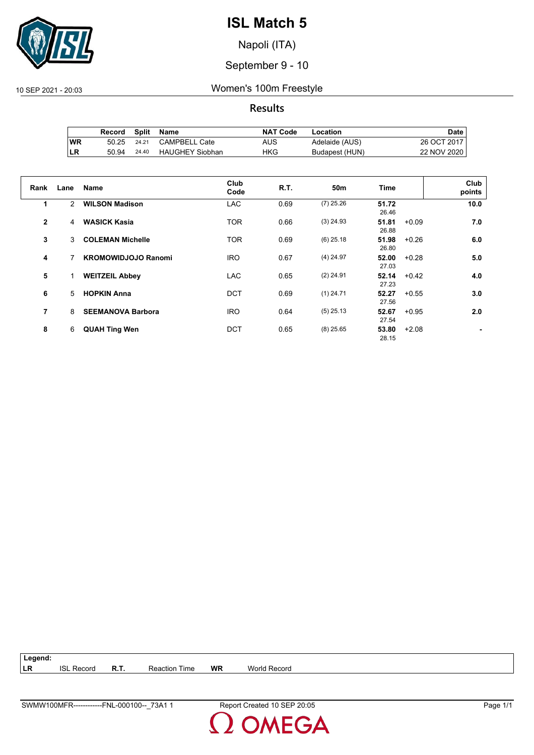

Napoli (ITA)

September 9 - 10

10 SEP 2021 - 20:03 Women's 100m Freestyle

**Results**

|           | Record | Split | Name                   | <b>NAT Code</b> | Location       | Date l      |
|-----------|--------|-------|------------------------|-----------------|----------------|-------------|
| <b>WR</b> | 50.25  | 24.21 | <b>CAMPBELL Cate</b>   | AUS             | Adelaide (AUS) | 26 OCT 2017 |
| ILR       | 50.94  | 24.40 | <b>HAUGHEY Siobhan</b> | HKG             | Budapest (HUN) | 22 NOV 2020 |

|                |      |                            | Club       |      |                 |                           | Club   |
|----------------|------|----------------------------|------------|------|-----------------|---------------------------|--------|
| Rank           | Lane | <b>Name</b>                | Code       | R.T. | 50 <sub>m</sub> | Time                      | points |
| 1              | 2    | <b>WILSON Madison</b>      | <b>LAC</b> | 0.69 | $(7)$ 25.26     | 51.72<br>26.46            | 10.0   |
| $\overline{2}$ | 4    | <b>WASICK Kasia</b>        | <b>TOR</b> | 0.66 | $(3)$ 24.93     | 51.81<br>$+0.09$<br>26.88 | 7.0    |
| 3              | 3    | <b>COLEMAN Michelle</b>    | <b>TOR</b> | 0.69 | $(6)$ 25.18     | 51.98<br>$+0.26$<br>26.80 | 6.0    |
| 4              |      | <b>KROMOWIDJOJO Ranomi</b> | <b>IRO</b> | 0.67 | $(4)$ 24.97     | 52.00<br>$+0.28$<br>27.03 | 5.0    |
| 5              |      | <b>WEITZEIL Abbey</b>      | <b>LAC</b> | 0.65 | $(2)$ 24.91     | 52.14<br>$+0.42$<br>27.23 | 4.0    |
| 6              | 5    | <b>HOPKIN Anna</b>         | <b>DCT</b> | 0.69 | $(1)$ 24.71     | 52.27<br>$+0.55$<br>27.56 | 3.0    |
| 7              | 8    | <b>SEEMANOVA Barbora</b>   | <b>IRO</b> | 0.64 | $(5)$ 25.13     | 52.67<br>$+0.95$<br>27.54 | 2.0    |
| 8              | 6    | <b>QUAH Ting Wen</b>       | <b>DCT</b> | 0.65 | $(8)$ 25.65     | 53.80<br>$+2.08$<br>28.15 |        |

**Legend: LR** ISL Record **R.T.** Reaction Time **WR** World Record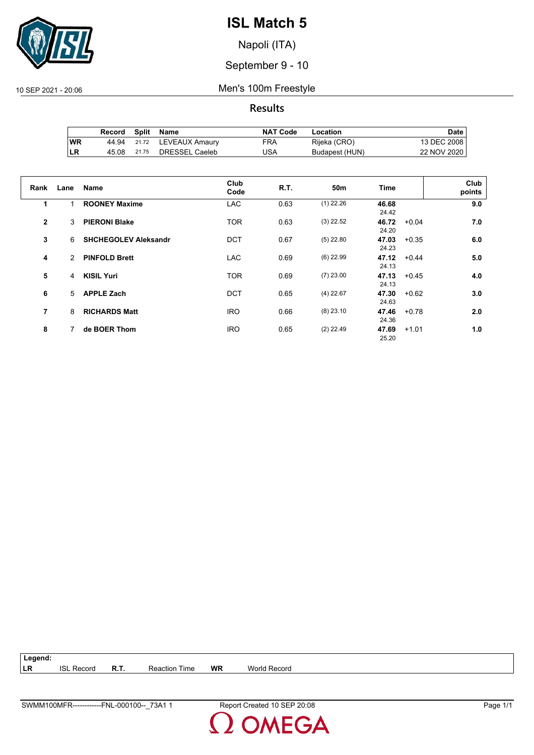

Napoli (ITA)

September 9 - 10

10 SEP 2021 - 20:06 Men's 100m Freestyle

**Results**

|     | Record | Split | Name                 | <b>NAT Code</b> | Location       | Date i      |
|-----|--------|-------|----------------------|-----------------|----------------|-------------|
| ∣WR | 44.94  |       | 21.72 LEVEAUX Amaury | FRA             | Rijeka (CRO)   | 13 DEC 2008 |
| ILR | 45.08  | 21.75 | DRESSEL Caeleb       | USA             | Budapest (HUN) | 22 NOV 2020 |

| Rank         | Lane          | Name                        | Club<br>Code | R.T. | 50 <sub>m</sub> | <b>Time</b>    |         | Club<br>points |
|--------------|---------------|-----------------------------|--------------|------|-----------------|----------------|---------|----------------|
| 1            | 1             | <b>ROONEY Maxime</b>        | <b>LAC</b>   | 0.63 | $(1)$ 22.26     | 46.68<br>24.42 |         | 9.0            |
| $\mathbf{2}$ | 3             | <b>PIERONI Blake</b>        | <b>TOR</b>   | 0.63 | $(3)$ 22.52     | 46.72<br>24.20 | $+0.04$ | 7.0            |
| 3            | 6             | <b>SHCHEGOLEV Aleksandr</b> | <b>DCT</b>   | 0.67 | $(5)$ 22.80     | 47.03<br>24.23 | $+0.35$ | 6.0            |
| 4            | $\mathcal{P}$ | <b>PINFOLD Brett</b>        | <b>LAC</b>   | 0.69 | $(6)$ 22.99     | 47.12<br>24.13 | $+0.44$ | 5.0            |
| 5            | 4             | <b>KISIL Yuri</b>           | <b>TOR</b>   | 0.69 | $(7)$ 23.00     | 47.13<br>24.13 | $+0.45$ | 4.0            |
| 6            | 5             | <b>APPLE Zach</b>           | <b>DCT</b>   | 0.65 | $(4)$ 22.67     | 47.30<br>24.63 | $+0.62$ | 3.0            |
| 7            | 8             | <b>RICHARDS Matt</b>        | <b>IRO</b>   | 0.66 | $(8)$ 23.10     | 47.46<br>24.36 | $+0.78$ | 2.0            |
| 8            | 7             | de BOER Thom                | <b>IRO</b>   | 0.65 | $(2)$ 22.49     | 47.69<br>25.20 | $+1.01$ | 1.0            |

**Legend: LR** ISL Record **R.T.** Reaction Time **WR** World Record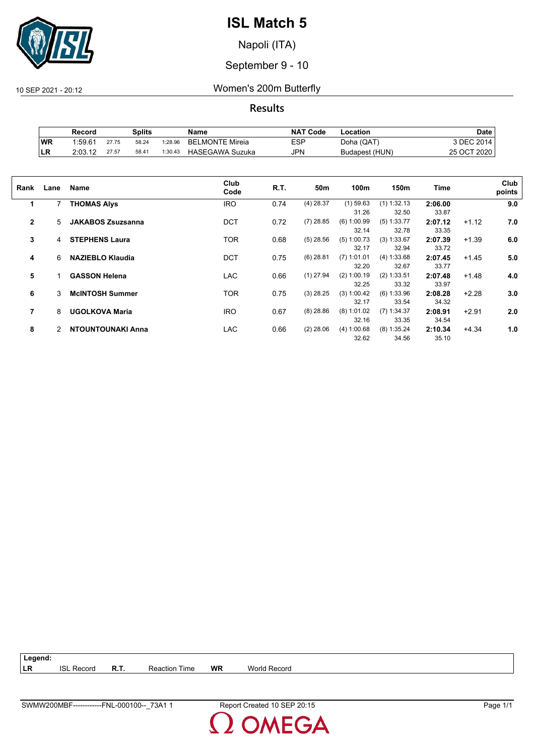

Napoli (ITA)

September 9 - 10

10 SEP 2021 - 20:12 Women's 200m Butterfly

**Results**

|            | Record              |       | Splits |         | Name                   | <b>NAT Code</b> | Location       | Date        |
|------------|---------------------|-------|--------|---------|------------------------|-----------------|----------------|-------------|
| <b>WR</b>  | 1.59.6 <sup>4</sup> | 27.75 | 58.24  | 1:28.96 | <b>BELMONTE Mireia</b> | <b>ESP</b>      | Doha (QAT)     | 3 DEC 2014. |
| <b>ILR</b> | 2:03.12             | 27.57 | 58.41  | 1:30.43 | <b>HASEGAWA Suzuka</b> | JPN             | Budapest (HUN) | 25 OCT 2020 |

| Rank         | Lane | Name                     | Club<br>Code | R.T. | 50m         | 100m                   | 150m                   | <b>Time</b>      |         | Club<br>points |
|--------------|------|--------------------------|--------------|------|-------------|------------------------|------------------------|------------------|---------|----------------|
| 1            |      | <b>THOMAS Alys</b>       | <b>IRO</b>   | 0.74 | $(4)$ 28.37 | $(1)$ 59.63<br>31.26   | $(1)$ 1:32.13<br>32.50 | 2:06.00<br>33.87 |         | 9.0            |
| $\mathbf{2}$ | 5    | <b>JAKABOS Zsuzsanna</b> | <b>DCT</b>   | 0.72 | $(7)$ 28.85 | $(6)$ 1:00.99<br>32.14 | $(5)$ 1:33.77<br>32.78 | 2:07.12<br>33.35 | $+1.12$ | 7.0            |
| 3            | 4    | <b>STEPHENS Laura</b>    | <b>TOR</b>   | 0.68 | $(5)$ 28.56 | $(5)$ 1:00.73<br>32.17 | (3) 1:33.67<br>32.94   | 2:07.39<br>33.72 | $+1.39$ | 6.0            |
| 4            | 6    | <b>NAZIEBLO Klaudia</b>  | <b>DCT</b>   | 0.75 | $(6)$ 28.81 | $(7)$ 1:01.01<br>32.20 | (4) 1:33.68<br>32.67   | 2:07.45<br>33.77 | $+1.45$ | 5.0            |
| 5            |      | <b>GASSON Helena</b>     | <b>LAC</b>   | 0.66 | $(1)$ 27.94 | $(2)$ 1:00.19<br>32.25 | (2) 1:33.51<br>33.32   | 2:07.48<br>33.97 | $+1.48$ | 4.0            |
| 6            | 3    | <b>McINTOSH Summer</b>   | <b>TOR</b>   | 0.75 | $(3)$ 28.25 | (3) 1:00.42<br>32.17   | $(6)$ 1:33.96<br>33.54 | 2:08.28<br>34.32 | $+2.28$ | 3.0            |
| 7            | 8    | <b>UGOLKOVA Maria</b>    | <b>IRO</b>   | 0.67 | $(8)$ 28.86 | $(8)$ 1:01.02<br>32.16 | $(7)$ 1:34.37<br>33.35 | 2:08.91<br>34.54 | $+2.91$ | 2.0            |
| 8            | 2    | NTOUNTOUNAKI Anna        | LAC.         | 0.66 | $(2)$ 28.06 | (4) 1:00.68<br>32.62   | $(8)$ 1:35.24<br>34.56 | 2:10.34<br>35.10 | $+4.34$ | 1.0            |

| Legend: |                   |               |    |                     |
|---------|-------------------|---------------|----|---------------------|
| LR      | <b>ISL Record</b> | Reaction Time | WR | <b>World Record</b> |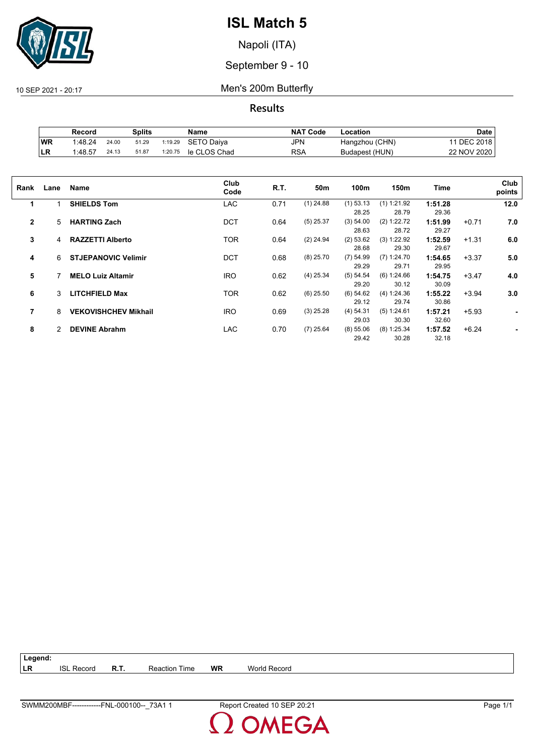

Napoli (ITA)

September 9 - 10

10 SEP 2021 - 20:17 Men's 200m Butterfly

**Results**

|    | Record  |       | Splits |         | Name         | <b>NAT Code</b> | ∟ocation       | Date        |
|----|---------|-------|--------|---------|--------------|-----------------|----------------|-------------|
| WR | 1:48.24 | 24.00 | 51.29  | 1:19.29 | SETO Daiva   | JPN             | Hangzhou (CHN) | DEC 2018    |
| LR | 1:48.57 | 24.13 | 51.87  | 1:20.75 | le CLOS Chad | <b>RSA</b>      | Budapest (HUN) | 22 NOV 2020 |

| Rank         | Lane | Name                        | Club<br>Code | R.T. | 50m         | 100m        | 150m          | Time    |         | Club<br>points |
|--------------|------|-----------------------------|--------------|------|-------------|-------------|---------------|---------|---------|----------------|
| 1            |      | <b>SHIELDS Tom</b>          | <b>LAC</b>   | 0.71 | $(1)$ 24.88 | $(1)$ 53.13 | $(1)$ 1:21.92 | 1:51.28 |         | 12.0           |
|              |      |                             |              |      |             | 28.25       | 28.79         | 29.36   |         |                |
| $\mathbf{2}$ | 5    | <b>HARTING Zach</b>         | <b>DCT</b>   | 0.64 | $(5)$ 25.37 | (3) 54.00   | (2) 1:22.72   | 1:51.99 | $+0.71$ | 7.0            |
|              |      |                             |              |      |             | 28.63       | 28.72         | 29.27   |         |                |
| 3            | 4    | <b>RAZZETTI Alberto</b>     | TOR          | 0.64 | $(2)$ 24.94 | (2) 53.62   | (3) 1:22.92   | 1:52.59 | $+1.31$ | 6.0            |
|              |      |                             |              |      |             | 28.68       | 29.30         | 29.67   |         |                |
| 4            | 6    | <b>STJEPANOVIC Velimir</b>  | <b>DCT</b>   | 0.68 | $(8)$ 25.70 | $(7)$ 54.99 | (7) 1:24.70   | 1:54.65 | $+3.37$ | 5.0            |
|              |      |                             |              |      |             | 29.29       | 29.71         | 29.95   |         |                |
| 5            |      | <b>MELO Luiz Altamir</b>    | <b>IRO</b>   | 0.62 | $(4)$ 25.34 | (5) 54.54   | (6) 1:24.66   | 1:54.75 | $+3.47$ | 4.0            |
|              |      |                             |              |      |             | 29.20       | 30.12         | 30.09   |         |                |
| 6            | 3    | <b>LITCHFIELD Max</b>       | TOR          | 0.62 | $(6)$ 25.50 | (6) 54.62   | (4) 1:24.36   | 1:55.22 | $+3.94$ | 3.0            |
|              |      |                             |              |      |             | 29.12       | 29.74         | 30.86   |         |                |
| 7            | 8    | <b>VEKOVISHCHEV Mikhail</b> | <b>IRO</b>   | 0.69 | $(3)$ 25.28 | (4) 54.31   | (5) 1:24.61   | 1:57.21 | $+5.93$ | ۰              |
|              |      |                             |              |      |             | 29.03       | 30.30         | 32.60   |         |                |
| 8            | 2    | <b>DEVINE Abrahm</b>        | <b>LAC</b>   | 0.70 | $(7)$ 25.64 | (8) 55.06   | (8) 1:25.34   | 1:57.52 | $+6.24$ |                |
|              |      |                             |              |      |             | 29.42       | 30.28         | 32.18   |         |                |
|              |      |                             |              |      |             |             |               |         |         |                |

| $\vert$ Legend: |                   |                      |    |              |  |
|-----------------|-------------------|----------------------|----|--------------|--|
| <b>ILR</b>      | <b>ISL Record</b> | <b>Reaction Time</b> | WR | World Record |  |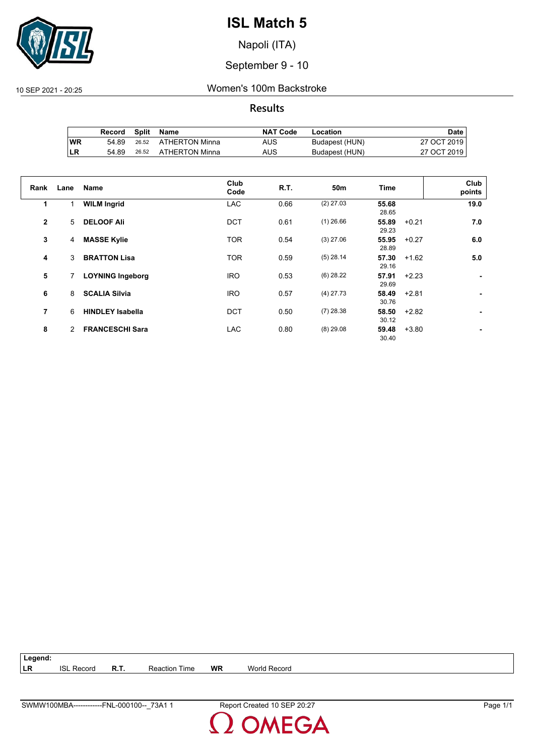

Napoli (ITA)

September 9 - 10

10 SEP 2021 - 20:25 Women's 100m Backstroke

**Results**

|           | Record | <b>Split</b> | Name           | <b>NAT Code</b> | Location       | Date i      |
|-----------|--------|--------------|----------------|-----------------|----------------|-------------|
| <b>WR</b> | 54.89  | 26.52        | ATHERTON Minna | AUS             | Budapest (HUN) | 27 OCT 2019 |
| LR        | 54.89  | 26.52        | ATHERTON Minna | AUS             | Budapest (HUN) | 27 OCT 2019 |

| Rank           | Lane | Name                    | Club<br>Code | <b>R.T.</b> | 50m         | Time                      | Club<br>points |
|----------------|------|-------------------------|--------------|-------------|-------------|---------------------------|----------------|
| 1              |      | <b>WILM Ingrid</b>      | <b>LAC</b>   | 0.66        | $(2)$ 27.03 | 55.68<br>28.65            | 19.0           |
| $\overline{2}$ | 5    | <b>DELOOF Ali</b>       | <b>DCT</b>   | 0.61        | $(1)$ 26.66 | 55.89<br>$+0.21$<br>29.23 | 7.0            |
| 3              | 4    | <b>MASSE Kylie</b>      | <b>TOR</b>   | 0.54        | $(3)$ 27.06 | 55.95<br>$+0.27$<br>28.89 | 6.0            |
| 4              | 3    | <b>BRATTON Lisa</b>     | <b>TOR</b>   | 0.59        | $(5)$ 28.14 | 57.30<br>$+1.62$<br>29.16 | 5.0            |
| 5              | 7    | <b>LOYNING Ingeborg</b> | <b>IRO</b>   | 0.53        | $(6)$ 28.22 | 57.91<br>$+2.23$<br>29.69 |                |
| 6              | 8    | <b>SCALIA Silvia</b>    | <b>IRO</b>   | 0.57        | $(4)$ 27.73 | 58.49<br>$+2.81$<br>30.76 | ۰              |
| 7              | 6    | <b>HINDLEY Isabella</b> | <b>DCT</b>   | 0.50        | $(7)$ 28.38 | 58.50<br>$+2.82$<br>30.12 |                |
| 8              | 2    | <b>FRANCESCHI Sara</b>  | <b>LAC</b>   | 0.80        | $(8)$ 29.08 | 59.48<br>$+3.80$<br>30.40 |                |

| ∣ Legend: |                   |             |                      |    |              |
|-----------|-------------------|-------------|----------------------|----|--------------|
| ∣LR       | <b>ISL Record</b> | <b>R.T.</b> | <b>Reaction Time</b> | WR | World Record |
|           |                   |             |                      |    |              |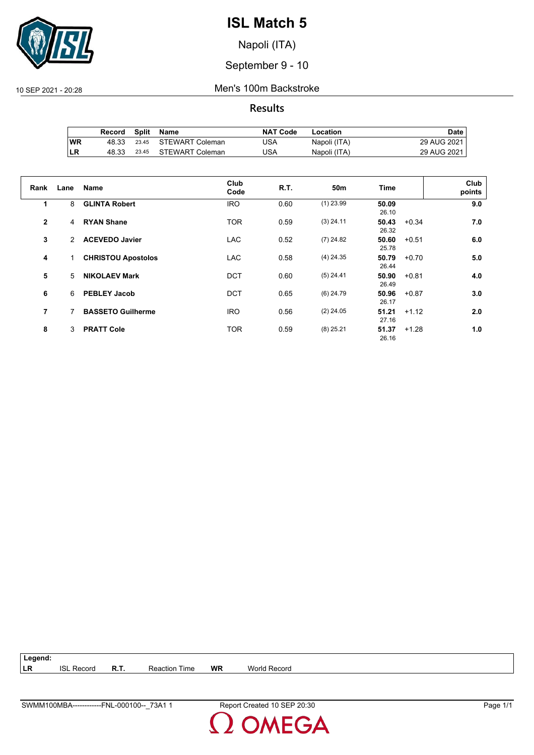

Napoli (ITA)

September 9 - 10

10 SEP 2021 - 20:28 Men's 100m Backstroke

**Results**

|     | Record | Split | Name                  | <b>NAT Code</b> | Location     | Date        |
|-----|--------|-------|-----------------------|-----------------|--------------|-------------|
| 'WR | 48.33  |       | 23.45 STEWART Coleman | JSA             | Napoli (ITA) | 29 AUG 2021 |
| ILR | 48.33  | 23.45 | STEWART Coleman       | USA             | Napoli (ITA) | 29 AUG 2021 |

| Rank           | Lane | <b>Name</b>               | Club<br>Code | R.T. | 50 <sub>m</sub> | Time           | Club<br>points |
|----------------|------|---------------------------|--------------|------|-----------------|----------------|----------------|
| 1              | 8    | <b>GLINTA Robert</b>      | <b>IRO</b>   | 0.60 | $(1)$ 23.99     | 50.09<br>26.10 | 9.0            |
| $\overline{2}$ | 4    | <b>RYAN Shane</b>         | <b>TOR</b>   | 0.59 | $(3)$ 24.11     | 50.43<br>26.32 | 7.0<br>$+0.34$ |
| 3              | 2    | <b>ACEVEDO Javier</b>     | <b>LAC</b>   | 0.52 | $(7)$ 24.82     | 50.60<br>25.78 | $+0.51$<br>6.0 |
| 4              | 1.   | <b>CHRISTOU Apostolos</b> | <b>LAC</b>   | 0.58 | $(4)$ 24.35     | 50.79<br>26.44 | 5.0<br>$+0.70$ |
| 5              | 5.   | <b>NIKOLAEV Mark</b>      | <b>DCT</b>   | 0.60 | $(5)$ 24.41     | 50.90<br>26.49 | $+0.81$<br>4.0 |
| 6              | 6    | <b>PEBLEY Jacob</b>       | <b>DCT</b>   | 0.65 | $(6)$ 24.79     | 50.96<br>26.17 | 3.0<br>$+0.87$ |
| 7              | 7    | <b>BASSETO Guilherme</b>  | <b>IRO</b>   | 0.56 | $(2)$ 24.05     | 51.21<br>27.16 | $+1.12$<br>2.0 |
| 8              | 3    | <b>PRATT Cole</b>         | <b>TOR</b>   | 0.59 | $(8)$ 25.21     | 51.37<br>26.16 | $+1.28$<br>1.0 |

| ∣ Legend: |                   |      |                      |    |              |
|-----------|-------------------|------|----------------------|----|--------------|
| LR        | <b>ISL Record</b> | R.T. | <b>Reaction Time</b> | WR | World Record |
|           |                   |      |                      |    |              |

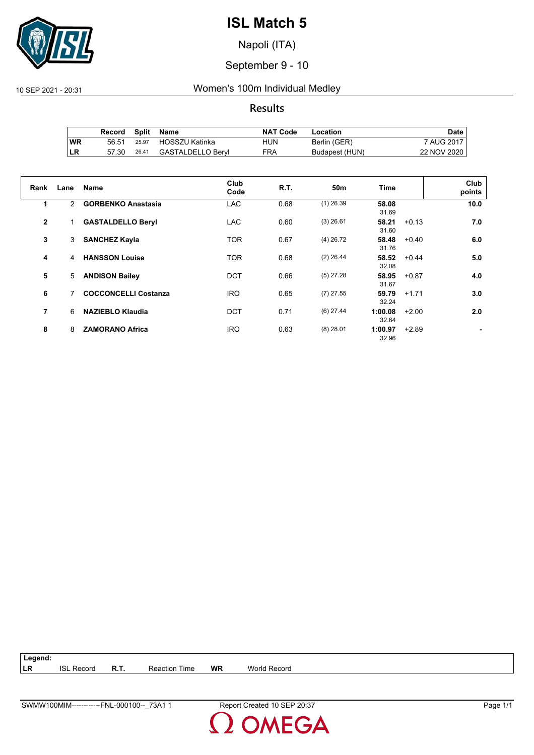

Napoli (ITA)

September 9 - 10

10 SEP 2021 - 20:31 Women's 100m Individual Medley

**Results**

|           | Record |       | Split Name        | <b>NAT Code</b> | Location       | Date i      |
|-----------|--------|-------|-------------------|-----------------|----------------|-------------|
| <b>WR</b> | 56.51  | 25.97 | HOSSZU Katinka    | HUN             | Berlin (GER)   | 7 AUG 2017  |
| ILR       | 57.30  | 26.41 | GASTALDELLO Beryl | FRA             | Budapest (HUN) | 22 NOV 2020 |

| Rank         | Lane          | <b>Name</b>                 | Club<br>Code | R.T. | 50 <sub>m</sub> | <b>Time</b>      |         | Club<br>points |
|--------------|---------------|-----------------------------|--------------|------|-----------------|------------------|---------|----------------|
| 1            | $\mathcal{P}$ | <b>GORBENKO Anastasia</b>   | <b>LAC</b>   | 0.68 | $(1)$ 26.39     | 58.08<br>31.69   |         | 10.0           |
| $\mathbf{2}$ |               | <b>GASTALDELLO Beryl</b>    | <b>LAC</b>   | 0.60 | $(3)$ 26.61     | 58.21<br>31.60   | $+0.13$ | 7.0            |
| 3            | 3             | <b>SANCHEZ Kayla</b>        | <b>TOR</b>   | 0.67 | $(4)$ 26.72     | 58.48<br>31.76   | $+0.40$ | 6.0            |
| 4            | 4             | <b>HANSSON Louise</b>       | <b>TOR</b>   | 0.68 | $(2)$ 26.44     | 58.52<br>32.08   | $+0.44$ | 5.0            |
| 5            | 5             | <b>ANDISON Bailey</b>       | <b>DCT</b>   | 0.66 | $(5)$ 27.28     | 58.95<br>31.67   | $+0.87$ | 4.0            |
| 6            | 7             | <b>COCCONCELLI Costanza</b> | <b>IRO</b>   | 0.65 | $(7)$ 27.55     | 59.79<br>32.24   | $+1.71$ | 3.0            |
| 7            | 6             | <b>NAZIEBLO Klaudia</b>     | <b>DCT</b>   | 0.71 | $(6)$ 27.44     | 1:00.08<br>32.64 | $+2.00$ | 2.0            |
| 8            | 8             | <b>ZAMORANO Africa</b>      | <b>IRO</b>   | 0.63 | $(8)$ 28.01     | 1:00.97<br>32.96 | $+2.89$ |                |

**Legend: LR** ISL Record **R.T.** Reaction Time **WR** World Record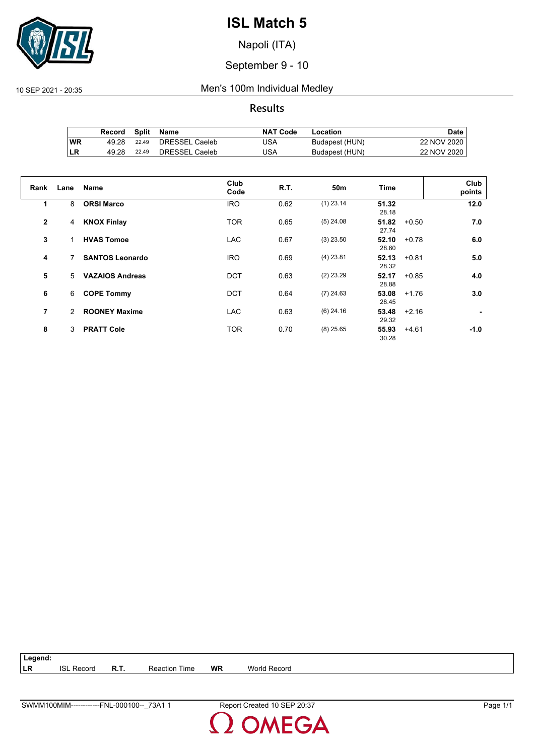

Napoli (ITA)

September 9 - 10

#### 10 SEP 2021 - 20:35 Men's 100m Individual Medley

**Results**

|           | Record |       | Split Name     | <b>NAT Code</b> | Location       | <b>Date</b> |
|-----------|--------|-------|----------------|-----------------|----------------|-------------|
| <b>WR</b> | 49.28  | 22.49 | DRESSEL Caeleb | JSA             | Budapest (HUN) | 22 NOV 2020 |
| ∣LR       | 49.28  | 22.49 | DRESSEL Caeleb | JSA             | Budapest (HUN) | 22 NOV 2020 |

| Rank         | Lane | <b>Name</b>            | Club<br>Code | R.T. | 50 <sub>m</sub> | Time           |         | Club<br>points |
|--------------|------|------------------------|--------------|------|-----------------|----------------|---------|----------------|
| 1            | 8    | <b>ORSI Marco</b>      | <b>IRO</b>   | 0.62 | $(1)$ 23.14     | 51.32<br>28.18 |         | 12.0           |
| $\mathbf{2}$ | 4    | <b>KNOX Finlay</b>     | <b>TOR</b>   | 0.65 | $(5)$ 24.08     | 51.82<br>27.74 | $+0.50$ | 7.0            |
| 3            |      | <b>HVAS Tomoe</b>      | <b>LAC</b>   | 0.67 | $(3)$ 23.50     | 52.10<br>28.60 | $+0.78$ | 6.0            |
| 4            | 7    | <b>SANTOS Leonardo</b> | <b>IRO</b>   | 0.69 | $(4)$ 23.81     | 52.13<br>28.32 | $+0.81$ | 5.0            |
| 5            | 5    | <b>VAZAIOS Andreas</b> | <b>DCT</b>   | 0.63 | $(2)$ 23.29     | 52.17<br>28.88 | $+0.85$ | 4.0            |
| 6            | 6    | <b>COPE Tommy</b>      | <b>DCT</b>   | 0.64 | $(7)$ 24.63     | 53.08<br>28.45 | $+1.76$ | 3.0            |
| 7            | 2    | <b>ROONEY Maxime</b>   | <b>LAC</b>   | 0.63 | $(6)$ 24.16     | 53.48<br>29.32 | $+2.16$ |                |
| 8            | 3    | <b>PRATT Cole</b>      | <b>TOR</b>   | 0.70 | $(8)$ 25.65     | 55.93<br>30.28 | $+4.61$ | $-1.0$         |

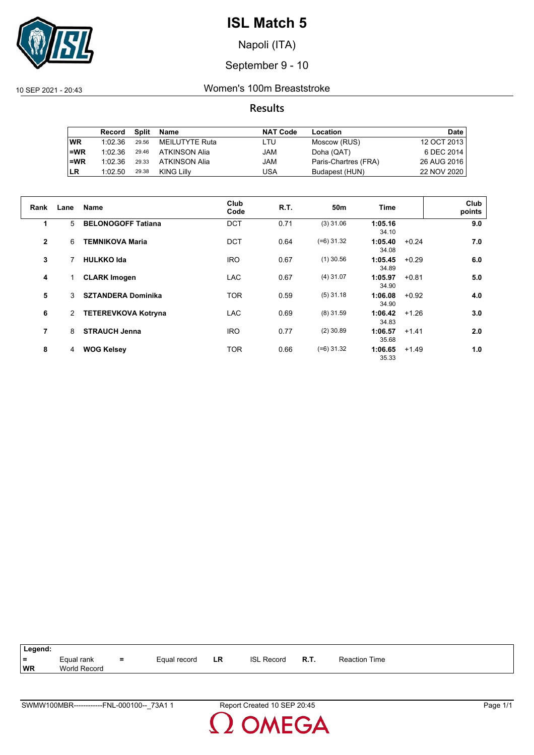

Napoli (ITA)

### September 9 - 10

10 SEP 2021 - 20:43 Women's 100m Breaststroke

### **Results**

|           | Record  | Split | Name           | <b>NAT Code</b> | Location             | Date        |
|-----------|---------|-------|----------------|-----------------|----------------------|-------------|
| <b>WR</b> | 1:02.36 | 29.56 | MEILUTYTE Ruta | LTU             | Moscow (RUS)         | 12 OCT 2013 |
| $=WR$     | 1:02.36 | 29.46 | ATKINSON Alia  | JAM             | Doha (QAT)           | 6 DEC 2014  |
| $=$ WR    | 1:02.36 | 29.33 | ATKINSON Alia  | JAM             | Paris-Chartres (FRA) | 26 AUG 2016 |
| <b>LR</b> | 1:02.50 | 29.38 | KING Lilly     | USA             | Budapest (HUN)       | 22 NOV 2020 |

| Rank           | Lane | Name                       | Club<br>Code | R.T. | 50m          | Time             |         | Club<br>points |
|----------------|------|----------------------------|--------------|------|--------------|------------------|---------|----------------|
| 1              | 5    | <b>BELONOGOFF Tatiana</b>  | <b>DCT</b>   | 0.71 | $(3)$ 31.06  | 1:05.16<br>34.10 |         | 9.0            |
| $\mathbf{2}$   | 6    | <b>TEMNIKOVA Maria</b>     | <b>DCT</b>   | 0.64 | $(=6)$ 31.32 | 1:05.40<br>34.08 | $+0.24$ | 7.0            |
| 3              |      | <b>HULKKO Ida</b>          | <b>IRO</b>   | 0.67 | $(1)$ 30.56  | 1:05.45<br>34.89 | $+0.29$ | 6.0            |
| 4              |      | <b>CLARK Imogen</b>        | <b>LAC</b>   | 0.67 | $(4)$ 31.07  | 1:05.97<br>34.90 | $+0.81$ | 5.0            |
| 5              | 3    | <b>SZTANDERA Dominika</b>  | <b>TOR</b>   | 0.59 | $(5)$ 31.18  | 1:06.08<br>34.90 | $+0.92$ | 4.0            |
| 6              | 2    | <b>TETEREVKOVA Kotryna</b> | <b>LAC</b>   | 0.69 | $(8)$ 31.59  | 1:06.42<br>34.83 | $+1.26$ | 3.0            |
| $\overline{7}$ | 8    | <b>STRAUCH Jenna</b>       | <b>IRO</b>   | 0.77 | $(2)$ 30.89  | 1:06.57<br>35.68 | $+1.41$ | 2.0            |
| 8              | 4    | <b>WOG Kelsey</b>          | <b>TOR</b>   | 0.66 | $(=6)$ 31.32 | 1:06.65<br>35.33 | $+1.49$ | 1.0            |

| Legend: |              |     |              |    |                   |      |                      |
|---------|--------------|-----|--------------|----|-------------------|------|----------------------|
|         |              |     |              |    |                   |      |                      |
| $=$     | Equal rank   | $=$ | Equal record | LR | <b>ISL Record</b> | R.T. | <b>Reaction Time</b> |
| WR      | World Record |     |              |    |                   |      |                      |
|         |              |     |              |    |                   |      |                      |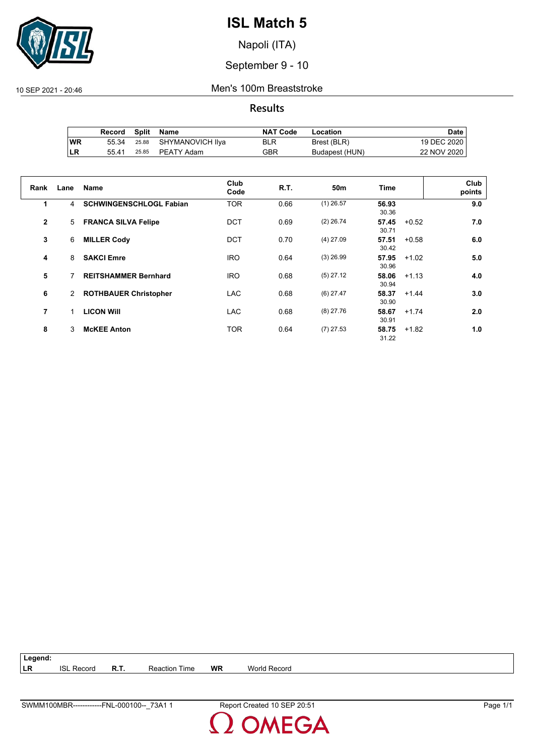

Napoli (ITA)

September 9 - 10

10 SEP 2021 - 20:46 Men's 100m Breaststroke

**Results**

|           | Record |       | Split Name             | <b>NAT Code</b> | Location       | Date i      |
|-----------|--------|-------|------------------------|-----------------|----------------|-------------|
| <b>WR</b> | 55.34  |       | 25.88 SHYMANOVICH IIya | <b>BLR</b>      | Brest (BLR)    | 19 DEC 2020 |
| <b>LR</b> | 55.41  | 25.85 | PEATY Adam             | GBR             | Budapest (HUN) | 22 NOV 2020 |

| Rank           | Lane                 | <b>Name</b>                    | Club<br>Code | <b>R.T.</b> | 50 <sub>m</sub> | <b>Time</b>    |         | Club<br>points |
|----------------|----------------------|--------------------------------|--------------|-------------|-----------------|----------------|---------|----------------|
| 1              | 4                    | <b>SCHWINGENSCHLOGL Fabian</b> | <b>TOR</b>   | 0.66        | $(1)$ 26.57     | 56.93<br>30.36 |         | 9.0            |
| $\mathbf{2}$   | 5                    | <b>FRANCA SILVA Felipe</b>     | <b>DCT</b>   | 0.69        | $(2)$ 26.74     | 57.45<br>30.71 | $+0.52$ | 7.0            |
| 3              | 6                    | <b>MILLER Cody</b>             | <b>DCT</b>   | 0.70        | $(4)$ 27.09     | 57.51<br>30.42 | $+0.58$ | 6.0            |
| 4              | 8                    | <b>SAKCI Emre</b>              | <b>IRO</b>   | 0.64        | $(3)$ 26.99     | 57.95<br>30.96 | $+1.02$ | 5.0            |
| 5              |                      | <b>REITSHAMMER Bernhard</b>    | <b>IRO</b>   | 0.68        | $(5)$ 27.12     | 58.06<br>30.94 | $+1.13$ | 4.0            |
| 6              | $\mathbf{2}^{\circ}$ | <b>ROTHBAUER Christopher</b>   | <b>LAC</b>   | 0.68        | $(6)$ 27.47     | 58.37<br>30.90 | $+1.44$ | 3.0            |
| $\overline{7}$ |                      | <b>LICON WIII</b>              | <b>LAC</b>   | 0.68        | $(8)$ 27.76     | 58.67<br>30.91 | $+1.74$ | 2.0            |
| 8              | 3                    | <b>McKEE Anton</b>             | <b>TOR</b>   | 0.64        | $(7)$ 27.53     | 58.75<br>31.22 | $+1.82$ | 1.0            |

**Legend: LR** ISL Record **R.T.** Reaction Time **WR** World Record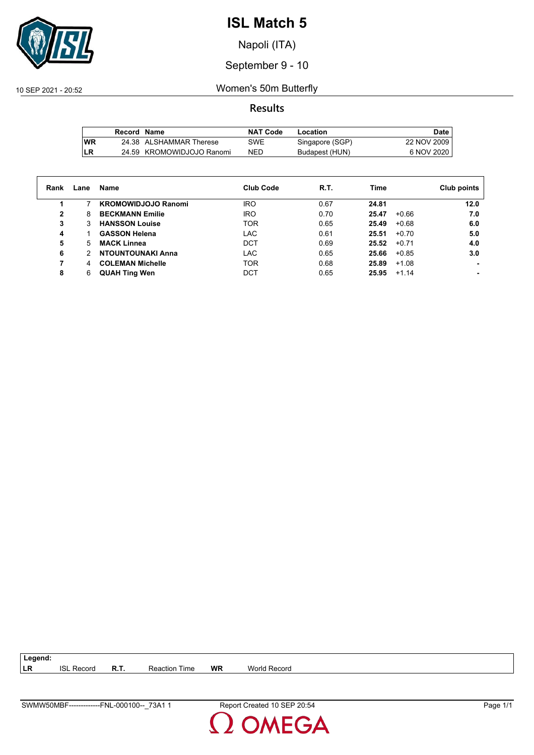

Napoli (ITA)

September 9 - 10

10 SEP 2021 - 20:52 Women's 50m Butterfly

**Results**

|           | Record Name |                           | NAT Code   | Location        | Date        |
|-----------|-------------|---------------------------|------------|-----------------|-------------|
| <b>WR</b> |             | 24.38 ALSHAMMAR Therese   | SWE        | Singapore (SGP) | 22 NOV 2009 |
| LR        |             | 24.59 KROMOWIDJOJO Ranomi | <b>NED</b> | Budapest (HUN)  | 6 NOV 2020  |

| Rank | Lane | Name                       | <b>Club Code</b> | R.T. | Time             | Club points |
|------|------|----------------------------|------------------|------|------------------|-------------|
|      |      | <b>KROMOWIDJOJO Ranomi</b> | <b>IRO</b>       | 0.67 | 24.81            | 12.0        |
| 2    | 8    | <b>BECKMANN Emilie</b>     | <b>IRO</b>       | 0.70 | $+0.66$<br>25.47 | 7.0         |
| 3    | 3    | <b>HANSSON Louise</b>      | <b>TOR</b>       | 0.65 | 25.49<br>$+0.68$ | 6.0         |
| 4    |      | <b>GASSON Helena</b>       | <b>LAC</b>       | 0.61 | 25.51<br>$+0.70$ | 5.0         |
| 5    | 5.   | <b>MACK Linnea</b>         | <b>DCT</b>       | 0.69 | 25.52<br>$+0.71$ | 4.0         |
| 6    | 2    | <b>NTOUNTOUNAKI Anna</b>   | LAC              | 0.65 | 25.66<br>$+0.85$ | 3.0         |
|      | 4    | <b>COLEMAN Michelle</b>    | <b>TOR</b>       | 0.68 | 25.89<br>$+1.08$ |             |
| 8    | 6    | <b>QUAH Ting Wen</b>       | DCT              | 0.65 | 25.95<br>$+1.14$ |             |

**LR** ISL Record **R.T.** Reaction Time **WR** World Record

**Legend:**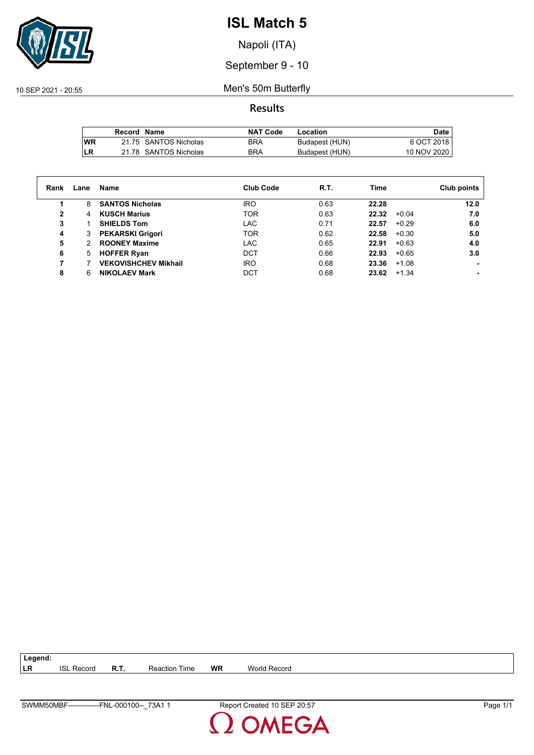

Napoli (ITA)

September 9 - 10

10 SEP 2021 - 20:55 Men's 50m Butterfly

**Results**

|           | Record Name |                       | <b>NAT Code</b> | Location       | Date        |
|-----------|-------------|-----------------------|-----------------|----------------|-------------|
| <b>WR</b> |             | 21.75 SANTOS Nicholas | BRA             | Budapest (HUN) | 6 OCT 2018  |
| LR        |             | 21.78 SANTOS Nicholas | <b>BRA</b>      | Budapest (HUN) | 10 NOV 2020 |

| Rank | Lane | Name                        | <b>Club Code</b> | R.T. | Time  |         | Club points |
|------|------|-----------------------------|------------------|------|-------|---------|-------------|
| 1    | 8    | <b>SANTOS Nicholas</b>      | <b>IRO</b>       | 0.63 | 22.28 |         | 12.0        |
| 2    | 4    | <b>KUSCH Marius</b>         | <b>TOR</b>       | 0.63 | 22.32 | $+0.04$ | 7.0         |
| 3    |      | <b>SHIELDS Tom</b>          | LAC              | 0.71 | 22.57 | $+0.29$ | 6.0         |
| 4    | 3    | <b>PEKARSKI Grigori</b>     | <b>TOR</b>       | 0.62 | 22.58 | $+0.30$ | 5.0         |
| 5    | 2    | <b>ROONEY Maxime</b>        | <b>LAC</b>       | 0.65 | 22.91 | $+0.63$ | 4.0         |
| 6    | 5    | <b>HOFFER Ryan</b>          | <b>DCT</b>       | 0.66 | 22.93 | $+0.65$ | 3.0         |
| 7    |      | <b>VEKOVISHCHEV Mikhail</b> | <b>IRO</b>       | 0.68 | 23.36 | $+1.08$ |             |
| 8    | 6    | <b>NIKOLAEV Mark</b>        | DCT              | 0.68 | 23.62 | $+1.34$ |             |

**LR** ISL Record **R.T.** Reaction Time **WR** World Record

**Legend:**

SWMM50MBF-------------FNL-000100--\_73A1 1 Report Created 10 SEP 20:57 Page 1/1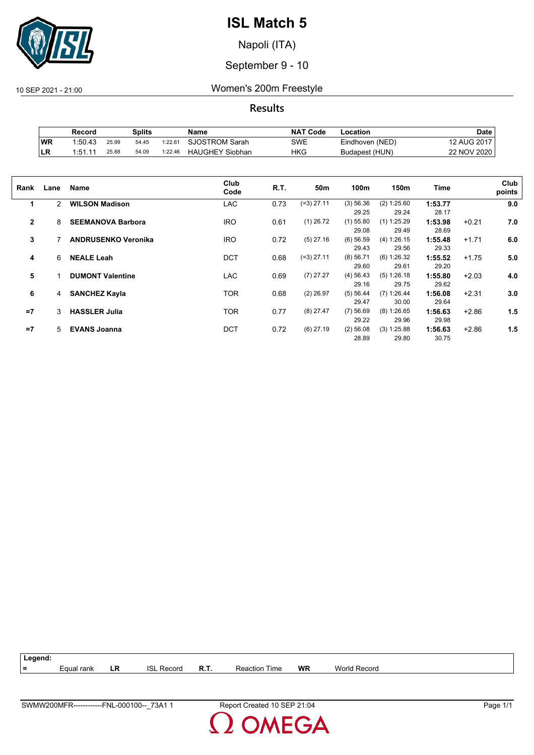

Napoli (ITA)

September 9 - 10

10 SEP 2021 - 21:00 Women's 200m Freestyle

**Results**

|    | Splits<br>Record |       | <b>NAT Code</b><br>Name |         | Location               | Date |                 |             |
|----|------------------|-------|-------------------------|---------|------------------------|------|-----------------|-------------|
| WR | 1:50.43          | 25.99 | 54.45                   | 1:22.61 | SJOSTROM Sarah         | SWE  | Eindhoven (NED) | 12 AUG 2017 |
| LR | 1.51.11          | 25.88 | 54.09                   | 1:22.46 | <b>HAUGHEY Siobhan</b> | HKG  | Budapest (HUN)  | 22 NOV 2020 |

| Rank           | Lane | Name                       | Club<br>Code | R.T. | 50m          | 100m        | 150m          | Time    |         | Club<br>points |
|----------------|------|----------------------------|--------------|------|--------------|-------------|---------------|---------|---------|----------------|
| 1              | 2    | <b>WILSON Madison</b>      | <b>LAC</b>   | 0.73 | $(=3)$ 27.11 | (3) 56.36   | (2) 1:25.60   | 1:53.77 |         | 9.0            |
|                |      |                            |              |      |              | 29.25       | 29.24         | 28.17   |         |                |
| $\overline{2}$ | 8    | <b>SEEMANOVA Barbora</b>   | <b>IRO</b>   | 0.61 | $(1)$ 26.72  | $(1)$ 55.80 | $(1)$ 1:25.29 | 1:53.98 | $+0.21$ | 7.0            |
|                |      |                            |              |      |              | 29.08       | 29.49         | 28.69   |         |                |
| 3              |      | <b>ANDRUSENKO Veronika</b> | <b>IRO</b>   | 0.72 | $(5)$ 27.16  | $(6)$ 56.59 | (4) 1:26.15   | 1:55.48 | $+1.71$ | 6.0            |
|                |      |                            |              |      |              | 29.43       | 29.56         | 29.33   |         |                |
| 4              | 6    | <b>NEALE Leah</b>          | <b>DCT</b>   | 0.68 | $(=3)$ 27.11 | $(8)$ 56.71 | (6) 1:26.32   | 1:55.52 | $+1.75$ | 5.0            |
|                |      |                            |              |      |              | 29.60       | 29.61         | 29.20   |         |                |
| 5              |      | <b>DUMONT Valentine</b>    | <b>LAC</b>   | 0.69 | $(7)$ 27.27  | (4) 56.43   | (5) 1:26.18   | 1:55.80 | $+2.03$ | 4.0            |
|                |      |                            |              |      |              | 29.16       | 29.75         | 29.62   |         |                |
| 6              | 4    | <b>SANCHEZ Kayla</b>       | <b>TOR</b>   | 0.68 | $(2)$ 26.97  | (5) 56.44   | $(7)$ 1:26.44 | 1:56.08 | $+2.31$ | 3.0            |
|                |      |                            |              |      |              | 29.47       | 30.00         | 29.64   |         |                |
| $=7$           | 3    | <b>HASSLER Julia</b>       | <b>TOR</b>   | 0.77 | $(8)$ 27.47  | $(7)$ 56.69 | (8) 1:26.65   | 1:56.63 | $+2.86$ | 1.5            |
|                |      |                            |              |      |              | 29.22       | 29.96         | 29.98   |         |                |
| $=7$           | 5    | <b>EVANS Joanna</b>        | <b>DCT</b>   | 0.72 | $(6)$ 27.19  | $(2)$ 56.08 | (3) 1:25.88   | 1:56.63 | $+2.86$ | 1.5            |
|                |      |                            |              |      |              | 28.89       | 29.80         | 30.75   |         |                |

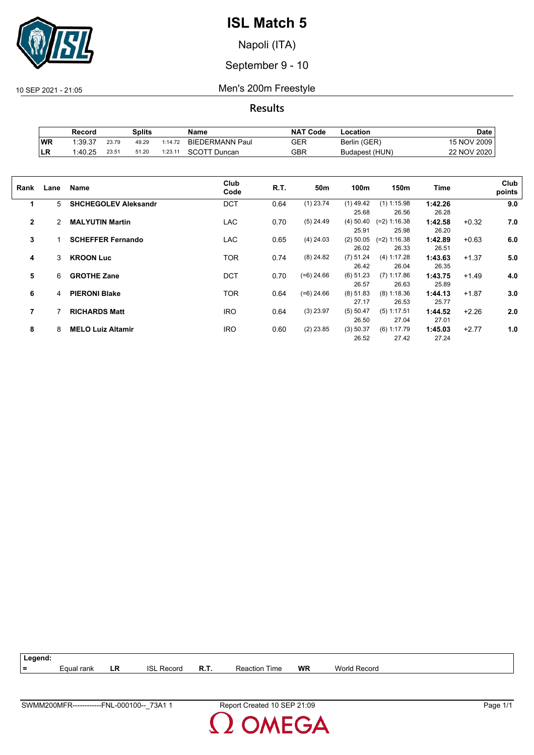

Napoli (ITA)

September 9 - 10

10 SEP 2021 - 21:05 Men's 200m Freestyle

**Results**

|           | Splits<br>Record |       | Name  | <b>NAT Code</b>  | Location               | Date |                |             |
|-----------|------------------|-------|-------|------------------|------------------------|------|----------------|-------------|
| <b>WR</b> | 1:39.37          | 23.79 | 49.29 | $1:14.7^{\circ}$ | <b>BIEDERMANN Paul</b> | GER  | Berlin (GER)   | 15 NOV 2009 |
| <b>LR</b> | 1:40.25          | 23.51 | 51.20 | 1:23.11          | <b>SCOTT Duncan</b>    | GBR  | Budapest (HUN) | 22 NOV 2020 |

| Rank           | Lane | Name                        | Club<br>Code | R.T. | 50m          | 100m                 | 150m                    | Time             |         | Club<br>points |
|----------------|------|-----------------------------|--------------|------|--------------|----------------------|-------------------------|------------------|---------|----------------|
| 1              | 5    | <b>SHCHEGOLEV Aleksandr</b> | <b>DCT</b>   | 0.64 | $(1)$ 23.74  | $(1)$ 49.42<br>25.68 | $(1)$ 1:15.98<br>26.56  | 1:42.26<br>26.28 |         | 9.0            |
| $\overline{2}$ | 2    | <b>MALYUTIN Martin</b>      | <b>LAC</b>   | 0.70 | $(5)$ 24.49  | $(4)$ 50.40<br>25.91 | $(=2) 1:16.38$<br>25.98 | 1:42.58<br>26.20 | $+0.32$ | 7.0            |
| 3              |      | <b>SCHEFFER Fernando</b>    | <b>LAC</b>   | 0.65 | $(4)$ 24.03  | $(2)$ 50.05<br>26.02 | $(=2) 1:16.38$<br>26.33 | 1:42.89<br>26.51 | $+0.63$ | 6.0            |
| 4              | 3    | <b>KROON Luc</b>            | <b>TOR</b>   | 0.74 | $(8)$ 24.82  | (7) 51.24<br>26.42   | (4) 1:17.28<br>26.04    | 1:43.63<br>26.35 | $+1.37$ | 5.0            |
| 5              | 6    | <b>GROTHE Zane</b>          | <b>DCT</b>   | 0.70 | $(=6)$ 24.66 | $(6)$ 51.23<br>26.57 | $(7)$ 1:17.86<br>26.63  | 1:43.75<br>25.89 | $+1.49$ | 4.0            |
| 6              | 4    | <b>PIERONI Blake</b>        | <b>TOR</b>   | 0.64 | $(=6)$ 24.66 | $(8)$ 51.83<br>27.17 | $(8)$ 1:18.36<br>26.53  | 1:44.13<br>25.77 | $+1.87$ | 3.0            |
| 7              |      | <b>RICHARDS Matt</b>        | <b>IRO</b>   | 0.64 | $(3)$ 23.97  | (5) 50.47<br>26.50   | $(5)$ 1:17.51<br>27.04  | 1:44.52<br>27.01 | $+2.26$ | 2.0            |
| 8              | 8    | <b>MELO Luiz Altamir</b>    | <b>IRO</b>   | 0.60 | $(2)$ 23.85  | (3) 50.37<br>26.52   | $(6)$ 1:17.79<br>27.42  | 1:45.03<br>27.24 | $+2.77$ | 1.0            |

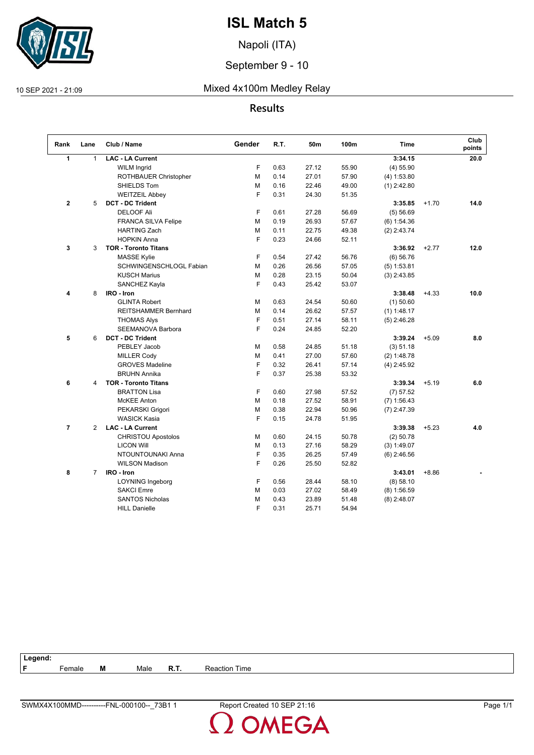

Napoli (ITA)

September 9 - 10

### 10 SEP 2021 - 21:09 Mixed 4x100m Medley Relay

### **Results**

| Rank                    | Lane           | Club / Name                 | Gender | R.T. | 50m   | 100m  | <b>Time</b>   |         | Club<br>points |
|-------------------------|----------------|-----------------------------|--------|------|-------|-------|---------------|---------|----------------|
| $\mathbf{1}$            | $\mathbf{1}$   | <b>LAC - LA Current</b>     |        |      |       |       | 3:34.15       |         | 20.0           |
|                         |                | <b>WILM Ingrid</b>          | F      | 0.63 | 27.12 | 55.90 | $(4)$ 55.90   |         |                |
|                         |                | ROTHBAUER Christopher       | M      | 0.14 | 27.01 | 57.90 | (4) 1:53.80   |         |                |
|                         |                | SHIELDS Tom                 | M      | 0.16 | 22.46 | 49.00 | $(1)$ 2:42.80 |         |                |
|                         |                | <b>WEITZEIL Abbey</b>       | F      | 0.31 | 24.30 | 51.35 |               |         |                |
| $\mathbf 2$             | 5              | <b>DCT - DC Trident</b>     |        |      |       |       | 3:35.85       | $+1.70$ | 14.0           |
|                         |                | <b>DELOOF Ali</b>           | F      | 0.61 | 27.28 | 56.69 | (5) 56.69     |         |                |
|                         |                | <b>FRANCA SILVA Felipe</b>  | М      | 0.19 | 26.93 | 57.67 | $(6)$ 1:54.36 |         |                |
|                         |                | <b>HARTING Zach</b>         | M      | 0.11 | 22.75 | 49.38 | $(2)$ 2:43.74 |         |                |
|                         |                | <b>HOPKIN Anna</b>          | F      | 0.23 | 24.66 | 52.11 |               |         |                |
| 3                       | 3              | <b>TOR - Toronto Titans</b> |        |      |       |       | 3:36.92       | $+2.77$ | 12.0           |
|                         |                | <b>MASSE Kylie</b>          | F      | 0.54 | 27.42 | 56.76 | $(6)$ 56.76   |         |                |
|                         |                | SCHWINGENSCHLOGL Fabian     | M      | 0.26 | 26.56 | 57.05 | $(5)$ 1:53.81 |         |                |
|                         |                | <b>KUSCH Marius</b>         | м      | 0.28 | 23.15 | 50.04 | $(3)$ 2:43.85 |         |                |
|                         |                | SANCHEZ Kayla               | F      | 0.43 | 25.42 | 53.07 |               |         |                |
| $\overline{\mathbf{4}}$ | 8              | IRO - Iron                  |        |      |       |       | 3:38.48       | $+4.33$ | 10.0           |
|                         |                | <b>GLINTA Robert</b>        | M      | 0.63 | 24.54 | 50.60 | $(1)$ 50.60   |         |                |
|                         |                | <b>REITSHAMMER Bernhard</b> | M      | 0.14 | 26.62 | 57.57 | $(1)$ 1:48.17 |         |                |
|                         |                | <b>THOMAS Alys</b>          | F      | 0.51 | 27.14 | 58.11 | $(5)$ 2:46.28 |         |                |
|                         |                | SEEMANOVA Barbora           | F      | 0.24 | 24.85 | 52.20 |               |         |                |
| 5                       | 6              | <b>DCT - DC Trident</b>     |        |      |       |       | 3:39.24       | $+5.09$ | 8.0            |
|                         |                | PEBLEY Jacob                | м      | 0.58 | 24.85 | 51.18 | (3) 51.18     |         |                |
|                         |                | <b>MILLER Cody</b>          | М      | 0.41 | 27.00 | 57.60 | (2) 1:48.78   |         |                |
|                         |                | <b>GROVES Madeline</b>      | F      | 0.32 | 26.41 | 57.14 | $(4)$ 2:45.92 |         |                |
|                         |                | <b>BRUHN Annika</b>         | F      | 0.37 | 25.38 | 53.32 |               |         |                |
| 6                       | 4              | <b>TOR - Toronto Titans</b> |        |      |       |       | 3:39.34       | $+5.19$ | 6.0            |
|                         |                | <b>BRATTON Lisa</b>         | F      | 0.60 | 27.98 | 57.52 | (7) 57.52     |         |                |
|                         |                | <b>McKEE Anton</b>          | M      | 0.18 | 27.52 | 58.91 | $(7)$ 1:56.43 |         |                |
|                         |                | PEKARSKI Grigori            | M      | 0.38 | 22.94 | 50.96 | $(7)$ 2:47.39 |         |                |
|                         |                | <b>WASICK Kasia</b>         | F      | 0.15 | 24.78 | 51.95 |               |         |                |
| $\overline{7}$          | $\overline{2}$ | <b>LAC - LA Current</b>     |        |      |       |       | 3:39.38       | $+5.23$ | 4.0            |
|                         |                | <b>CHRISTOU Apostolos</b>   | М      | 0.60 | 24.15 | 50.78 | $(2)$ 50.78   |         |                |
|                         |                | <b>LICON Will</b>           | М      | 0.13 | 27.16 | 58.29 | (3) 1:49.07   |         |                |
|                         |                | NTOUNTOUNAKI Anna           | F      | 0.35 | 26.25 | 57.49 | $(6)$ 2:46.56 |         |                |
|                         |                | <b>WILSON Madison</b>       | F      | 0.26 | 25.50 | 52.82 |               |         |                |
| 8                       | $\overline{7}$ | IRO - Iron                  |        |      |       |       | 3:43.01       | $+8.86$ |                |
|                         |                | <b>LOYNING Ingeborg</b>     | F      | 0.56 | 28.44 | 58.10 | (8) 58.10     |         |                |
|                         |                | <b>SAKCI Emre</b>           | M      | 0.03 | 27.02 | 58.49 | $(8)$ 1:56.59 |         |                |
|                         |                | <b>SANTOS Nicholas</b>      | М      | 0.43 | 23.89 | 51.48 | $(8)$ 2:48.07 |         |                |
|                         |                | <b>HILL Danielle</b>        | F      | 0.31 | 25.71 | 54.94 |               |         |                |

| Legend: |                         |   |      |              |      |
|---------|-------------------------|---|------|--------------|------|
| l F     | -<br><sup>≒</sup> emale | M | Male | - -<br>к. н. | Time |
|         |                         |   |      |              |      |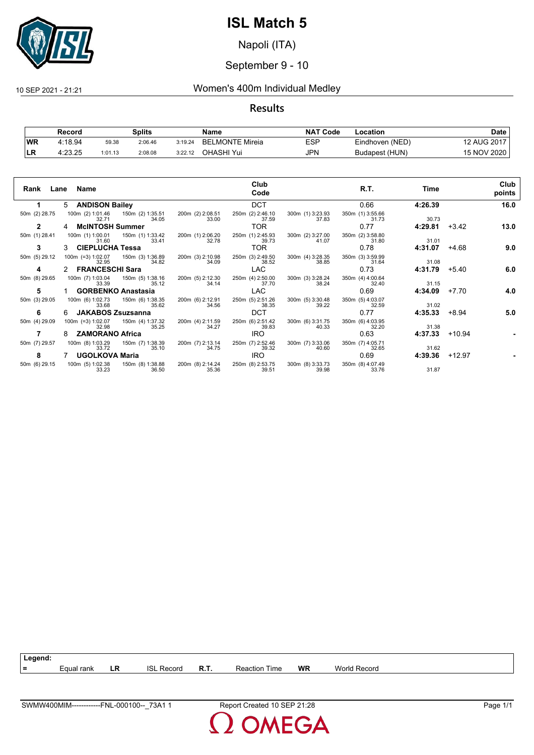

Napoli (ITA)

### September 9 - 10

### 10 SEP 2021 - 21:21 Women's 400m Individual Medley

#### **Results**

|           | Record  |         | <b>Splits</b> |         | Name            | <b>NAT Code</b> | Location        | Date        |
|-----------|---------|---------|---------------|---------|-----------------|-----------------|-----------------|-------------|
| <b>WR</b> | 4:18.94 | 59.38   | 2:06.46       | 3:19.24 | BELMONTE Mireia | ESP             | Eindhoven (NED) | 12 AUG 2017 |
| ILR       | 4:23.25 | 1:01.13 | 2:08.08       | 3:22.12 | OHASHI Yui      | JPN             | Budapest (HUN)  | 15 NOV 2020 |

|               |                           |                                                                                      |                                                                              | Club                      |                                            |                           |                   |         | Club   |
|---------------|---------------------------|--------------------------------------------------------------------------------------|------------------------------------------------------------------------------|---------------------------|--------------------------------------------|---------------------------|-------------------|---------|--------|
|               | Rank Lane Name            |                                                                                      |                                                                              | Code                      |                                            | R.T.                      | Time              |         | points |
| 1.            | 5 ANDISON Bailey          |                                                                                      |                                                                              | <b>DCT</b>                |                                            | 0.66                      | 4:26.39           |         | 16.0   |
| 50m (2) 28.75 |                           |                                                                                      | 100m (2) 1:01.46   150m (2) 1:35.51   200m (2) 2:08.51   32.71   34.05       | 250m (2) 2:46.10<br>37.59 | 300m (1) 3:23.93<br>37.83                  | 350m (1) 3:55.66<br>31.73 | 30.73             |         |        |
| $\mathbf{2}$  | <b>McINTOSH Summer</b>    |                                                                                      |                                                                              | <b>TOR</b>                |                                            | 0.77                      | 4:29.81           | +3.42   | 13.0   |
| 50m (1) 28.41 | 31.60                     | 100m (1) 1:00.01   150m (1) 1:33.42<br>33.41                                         | 200m (1) 2:06.20<br>32.78                                                    | 250m (1) 2:45.93<br>39.73 | 300m (2) 3:27.00<br>41.07                  | 350m (2) 3:58.80<br>31.80 | 31.01             |         |        |
| 3             | 3 CIEPLUCHA Tessa         |                                                                                      |                                                                              | TOR                       |                                            | 0.78                      | 4:31.07           | $+4.68$ | 9.0    |
| 50m (5) 29.12 |                           | 100m (=3) 1:02.07    150m (3) 1:36.89    200m (3) 2:10.98<br>32.95    34.82    34.09 |                                                                              | 250m (3) 2:49.50<br>38.52 | 300m (4) 3:28.35<br>38.85                  | 350m (3) 3:59.99<br>31.64 | 31.08             |         |        |
| 4             | 2 FRANCESCHI Sara         |                                                                                      |                                                                              | LAC                       |                                            | 0.73                      | 4:31.79           | $+5.40$ | 6.0    |
| 50m (8) 29.65 |                           |                                                                                      | 100m (7) 1:03.04   150m (5) 1:38.16   200m (5) 2:12.30<br>33.39   33.39      | 250m (4) 2:50.00<br>37.70 | 300m (3) 3:28.24<br>38.24                  | 350m (4) 4:00.64<br>32.40 | 31.15             |         |        |
| 5             |                           | 1 GORBENKO Anastasia                                                                 |                                                                              | LAC                       |                                            | 0.69                      | 4:34.09           | +7.70   | 4.0    |
| 50m (3) 29.05 | 100m (6) 1:02.73<br>33.68 | 35.62                                                                                | 150m (6) 1:38.35 200m (6) 2:12.91<br>34.56                                   | 250m (5) 2:51.26<br>38.35 | 300m (5) 3:30.48<br>39.22                  | 350m (5) 4:03.07<br>32.59 | 31.02             |         |        |
| 6             | 6 JAKABOS Zsuzsanna       |                                                                                      |                                                                              | <b>DCT</b>                |                                            | 0.77                      | 4:35.33           | +8.94   | 5.0    |
| 50m (4) 29.09 | 32.98                     | 100m (=3) 1:02.07   150m (4) 1:37.32<br>35.25                                        | 200m (4) 2:11.59<br>34.27                                                    | 250m (6) 2:51.42<br>39.83 | 300m (6) 3:31.75<br>40.33                  | 350m (6) 4:03.95<br>32.20 | 31.38             |         |        |
| 7             | 8 ZAMORANO Africa         |                                                                                      |                                                                              | IRO.                      |                                            | 0.63                      | $4:37.33 + 10.94$ |         |        |
| 50m (7) 29.57 | 33.72                     | 100m (8) 1:03.29   150m (7) 1:38.39<br>35.10                                         | 200m (7) 2:13.14<br>34.75                                                    | 250m (7) 2:52.46<br>39.32 | 300m (7) 3:33.06<br>40.60                  | 350m (7) 4:05.71<br>32.65 | 31.62             |         |        |
| 8             | 7 UGOLKOVA Maria          |                                                                                      |                                                                              | IRO.                      |                                            | 0.69                      | $4:39.36$ +12.97  |         |        |
| 50m (6) 29.15 | 33.23                     | 36.50                                                                                | 100m (5) 1:02.38 150m (8) 1:38.88 200m (8) 2:14.24 250m (8) 2:53.75<br>35.36 | 39.51                     | 300m (8) 3:33.73 350m (8) 4:07.49<br>39.98 | 33.76                     | 31.87             |         |        |

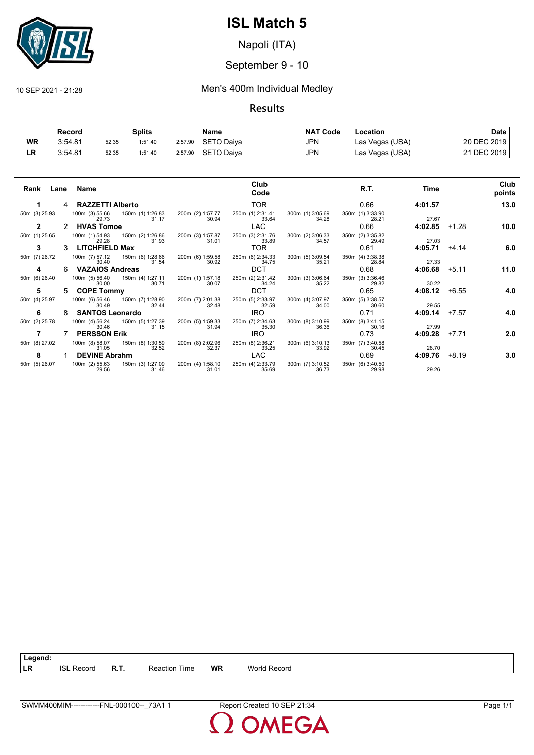

Napoli (ITA)

### September 9 - 10

#### 10 SEP 2021 - 21:28 Men's 400m Individual Medley

#### **Results**

|           | Record  |       | Splits  |         | Name              | <b>NAT Code</b> | Location        | Date        |
|-----------|---------|-------|---------|---------|-------------------|-----------------|-----------------|-------------|
| <b>WR</b> | 3:54.81 | 52.35 | 1:51.40 | 2:57.90 | SETO Daiya        | JPN             | Las Vegas (USA) | 20 DEC 2019 |
|           | 3:54.81 | 52.35 | 1:51.40 | 2:57.90 | <b>SETO Daiva</b> | JPN             | Las Vegas (USA) | 21 DEC 2019 |

| Rank<br>Lane  |               | Name                                     |                           |                           | Club<br>Code              |                           | R.T.                      | Time    |         | Club<br>points |
|---------------|---------------|------------------------------------------|---------------------------|---------------------------|---------------------------|---------------------------|---------------------------|---------|---------|----------------|
|               | 4             | <b>RAZZETTI Alberto</b>                  |                           |                           | <b>TOR</b>                |                           | 0.66                      | 4:01.57 |         | 13.0           |
| 50m (3) 25.93 |               | 100m (3) 55.66 150m (1) 1:26.83<br>29.73 | 31.17                     | 200m (2) 1:57.77<br>30.94 | 250m (1) 2:31.41<br>33.64 | 300m (1) 3:05.69<br>34.28 | 350m (1) 3:33.90<br>28.21 | 27.67   |         |                |
| $\mathbf{2}$  | $\mathcal{P}$ | <b>HVAS Tomoe</b>                        |                           |                           | LAC.                      |                           | 0.66                      | 4:02.85 | $+1.28$ | 10.0           |
| 50m (1) 25.65 |               | 100m (1) 54.93 150m (2) 1:26.86<br>29.28 | 31.93                     | 200m (3) 1:57.87<br>31.01 | 250m (3) 2:31.76<br>33.89 | 300m (2) 3:06.33<br>34.57 | 350m (2) 3:35.82<br>29.49 | 27.03   |         |                |
| 3             | 3             | <b>LITCHFIELD Max</b>                    |                           |                           | TOR.                      |                           | 0.61                      | 4:05.71 | $+4.14$ | 6.0            |
| 50m (7) 26.72 |               | 100m (7) 57.12<br>30.40                  | 150m (6) 1:28.66<br>31.54 | 200m (6) 1:59.58<br>30.92 | 250m (6) 2:34.33<br>34.75 | 300m (5) 3:09.54<br>35.21 | 350m (4) 3:38.38<br>28.84 | 27.33   |         |                |
| 4             | 6.            | <b>VAZAIOS Andreas</b>                   |                           |                           | <b>DCT</b>                |                           | 0.68                      | 4:06.68 | $+5.11$ | 11.0           |
| 50m (6) 26.40 |               | 100m (5) 56.40<br>30.00                  | 150m (4) 1:27.11<br>30.71 | 200m (1) 1:57.18<br>30.07 | 250m (2) 2:31.42<br>34.24 | 300m (3) 3:06.64<br>35.22 | 350m (3) 3:36.46<br>29.82 | 30.22   |         |                |
| 5             | 5.            | <b>COPE Tommy</b>                        |                           |                           | <b>DCT</b>                |                           | 0.65                      | 4:08.12 | $+6.55$ | 4.0            |
| 50m (4) 25.97 |               | 100m (6) 56.46<br>30.49                  | 150m (7) 1:28.90<br>32.44 | 200m (7) 2:01.38<br>32.48 | 250m (5) 2:33.97<br>32.59 | 300m (4) 3:07.97<br>34.00 | 350m (5) 3:38.57<br>30.60 | 29.55   |         |                |
| 6             | 8             | <b>SANTOS Leonardo</b>                   |                           |                           | <b>IRO</b>                |                           | 0.71                      | 4:09.14 | $+7.57$ | 4.0            |
| 50m (2) 25.78 |               | 100m (4) 56.24<br>30.46                  | 150m (5) 1:27.39<br>31.15 | 200m (5) 1:59.33<br>31.94 | 250m (7) 2:34.63<br>35.30 | 300m (8) 3:10.99<br>36.36 | 350m (8) 3:41.15<br>30.16 | 27.99   |         |                |
|               |               | <b>PERSSON Erik</b>                      |                           |                           | <b>IRO</b>                |                           | 0.73                      | 4:09.28 | $+7.71$ | 2.0            |
| 50m (8) 27.02 |               | 100m (8) 58.07<br>31.05                  | 150m (8) 1:30.59<br>32.52 | 200m (8) 2:02.96<br>32.37 | 250m (8) 2:36.21<br>33.25 | 300m (6) 3:10.13<br>33.92 | 350m (7) 3:40.58<br>30.45 | 28.70   |         |                |
| 8             |               | <b>DEVINE Abrahm</b>                     |                           |                           | <b>LAC</b>                |                           | 0.69                      | 4:09.76 | $+8.19$ | 3.0            |
| 50m (5) 26.07 |               | 100m (2) 55.63<br>29.56                  | 150m (3) 1:27.09<br>31.46 | 200m (4) 1:58.10<br>31.01 | 250m (4) 2:33.79<br>35.69 | 300m (7) 3:10.52<br>36.73 | 350m (6) 3:40.50<br>29.98 | 29.26   |         |                |

**LR** ISL Record **R.T.** Reaction Time **WR** World Record

**Legend:**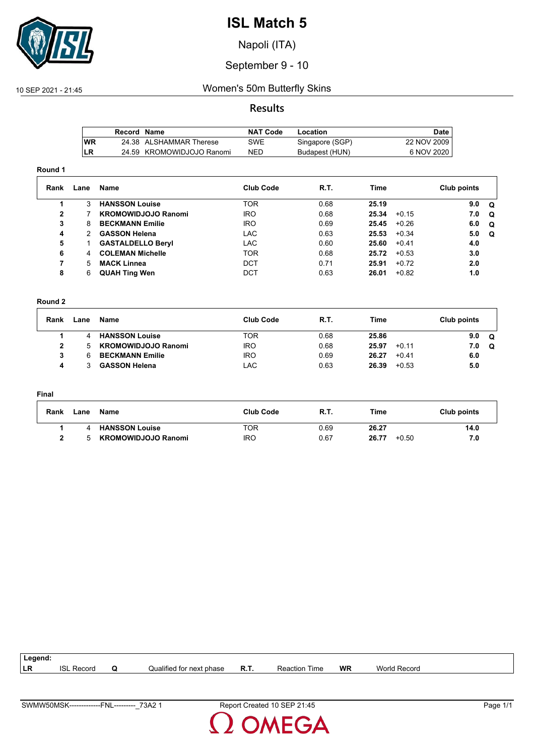

Napoli (ITA)

### September 9 - 10

### 10 SEP 2021 - 21:45 Women's 50m Butterfly Skins

#### **Results**

|      | Record Name |                           | <b>NAT Code</b> | Location        | Date l       |
|------|-------------|---------------------------|-----------------|-----------------|--------------|
| l WR |             | 24.38 ALSHAMMAR Therese   | SWE             | Singapore (SGP) | 22 NOV 2009  |
| ILR  |             | 24.59 KROMOWIDJOJO Ranomi | <b>NED</b>      | Budapest (HUN)  | 6 NOV 2020 I |

#### **Round 1**

| Rank         | Lane | Name                       | <b>Club Code</b> | R.T. | Time  |         | Club points |          |
|--------------|------|----------------------------|------------------|------|-------|---------|-------------|----------|
|              | 3    | <b>HANSSON Louise</b>      | <b>TOR</b>       | 0.68 | 25.19 |         | 9.0         | . വ      |
| $\mathbf{2}$ |      | <b>KROMOWIDJOJO Ranomi</b> | IRO.             | 0.68 | 25.34 | $+0.15$ | 7.0         | $\Omega$ |
| 3            | 8    | <b>BECKMANN Emilie</b>     | IRO.             | 0.69 | 25.45 | $+0.26$ | 6.0         | $\Omega$ |
| 4            | 2    | <b>GASSON Helena</b>       | LAC.             | 0.63 | 25.53 | $+0.34$ | 5.0         | O        |
| 5            |      | <b>GASTALDELLO Beryl</b>   | <b>LAC</b>       | 0.60 | 25.60 | $+0.41$ | 4.0         |          |
| 6            | 4    | <b>COLEMAN Michelle</b>    | TOR.             | 0.68 | 25.72 | $+0.53$ | 3.0         |          |
|              | 5    | <b>MACK Linnea</b>         | <b>DCT</b>       | 0.71 | 25.91 | $+0.72$ | 2.0         |          |
| 8            | 6    | <b>QUAH Ting Wen</b>       | DCT              | 0.63 | 26.01 | $+0.82$ | 1.0         |          |

#### **Round 2**

| Rank | Lane | Name                       | <b>Club Code</b> | R.T. | Time  |         | Club points |   |
|------|------|----------------------------|------------------|------|-------|---------|-------------|---|
|      |      | <b>HANSSON Louise</b>      | TOR              | 0.68 | 25.86 |         | 9.0         | Q |
|      | 5    | <b>KROMOWIDJOJO Ranomi</b> | <b>IRO</b>       | 0.68 | 25.97 | $+0.11$ | 7.0         | Q |
|      |      | <b>BECKMANN Emilie</b>     | <b>IRO</b>       | 0.69 | 26.27 | $+0.41$ | 6.0         |   |
| Д    |      | <b>GASSON Helena</b>       | LAC              | 0.63 | 26.39 | $+0.53$ | 5.0         |   |

#### **Final**

| Rank | Lane | Name                       | <b>Club Code</b> | <b>R.T.</b> | Time             | Club points |
|------|------|----------------------------|------------------|-------------|------------------|-------------|
|      |      | <b>HANSSON Louise</b>      | TOR              | 0.69        | 26.27            | 14.0        |
|      |      | <b>KROMOWIDJOJO Ranomi</b> | <b>IRO</b>       | 0.67        | 26.77<br>$+0.50$ | 7.0         |

| Legend: |                        |                          |      |                      |    |              |  |
|---------|------------------------|--------------------------|------|----------------------|----|--------------|--|
| ∣LR     | <b>ISL</b><br>. Record | Qualified for next phase | R.T. | <b>Reaction Time</b> | WR | World Record |  |
|         |                        |                          |      |                      |    |              |  |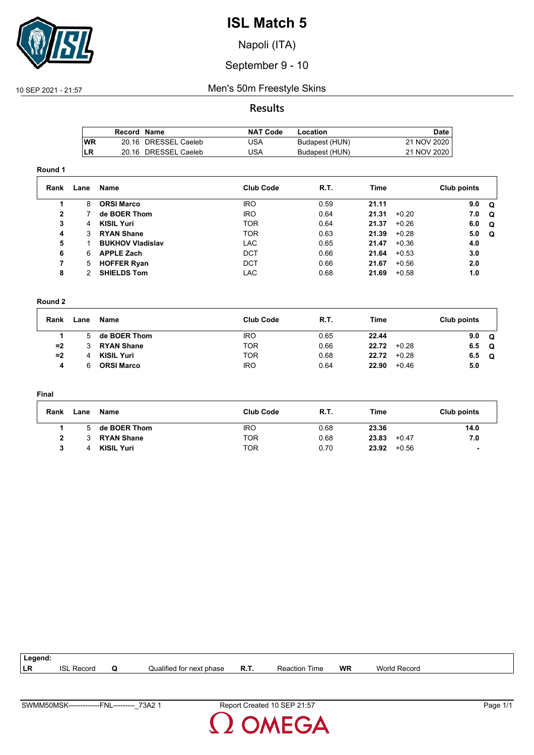

Napoli (ITA)

### September 9 - 10

### 10 SEP 2021 - 21:57 Men's 50m Freestyle Skins

#### **Results**

|     | Record Name |                      | <b>NAT Code</b> | Location       | Date        |
|-----|-------------|----------------------|-----------------|----------------|-------------|
| lWR |             | 20.16 DRESSEL Caeleb | 'JSA            | Budapest (HUN) | 21 NOV 2020 |
| LR  |             | 20.16 DRESSEL Caeleb | 'JSA            | Budapest (HUN) | 21 NOV 2020 |

#### **Round 1**

| Rank | Lane | Name                    | <b>Club Code</b> | <b>R.T.</b> | Time  |         | Club points |          |
|------|------|-------------------------|------------------|-------------|-------|---------|-------------|----------|
|      | 8    | <b>ORSI Marco</b>       | <b>IRO</b>       | 0.59        | 21.11 |         | 9.0         | Q        |
| 2    |      | de BOER Thom            | <b>IRO</b>       | 0.64        | 21.31 | $+0.20$ | 7.0         | $\Omega$ |
| 3    | 4    | <b>KISIL Yuri</b>       | <b>TOR</b>       | 0.64        | 21.37 | $+0.26$ | 6.0         | Q        |
| 4    | 3    | <b>RYAN Shane</b>       | <b>TOR</b>       | 0.63        | 21.39 | $+0.28$ | 5.0         | Q        |
| 5    |      | <b>BUKHOV Vladislav</b> | <b>LAC</b>       | 0.65        | 21.47 | $+0.36$ | 4.0         |          |
| 6    | 6.   | <b>APPLE Zach</b>       | <b>DCT</b>       | 0.66        | 21.64 | $+0.53$ | 3.0         |          |
| 7    | 5.   | <b>HOFFER Ryan</b>      | <b>DCT</b>       | 0.66        | 21.67 | $+0.56$ | 2.0         |          |
| 8    |      | <b>SHIELDS Tom</b>      | <b>LAC</b>       | 0.68        | 21.69 | $+0.58$ | 1.0         |          |

#### **Round 2**

| Rank | Lane | Name              | <b>Club Code</b> | R.T. | <b>Time</b> | Club points           |
|------|------|-------------------|------------------|------|-------------|-----------------------|
|      | 5    | de BOER Thom      | <b>IRO</b>       | 0.65 | 22.44       | 9.0<br>Q              |
| $=2$ |      | <b>RYAN Shane</b> | TOR              | 0.66 | 22.72       | $+0.28$<br>6.5<br>െ   |
| $=2$ | 4    | <b>KISIL Yuri</b> | TOR              | 0.68 | 22.72       | $+0.28$<br>6.5<br>. വ |
| 4    | 6    | <b>ORSI Marco</b> | <b>IRO</b>       | 0.64 | 22.90       | $+0.46$<br>5.0        |

#### **Final**

| Rank | Lane | Name              | <b>Club Code</b> | <b>R.T.</b> | Time             | Club points |
|------|------|-------------------|------------------|-------------|------------------|-------------|
|      |      | de BOER Thom      | <b>IRO</b>       | 0.68        | 23.36            | 14.0        |
| າ    |      | <b>RYAN Shane</b> | TOR              | 0.68        | 23.83<br>$+0.47$ | 7.0         |
|      |      | <b>KISIL Yuri</b> | TOR              | 0.70        | 23.92<br>$+0.56$ |             |

| Legend:         |               |   |                          |             |                      |           |                          |  |
|-----------------|---------------|---|--------------------------|-------------|----------------------|-----------|--------------------------|--|
| <sup>I</sup> LR | ISI<br>Record | Q | Qualified for next phase | <b>R.T.</b> | <b>Reaction Time</b> | <b>WR</b> | <b>World</b><br>l Record |  |
|                 |               |   |                          |             |                      |           |                          |  |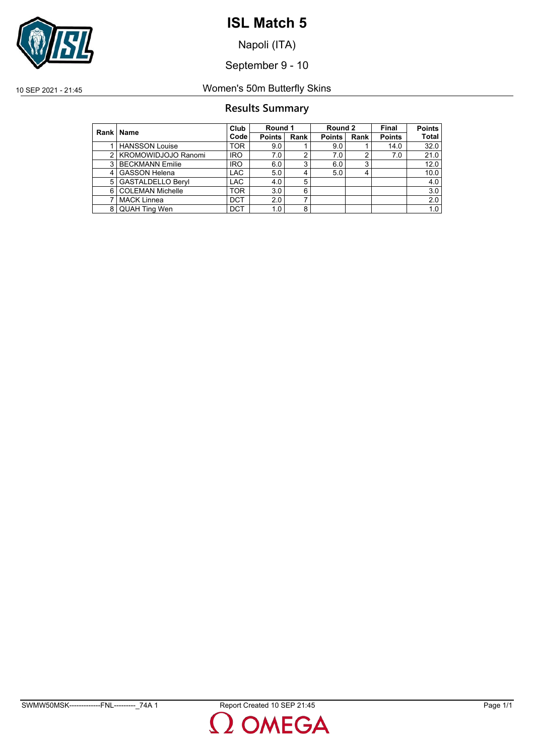

Napoli (ITA)

September 9 - 10

### 10 SEP 2021 - 21:45 Women's 50m Butterfly Skins

### **Results Summary**

|                | Rank   Name              | Club       | Round 1       |      | Round 2       |      | <b>Final</b>  | <b>Points</b> |
|----------------|--------------------------|------------|---------------|------|---------------|------|---------------|---------------|
|                |                          | Code       | <b>Points</b> | Rank | <b>Points</b> | Rank | <b>Points</b> | <b>Total</b>  |
|                | <b>HANSSON Louise</b>    | TOR        | 9.0           |      | 9.0           |      | 14.0          | 32.0          |
|                | 2   KROMOWIDJOJO Ranomi  | <b>IRO</b> | 7.0           | 2    | 7.0           |      | 7.0           | 21.0          |
| 3              | <b>BECKMANN Emilie</b>   | <b>IRO</b> | 6.0           | 3    | 6.0           | 3    |               | 12.0          |
| $\overline{4}$ | <b>GASSON Helena</b>     | <b>LAC</b> | 5.0           | 4    | 5.0           |      |               | 10.0          |
| 5              | <b>GASTALDELLO Beryl</b> | <b>LAC</b> | 4.0           | 5    |               |      |               | 4.0           |
| 6              | <b>COLEMAN Michelle</b>  | <b>TOR</b> | 3.0           | 6    |               |      |               | 3.0           |
|                | <b>MACK Linnea</b>       | <b>DCT</b> | 2.0           | ⇁    |               |      |               | 2.0           |
| 8              | <b>QUAH Ting Wen</b>     | <b>DCT</b> | 1.0           | 8    |               |      |               | 1.0           |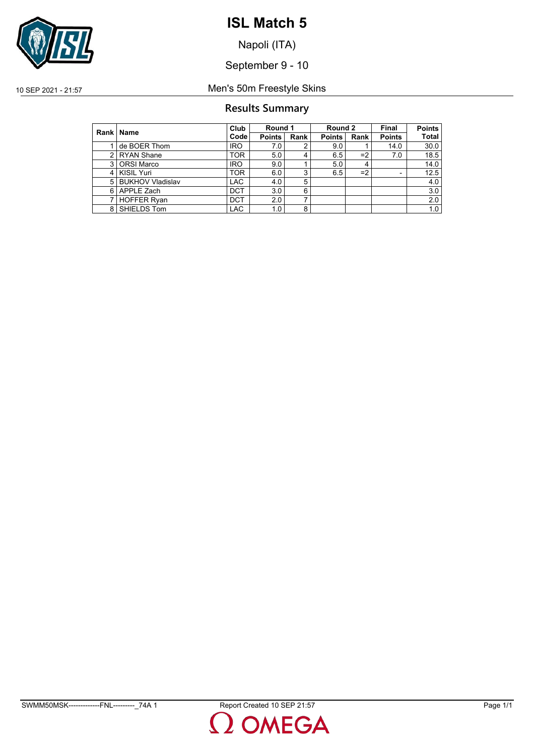

Napoli (ITA)

September 9 - 10

10 SEP 2021 - 21:57 Men's 50m Freestyle Skins

### **Results Summary**

|                | Rank   Name             | Club       | Round 1       |      | Round 2       |      | Final                    | <b>Points</b> |
|----------------|-------------------------|------------|---------------|------|---------------|------|--------------------------|---------------|
|                |                         | Code       | <b>Points</b> | Rank | <b>Points</b> | Rank | <b>Points</b>            | Total         |
|                | de BOER Thom            | <b>IRO</b> | 7.0           | 2    | 9.0           |      | 14.0                     | 30.0          |
| 2              | <b>RYAN Shane</b>       | TOR        | 5.0           | 4    | 6.5           | $=2$ | 7.0                      | 18.5          |
| 3              | <b>ORSI Marco</b>       | <b>IRO</b> | 9.0           |      | 5.0           |      |                          | 14.0          |
| $\overline{4}$ | KISIL Yuri              | <b>TOR</b> | 6.0           | 3    | 6.5           | $=2$ | $\overline{\phantom{0}}$ | 12.5          |
| 5              | <b>BUKHOV Vladislav</b> | <b>LAC</b> | 4.0           | 5    |               |      |                          | 4.0           |
| 6              | APPLE Zach              | <b>DCT</b> | 3.0           | 6    |               |      |                          | 3.0           |
|                | <b>HOFFER Ryan</b>      | <b>DCT</b> | 2.0           |      |               |      |                          | 2.0           |
| 8              | SHIELDS Tom             | <b>LAC</b> | 1.0           | 8    |               |      |                          | 1.0           |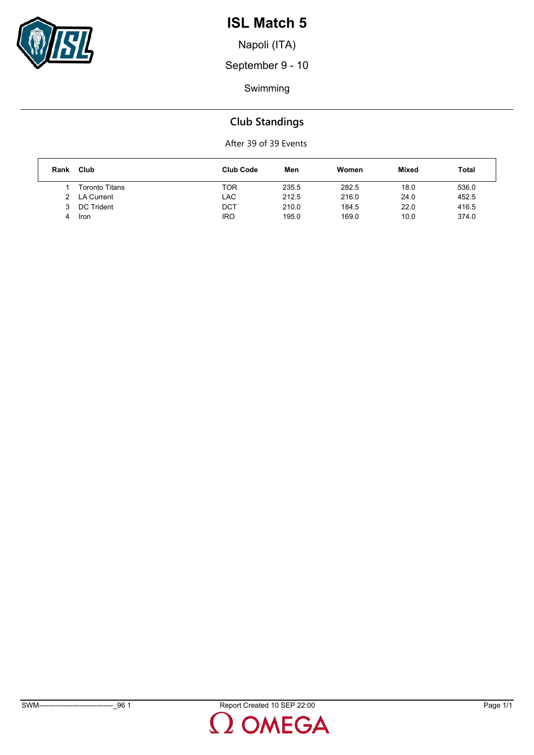

Napoli (ITA)

September 9 - 10

Swimming

# **Club Standings**

| Rank          | Club              | <b>Club Code</b> | Men   | Women | Mixed | Total |
|---------------|-------------------|------------------|-------|-------|-------|-------|
|               | Toronto Titans    | TOR              | 235.5 | 282.5 | 18.0  | 536.0 |
| $\mathcal{P}$ | <b>LA Current</b> | LAC              | 212.5 | 216.0 | 24.0  | 452.5 |
|               | DC Trident        | DCT              | 210.0 | 184.5 | 22.0  | 416.5 |
| 4             | Iron              | <b>IRO</b>       | 195.0 | 169.0 | 10.0  | 374.0 |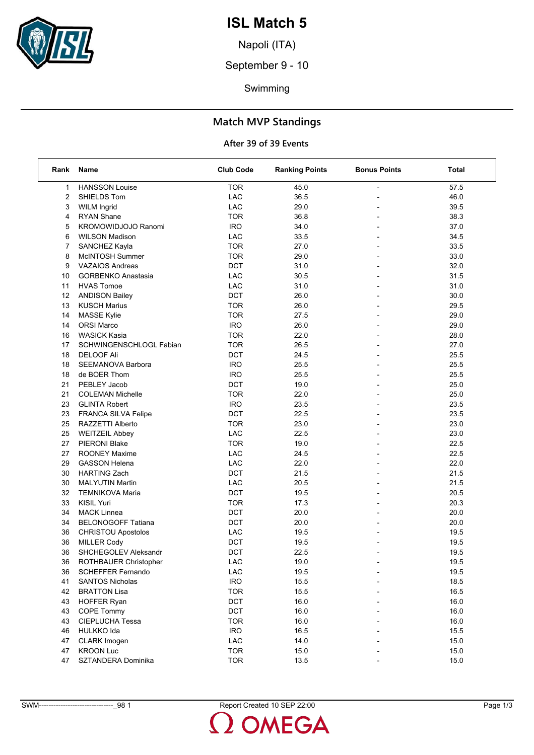

Napoli (ITA)

September 9 - 10

Swimming

### **Match MVP Standings**

| Rank | Name                       | <b>Club Code</b> | <b>Ranking Points</b> | <b>Bonus Points</b> | Total |
|------|----------------------------|------------------|-----------------------|---------------------|-------|
| 1    | <b>HANSSON Louise</b>      | <b>TOR</b>       | 45.0                  | $\overline{a}$      | 57.5  |
| 2    | SHIELDS Tom                | <b>LAC</b>       | 36.5                  |                     | 46.0  |
| 3    | <b>WILM Ingrid</b>         | <b>LAC</b>       | 29.0                  |                     | 39.5  |
| 4    | <b>RYAN Shane</b>          | <b>TOR</b>       | 36.8                  | $\blacksquare$      | 38.3  |
| 5    | <b>KROMOWIDJOJO Ranomi</b> | <b>IRO</b>       | 34.0                  |                     | 37.0  |
| 6    | <b>WILSON Madison</b>      | LAC              | 33.5                  |                     | 34.5  |
| 7    | SANCHEZ Kayla              | <b>TOR</b>       | 27.0                  |                     | 33.5  |
| 8    | McINTOSH Summer            | <b>TOR</b>       | 29.0                  |                     | 33.0  |
| 9    | <b>VAZAIOS Andreas</b>     | <b>DCT</b>       | 31.0                  |                     | 32.0  |
| 10   | <b>GORBENKO Anastasia</b>  | LAC              | 30.5                  | $\blacksquare$      | 31.5  |
| 11   | <b>HVAS Tomoe</b>          | LAC              | 31.0                  |                     | 31.0  |
| 12   | <b>ANDISON Bailey</b>      | <b>DCT</b>       | 26.0                  |                     | 30.0  |
| 13   | <b>KUSCH Marius</b>        | <b>TOR</b>       | 26.0                  |                     | 29.5  |
| 14   | MASSE Kylie                | <b>TOR</b>       | 27.5                  |                     | 29.0  |
| 14   | <b>ORSI Marco</b>          | <b>IRO</b>       | 26.0                  |                     | 29.0  |
| 16   | <b>WASICK Kasia</b>        | <b>TOR</b>       | 22.0                  | $\blacksquare$      | 28.0  |
| 17   | SCHWINGENSCHLOGL Fabian    | <b>TOR</b>       | 26.5                  |                     | 27.0  |
| 18   | <b>DELOOF Ali</b>          | <b>DCT</b>       | 24.5                  |                     | 25.5  |
| 18   | SEEMANOVA Barbora          | <b>IRO</b>       | 25.5                  |                     | 25.5  |
| 18   | de BOER Thom               | <b>IRO</b>       | 25.5                  |                     | 25.5  |
| 21   | PEBLEY Jacob               | <b>DCT</b>       | 19.0                  | $\overline{a}$      | 25.0  |
| 21   | <b>COLEMAN Michelle</b>    | <b>TOR</b>       | 22.0                  | $\blacksquare$      | 25.0  |
| 23   | <b>GLINTA Robert</b>       | <b>IRO</b>       | 23.5                  |                     | 23.5  |
| 23   | FRANCA SILVA Felipe        | <b>DCT</b>       | 22.5                  |                     | 23.5  |
| 25   | RAZZETTI Alberto           | <b>TOR</b>       | 23.0                  |                     | 23.0  |
| 25   | <b>WEITZEIL Abbey</b>      | LAC              | 22.5                  |                     | 23.0  |
| 27   | <b>PIERONI Blake</b>       | <b>TOR</b>       | 19.0                  |                     | 22.5  |
| 27   | <b>ROONEY Maxime</b>       | LAC              | 24.5                  |                     | 22.5  |
| 29   | <b>GASSON Helena</b>       | LAC              | 22.0                  |                     | 22.0  |
| 30   | <b>HARTING Zach</b>        | <b>DCT</b>       | 21.5                  |                     | 21.5  |
| 30   | MALYUTIN Martin            | LAC              | 20.5                  |                     | 21.5  |
| 32   | TEMNIKOVA Maria            | DCT              | 19.5                  |                     | 20.5  |
| 33   | KISIL Yuri                 | <b>TOR</b>       | 17.3                  |                     | 20.3  |
| 34   | <b>MACK Linnea</b>         | <b>DCT</b>       | 20.0                  | $\blacksquare$      | 20.0  |
| 34   | <b>BELONOGOFF Tatiana</b>  | DCT              | 20.0                  |                     | 20.0  |
| 36   | <b>CHRISTOU Apostolos</b>  | LAC              | 19.5                  |                     | 19.5  |
| 36   | <b>MILLER Cody</b>         | <b>DCT</b>       | 19.5                  |                     | 19.5  |
| 36   | SHCHEGOLEV Aleksandr       | <b>DCT</b>       | 22.5                  |                     | 19.5  |
| 36   | ROTHBAUER Christopher      | LAC              | 19.0                  |                     | 19.5  |
| 36   | <b>SCHEFFER Fernando</b>   | LAC              | 19.5                  |                     | 19.5  |
| 41   | <b>SANTOS Nicholas</b>     | <b>IRO</b>       | 15.5                  |                     | 18.5  |
| 42   | <b>BRATTON Lisa</b>        | <b>TOR</b>       | 15.5                  |                     | 16.5  |
| 43   | <b>HOFFER Ryan</b>         | DCT              | 16.0                  |                     | 16.0  |
| 43   | <b>COPE Tommy</b>          | DCT              | 16.0                  |                     | 16.0  |
| 43   | CIEPLUCHA Tessa            | <b>TOR</b>       | 16.0                  |                     | 16.0  |
| 46   | <b>HULKKO Ida</b>          | <b>IRO</b>       | 16.5                  |                     | 15.5  |
| 47   | CLARK Imogen               | LAC              | 14.0                  |                     | 15.0  |
| 47   | <b>KROON Luc</b>           | <b>TOR</b>       | 15.0                  |                     | 15.0  |
| 47   | SZTANDERA Dominika         | <b>TOR</b>       | 13.5                  |                     | 15.0  |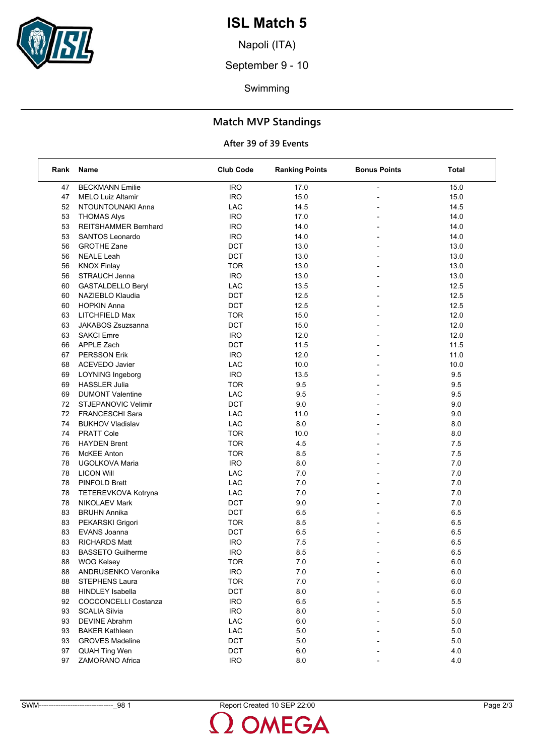

Napoli (ITA)

September 9 - 10

Swimming

### **Match MVP Standings**

| Rank | Name                        | <b>Club Code</b> | <b>Ranking Points</b> | <b>Bonus Points</b>      | Total   |
|------|-----------------------------|------------------|-----------------------|--------------------------|---------|
| 47   | <b>BECKMANN Emilie</b>      | <b>IRO</b>       | 17.0                  | $\overline{a}$           | 15.0    |
| 47   | <b>MELO Luiz Altamir</b>    | <b>IRO</b>       | 15.0                  |                          | 15.0    |
| 52   | NTOUNTOUNAKI Anna           | LAC              | 14.5                  |                          | 14.5    |
| 53   | <b>THOMAS Alys</b>          | <b>IRO</b>       | 17.0                  | $\overline{a}$           | 14.0    |
| 53   | <b>REITSHAMMER Bernhard</b> | <b>IRO</b>       | 14.0                  |                          | 14.0    |
| 53   | <b>SANTOS Leonardo</b>      | <b>IRO</b>       | 14.0                  |                          | 14.0    |
| 56   | <b>GROTHE Zane</b>          | DCT              | 13.0                  |                          | 13.0    |
| 56   | <b>NEALE Leah</b>           | DCT              | 13.0                  |                          | 13.0    |
| 56   | <b>KNOX Finlay</b>          | <b>TOR</b>       | 13.0                  |                          | 13.0    |
| 56   | STRAUCH Jenna               | <b>IRO</b>       | 13.0                  | $\overline{a}$           | 13.0    |
| 60   | <b>GASTALDELLO Beryl</b>    | LAC              | 13.5                  |                          | 12.5    |
| 60   | NAZIEBLO Klaudia            | DCT              | 12.5                  |                          | 12.5    |
| 60   | <b>HOPKIN Anna</b>          | DCT              | 12.5                  |                          | 12.5    |
| 63   | LITCHFIELD Max              | <b>TOR</b>       | 15.0                  |                          | 12.0    |
| 63   | JAKABOS Zsuzsanna           | DCT              | 15.0                  |                          | 12.0    |
| 63   | <b>SAKCI Emre</b>           | <b>IRO</b>       | 12.0                  | $\overline{a}$           | 12.0    |
| 66   | APPLE Zach                  | DCT              | 11.5                  |                          | 11.5    |
| 67   | <b>PERSSON Erik</b>         | <b>IRO</b>       | 12.0                  |                          | 11.0    |
| 68   | <b>ACEVEDO Javier</b>       | <b>LAC</b>       | 10.0                  | $\overline{\phantom{a}}$ | 10.0    |
| 69   | LOYNING Ingeborg            | <b>IRO</b>       | 13.5                  |                          | 9.5     |
| 69   | <b>HASSLER Julia</b>        | <b>TOR</b>       | 9.5                   |                          | $9.5\,$ |
| 69   | <b>DUMONT Valentine</b>     | <b>LAC</b>       | 9.5                   | $\overline{a}$           | 9.5     |
| 72   | <b>STJEPANOVIC Velimir</b>  | DCT              | 9.0                   |                          | 9.0     |
| 72   | FRANCESCHI Sara             | LAC              | 11.0                  |                          | 9.0     |
| 74   | <b>BUKHOV Vladislav</b>     | LAC              | 8.0                   |                          | 8.0     |
| 74   | <b>PRATT Cole</b>           | <b>TOR</b>       | 10.0                  |                          | 8.0     |
| 76   | <b>HAYDEN Brent</b>         | <b>TOR</b>       | 4.5                   |                          | 7.5     |
| 76   | <b>McKEE Anton</b>          | <b>TOR</b>       | 8.5                   |                          | 7.5     |
| 78   | UGOLKOVA Maria              | <b>IRO</b>       | 8.0                   |                          | 7.0     |
| 78   | <b>LICON Will</b>           | <b>LAC</b>       | 7.0                   |                          | 7.0     |
| 78   | <b>PINFOLD Brett</b>        | LAC              | 7.0                   |                          | 7.0     |
| 78   | TETEREVKOVA Kotryna         | LAC              | 7.0                   |                          | 7.0     |
| 78   | <b>NIKOLAEV Mark</b>        | DCT              | 9.0                   |                          | 7.0     |
| 83   | <b>BRUHN Annika</b>         | DCT              | 6.5                   | $\blacksquare$           | 6.5     |
| 83   | PEKARSKI Grigori            | <b>TOR</b>       | 8.5                   |                          | 6.5     |
| 83   | EVANS Joanna                | DCT              | 6.5                   |                          | 6.5     |
| 83   | <b>RICHARDS Matt</b>        | <b>IRO</b>       | 7.5                   |                          | 6.5     |
| 83   | <b>BASSETO Guilherme</b>    | <b>IRO</b>       | 8.5                   |                          | 6.5     |
| 88   | WOG Kelsey                  | <b>TOR</b>       | $7.0\,$               |                          | $6.0\,$ |
| 88   | ANDRUSENKO Veronika         | <b>IRO</b>       | 7.0                   |                          | 6.0     |
| 88   | <b>STEPHENS Laura</b>       | <b>TOR</b>       | 7.0                   |                          | 6.0     |
| 88   | <b>HINDLEY Isabella</b>     | DCT              | 8.0                   |                          | 6.0     |
| 92   | <b>COCCONCELLI Costanza</b> | <b>IRO</b>       | 6.5                   |                          | 5.5     |
| 93   | <b>SCALIA Silvia</b>        | <b>IRO</b>       | $8.0\,$               |                          | $5.0\,$ |
| 93   | <b>DEVINE Abrahm</b>        | LAC              | 6.0                   |                          | 5.0     |
| 93   | <b>BAKER Kathleen</b>       | LAC              | 5.0                   |                          | 5.0     |
| 93   | <b>GROVES Madeline</b>      | DCT              | 5.0                   |                          | 5.0     |
| 97   | <b>QUAH Ting Wen</b>        | DCT              | 6.0                   |                          | 4.0     |
| 97   | ZAMORANO Africa             | <b>IRO</b>       | 8.0                   |                          | 4.0     |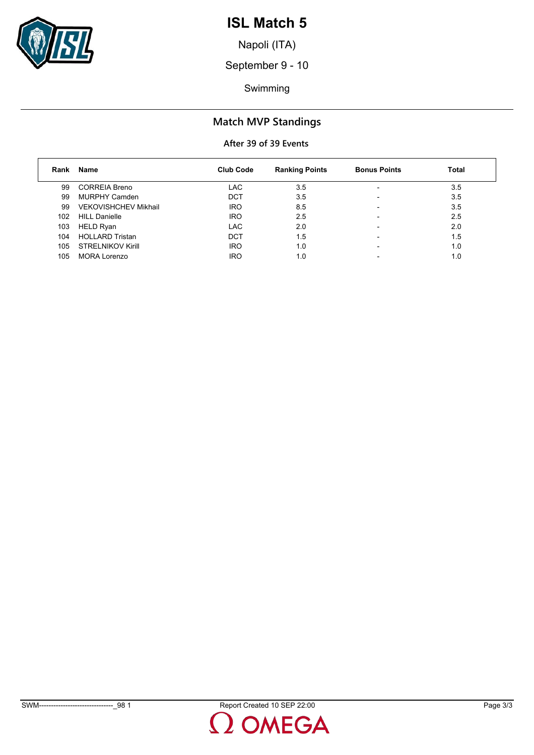

Napoli (ITA)

September 9 - 10

Swimming

### **Match MVP Standings**

| Rank | Name                        | <b>Club Code</b> | <b>Ranking Points</b> | <b>Bonus Points</b> | <b>Total</b> |
|------|-----------------------------|------------------|-----------------------|---------------------|--------------|
| 99   | <b>CORREIA Breno</b>        | LAC.             | 3.5                   |                     | 3.5          |
| 99   | MURPHY Camden               | <b>DCT</b>       | 3.5                   |                     | 3.5          |
| 99   | <b>VEKOVISHCHEV Mikhail</b> | <b>IRO</b>       | 8.5                   |                     | 3.5          |
| 102  | <b>HILL Danielle</b>        | <b>IRO</b>       | 2.5                   |                     | 2.5          |
| 103  | HELD Ryan                   | LAC.             | 2.0                   |                     | 2.0          |
| 104  | <b>HOLLARD Tristan</b>      | <b>DCT</b>       | 1.5                   |                     | 1.5          |
| 105  | <b>STRELNIKOV Kirill</b>    | <b>IRO</b>       | 1.0                   |                     | 1.0          |
| 105  | MORA Lorenzo                | <b>IRO</b>       | 1.0                   |                     | 1.0          |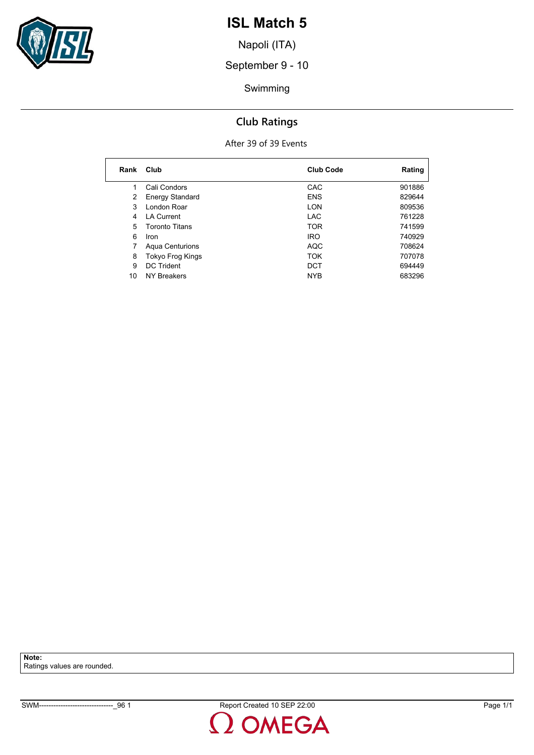

Napoli (ITA)

September 9 - 10

Swimming

### **Club Ratings**

#### After 39 of 39 Events

| Rank | Club                   | <b>Club Code</b> | Rating |
|------|------------------------|------------------|--------|
| 1    | Cali Condors           | CAC              | 901886 |
| 2    | <b>Energy Standard</b> | <b>ENS</b>       | 829644 |
| 3    | London Roar            | LON              | 809536 |
| 4    | <b>LA Current</b>      | <b>LAC</b>       | 761228 |
| 5    | <b>Toronto Titans</b>  | <b>TOR</b>       | 741599 |
| 6    | Iron                   | <b>IRO</b>       | 740929 |
| 7    | <b>Agua Centurions</b> | <b>AQC</b>       | 708624 |
| 8    | Tokyo Frog Kings       | <b>TOK</b>       | 707078 |
| 9    | <b>DC Trident</b>      | <b>DCT</b>       | 694449 |
| 10   | <b>NY Breakers</b>     | <b>NYB</b>       | 683296 |

**Note:** Ratings values are rounded.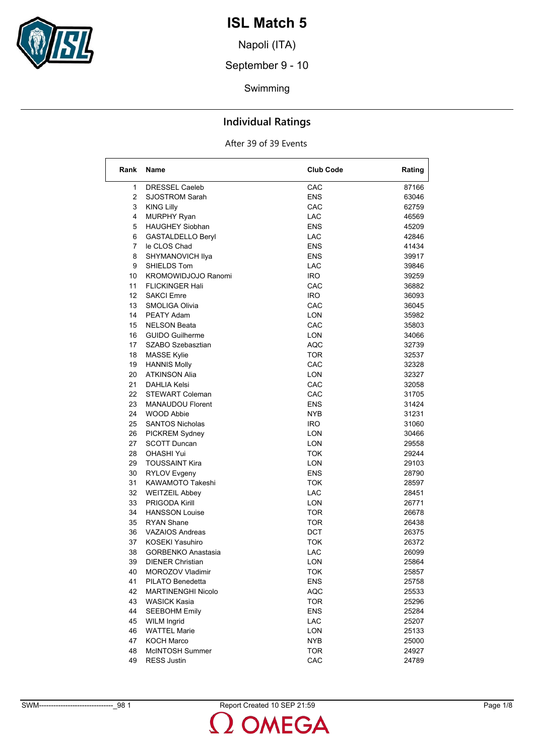

Napoli (ITA)

September 9 - 10

Swimming

### **Individual Ratings**

#### After 39 of 39 Events

| Rank            | <b>Name</b>                               | <b>Club Code</b> | Rating         |
|-----------------|-------------------------------------------|------------------|----------------|
| 1               | <b>DRESSEL Caeleb</b>                     | CAC              | 87166          |
| $\overline{2}$  | <b>SJOSTROM Sarah</b>                     | <b>ENS</b>       | 63046          |
| 3               | <b>KING Lilly</b>                         | CAC              | 62759          |
| 4               | <b>MURPHY Ryan</b>                        | <b>LAC</b>       | 46569          |
| 5               | <b>HAUGHEY Siobhan</b>                    | <b>ENS</b>       | 45209          |
| 6               | GASTALDELLO Beryl                         | <b>LAC</b>       | 42846          |
| 7               | le CLOS Chad                              | <b>ENS</b>       | 41434          |
| 8               | SHYMANOVICH Ilya                          | ENS              | 39917          |
| 9               | SHIELDS Tom                               | LAC              | 39846          |
| 10              | <b>KROMOWIDJOJO Ranomi</b>                | <b>IRO</b>       | 39259          |
| 11              | <b>FLICKINGER Hali</b>                    | CAC              | 36882          |
| 12 <sup>°</sup> | <b>SAKCI Emre</b>                         | <b>IRO</b>       | 36093          |
| 13              | SMOLIGA Olivia                            | CAC              | 36045          |
| 14              | <b>PEATY Adam</b>                         | <b>LON</b>       | 35982          |
| 15              | <b>NELSON Beata</b>                       | CAC              | 35803          |
| 16              | <b>GUIDO Guilherme</b>                    | LON              | 34066          |
| 17              | SZABO Szebasztian                         | <b>AQC</b>       | 32739          |
| 18              |                                           | TOR              |                |
| 19              | <b>MASSE Kylie</b><br><b>HANNIS Molly</b> | CAC              | 32537<br>32328 |
| 20              | <b>ATKINSON Alia</b>                      |                  | 32327          |
| 21              |                                           | LON<br>CAC       |                |
|                 | DAHLIA Kelsi                              |                  | 32058          |
| 22              | <b>STEWART Coleman</b>                    | CAC              | 31705          |
| 23              | <b>MANAUDOU Florent</b>                   | <b>ENS</b>       | 31424          |
| 24              | <b>WOOD Abbie</b>                         | NYB              | 31231          |
| 25              | <b>SANTOS Nicholas</b>                    | IRO.             | 31060          |
| 26              | <b>PICKREM Sydney</b>                     | LON              | 30466          |
| 27              | <b>SCOTT Duncan</b>                       | LON              | 29558          |
| 28              | <b>OHASHI Yui</b>                         | TOK              | 29244          |
| 29              | <b>TOUSSAINT Kira</b>                     | LON              | 29103          |
| 30              | <b>RYLOV Evgeny</b>                       | <b>ENS</b>       | 28790          |
| 31              | KAWAMOTO Takeshi                          | TOK              | 28597          |
| 32              | <b>WEITZEIL Abbey</b>                     | LAC              | 28451          |
| 33              | <b>PRIGODA Kirill</b>                     | LON              | 26771          |
| 34              | <b>HANSSON Louise</b>                     | TOR              | 26678          |
| 35              | <b>RYAN Shane</b>                         | TOR              | 26438          |
| 36              | <b>VAZAIOS Andreas</b>                    | DCT              | 26375          |
| 37              | <b>KOSEKI Yasuhiro</b>                    | TOK              | 26372          |
| 38              | <b>GORBENKO Anastasia</b>                 | LAC              | 26099          |
| 39              | <b>DIENER Christian</b>                   | <b>LON</b>       | 25864          |
| 40              | MOROZOV Vladimir                          | ток              | 25857          |
| 41              | PILATO Benedetta                          | <b>ENS</b>       | 25758          |
| 42              | <b>MARTINENGHI Nicolo</b>                 | <b>AQC</b>       | 25533          |
| 43              | WASICK Kasia                              | <b>TOR</b>       | 25296          |
| 44              | <b>SEEBOHM Emily</b>                      | <b>ENS</b>       | 25284          |
| 45              | <b>WILM Ingrid</b>                        | <b>LAC</b>       | 25207          |
| 46              | <b>WATTEL Marie</b>                       | <b>LON</b>       | 25133          |
| 47              | <b>KOCH Marco</b>                         | <b>NYB</b>       | 25000          |
| 48              | McINTOSH Summer                           | <b>TOR</b>       | 24927          |
| 49              | <b>RESS Justin</b>                        | CAC              | 24789          |

SWM-------------------------------\_98 1 Report Created 10 SEP 21:59 Page 1/8

**DMEGA**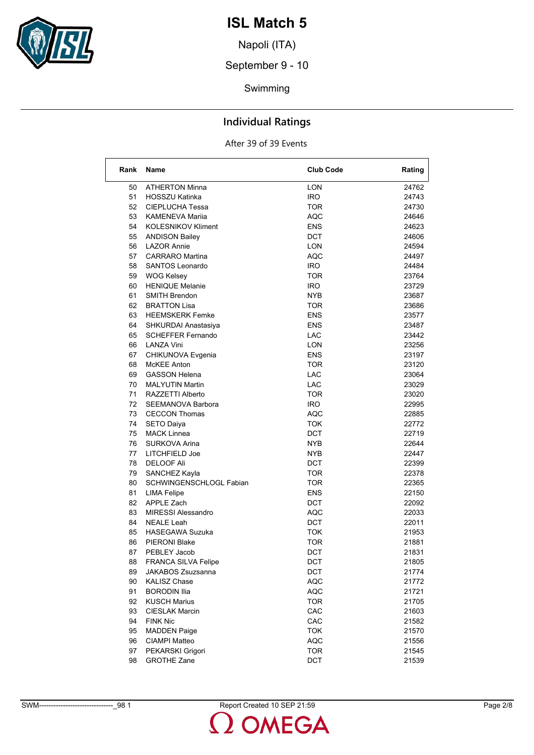

Napoli (ITA)

September 9 - 10

Swimming

### **Individual Ratings**

| Rank     | Name                                           | <b>Club Code</b>  | Rating         |
|----------|------------------------------------------------|-------------------|----------------|
| 50       | <b>ATHERTON Minna</b>                          | LON               | 24762          |
| 51       | <b>HOSSZU Katinka</b>                          | <b>IRO</b>        | 24743          |
| 52       | CIEPLUCHA Tessa                                | TOR               | 24730          |
| 53       | <b>KAMENEVA Marija</b>                         | <b>AQC</b>        | 24646          |
| 54       | <b>KOLESNIKOV Kliment</b>                      | <b>ENS</b>        | 24623          |
| 55       | <b>ANDISON Bailey</b>                          | <b>DCT</b>        | 24606          |
| 56       | <b>LAZOR Annie</b>                             | LON               | 24594          |
| 57       | <b>CARRARO</b> Martina                         | <b>AQC</b>        | 24497          |
| 58       | <b>SANTOS Leonardo</b>                         | <b>IRO</b>        | 24484          |
| 59       | <b>WOG Kelsey</b>                              | <b>TOR</b>        | 23764          |
| 60       | <b>HENIQUE Melanie</b>                         | <b>IRO</b>        | 23729          |
| 61       | <b>SMITH Brendon</b>                           | NYB               | 23687          |
| 62       | <b>BRATTON Lisa</b>                            | TOR               | 23686          |
| 63       | <b>HEEMSKERK Femke</b>                         | <b>ENS</b>        | 23577          |
| 64       | SHKURDAI Anastasiya                            | <b>ENS</b>        | 23487          |
| 65       | <b>SCHEFFER Fernando</b>                       | <b>LAC</b>        | 23442          |
| 66       | LANZA Vini                                     | <b>LON</b>        | 23256          |
| 67       | CHIKUNOVA Evgenia                              | <b>ENS</b>        | 23197          |
| 68       | McKEE Anton                                    | TOR               | 23120          |
| 69       | <b>GASSON Helena</b>                           | <b>LAC</b>        | 23064          |
| 70       | <b>MALYUTIN Martin</b>                         | LAC.              | 23029          |
| 71       | RAZZETTI Alberto                               | TOR               | 23020          |
| 72       | SEEMANOVA Barbora                              | <b>IRO</b>        | 22995          |
| 73       | <b>CECCON Thomas</b>                           | <b>AQC</b>        | 22885          |
| 74       |                                                | TOK               | 22772          |
| 75       | <b>SETO Daiya</b><br><b>MACK Linnea</b>        | <b>DCT</b>        | 22719          |
| 76       | SURKOVA Arina                                  | NYB.              | 22644          |
|          | LITCHFIELD Joe                                 | NYB.              | 22447          |
| 77<br>78 | <b>DELOOF Ali</b>                              | <b>DCT</b>        | 22399          |
|          |                                                |                   |                |
| 79       | SANCHEZ Kayla                                  | <b>TOR</b>        | 22378          |
| 80       | SCHWINGENSCHLOGL Fabian                        | TOR               | 22365          |
| 81       | <b>LIMA Felipe</b>                             | ENS               | 22150          |
| 82       | APPLE Zach                                     | DCT               | 22092          |
| 83<br>84 | <b>MIRESSI Alessandro</b>                      | AQC<br><b>DCT</b> | 22033          |
|          | <b>NEALE Leah</b>                              |                   | 22011<br>21953 |
| 85<br>86 | <b>HASEGAWA Suzuka</b><br><b>PIERONI Blake</b> | TOK               | 21881          |
|          |                                                | TOR               |                |
| 87       | PEBLEY Jacob                                   | DCT               | 21831          |
| 88       | FRANCA SILVA Felipe                            | DCT               | 21805          |
| 89       | JAKABOS Zsuzsanna                              | DCT<br><b>AQC</b> | 21774          |
| 90       | <b>KALISZ Chase</b>                            |                   | 21772          |
| 91       | <b>BORODIN Ilia</b>                            | <b>AQC</b>        | 21721          |
| 92       | <b>KUSCH Marius</b>                            | <b>TOR</b>        | 21705          |
| 93       | <b>CIESLAK Marcin</b>                          | CAC               | 21603          |
| 94       | <b>FINK Nic</b>                                | CAC               | 21582          |
| 95       | <b>MADDEN Paige</b>                            | <b>TOK</b>        | 21570          |
| 96       | <b>CIAMPI Matteo</b>                           | <b>AQC</b>        | 21556          |
| 97       | PEKARSKI Grigori                               | <b>TOR</b>        | 21545          |
| 98       | <b>GROTHE Zane</b>                             | <b>DCT</b>        | 21539          |

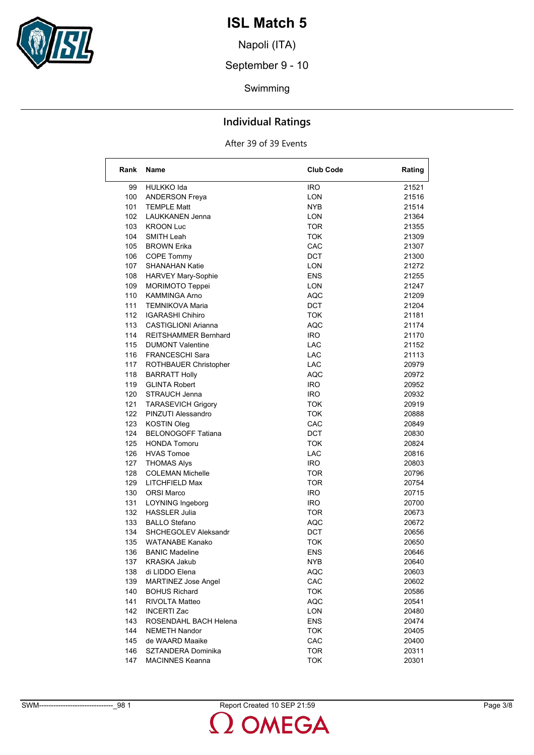

Napoli (ITA)

September 9 - 10

Swimming

### **Individual Ratings**

#### After 39 of 39 Events

| Rank | <b>Name</b>                 | <b>Club Code</b> | Rating |
|------|-----------------------------|------------------|--------|
| 99   | HULKKO Ida                  | <b>IRO</b>       | 21521  |
| 100  | <b>ANDERSON Freya</b>       | LON              | 21516  |
| 101  | <b>TEMPLE Matt</b>          | NYB              | 21514  |
| 102  | <b>LAUKKANEN Jenna</b>      | <b>LON</b>       | 21364  |
| 103  | <b>KROON Luc</b>            | <b>TOR</b>       | 21355  |
| 104  | SMITH Leah                  | TOK              | 21309  |
| 105  | <b>BROWN Erika</b>          | CAC              | 21307  |
| 106  | COPE Tommy                  | <b>DCT</b>       | 21300  |
| 107  | <b>SHANAHAN Katie</b>       | LON              | 21272  |
| 108  | <b>HARVEY Mary-Sophie</b>   | ENS              | 21255  |
| 109  | <b>MORIMOTO Teppei</b>      | LON              | 21247  |
| 110  | <b>KAMMINGA Arno</b>        | AQC              | 21209  |
| 111  | <b>TEMNIKOVA Maria</b>      | <b>DCT</b>       | 21204  |
| 112  | <b>IGARASHI Chihiro</b>     | <b>TOK</b>       | 21181  |
| 113  | <b>CASTIGLIONI Arianna</b>  | AQC              | 21174  |
| 114  | <b>REITSHAMMER Bernhard</b> | IRO.             | 21170  |
| 115  | <b>DUMONT Valentine</b>     | LAC              | 21152  |
| 116  | <b>FRANCESCHI Sara</b>      | LAC              | 21113  |
| 117  | ROTHBAUER Christopher       | LAC              | 20979  |
| 118  | <b>BARRATT Holly</b>        | AQC              | 20972  |
| 119  | <b>GLINTA Robert</b>        | <b>IRO</b>       | 20952  |
| 120  | STRAUCH Jenna               | <b>IRO</b>       | 20932  |
| 121  | <b>TARASEVICH Grigory</b>   | TOK              | 20919  |
| 122  | PINZUTI Alessandro          | TOK              | 20888  |
| 123  | <b>KOSTIN Oleg</b>          | CAC              | 20849  |
| 124  | <b>BELONOGOFF Tatiana</b>   | <b>DCT</b>       | 20830  |
| 125  | <b>HONDA Tomoru</b>         | TOK              | 20824  |
| 126  | <b>HVAS Tomoe</b>           | LAC              | 20816  |
| 127  | <b>THOMAS Alys</b>          | IRO.             | 20803  |
| 128  | <b>COLEMAN Michelle</b>     | <b>TOR</b>       | 20796  |
| 129  | LITCHFIELD Max              | <b>TOR</b>       | 20754  |
| 130  | <b>ORSI Marco</b>           | IRO.             | 20715  |
| 131  | LOYNING Ingeborg            | IRO.             | 20700  |
| 132  | <b>HASSLER Julia</b>        | <b>TOR</b>       | 20673  |
| 133  | <b>BALLO Stefano</b>        | <b>AQC</b>       | 20672  |
| 134  | SHCHEGOLEV Aleksandr        | DCT              | 20656  |
| 135  | <b>WATANABE Kanako</b>      | <b>TOK</b>       | 20650  |
| 136  | <b>BANIC Madeline</b>       | ENS              | 20646  |
| 137  | <b>KRASKA Jakub</b>         | <b>NYB</b>       | 20640  |
| 138  | di LIDDO Elena              | AQC              | 20603  |
| 139  | <b>MARTINEZ Jose Angel</b>  | CAC              | 20602  |
| 140  | <b>BOHUS Richard</b>        | <b>TOK</b>       | 20586  |
| 141  | RIVOLTA Matteo              | AQC              | 20541  |
| 142  | <b>INCERTI Zac</b>          | LON              | 20480  |
| 143  | ROSENDAHL BACH Helena       | <b>ENS</b>       | 20474  |
| 144  | <b>NEMETH Nandor</b>        | <b>TOK</b>       | 20405  |
| 145  | de WAARD Maaike             | CAC              | 20400  |
| 146  | SZTANDERA Dominika          | <b>TOR</b>       | 20311  |
| 147  | <b>MACINNES Keanna</b>      | <b>TOK</b>       | 20301  |

SWM-------------------------------\_98 1 Report Created 10 SEP 21:59 Page 3/8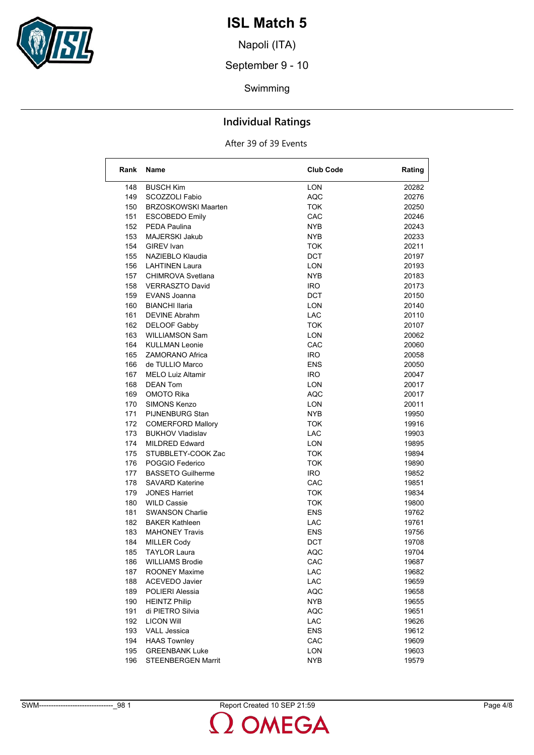

Napoli (ITA)

September 9 - 10

Swimming

### **Individual Ratings**

| Rank       | <b>Name</b>                                    | <b>Club Code</b> | Rating         |
|------------|------------------------------------------------|------------------|----------------|
| 148        | <b>BUSCH Kim</b>                               | <b>LON</b>       | 20282          |
| 149        | SCOZZOLI Fabio                                 | <b>AQC</b>       | 20276          |
| 150        | <b>BRZOSKOWSKI Maarten</b>                     | TOK              | 20250          |
| 151        | <b>ESCOBEDO Emily</b>                          | CAC              | 20246          |
| 152        | <b>PEDA Paulina</b>                            | <b>NYB</b>       | 20243          |
| 153        | MAJERSKI Jakub                                 | <b>NYB</b>       | 20233          |
| 154        | GIREV Ivan                                     | TOK              | 20211          |
| 155        | NAZIEBLO Klaudia                               | <b>DCT</b>       | 20197          |
| 156        | <b>LAHTINEN Laura</b>                          | LON              | 20193          |
| 157        | CHIMROVA Svetlana                              | NYB              | 20183          |
| 158        | <b>VERRASZTO David</b>                         | IRO.             | 20173          |
| 159        | EVANS Joanna                                   | DCT              | 20150          |
| 160        | <b>BIANCHI Ilaria</b>                          | <b>LON</b>       | 20140          |
| 161        | DEVINE Abrahm                                  | <b>LAC</b>       | 20110          |
| 162        | <b>DELOOF Gabby</b>                            | TOK              | 20107          |
| 163        | <b>WILLIAMSON Sam</b>                          | LON              | 20062          |
| 164        | <b>KULLMAN Leonie</b>                          | CAC              | 20060          |
| 165        | ZAMORANO Africa                                | IRO.             | 20058          |
| 166        | de TULLIO Marco                                | ENS              | 20050          |
| 167        | <b>MELO Luiz Altamir</b>                       | IRO.             | 20047          |
| 168        | <b>DEAN Tom</b>                                | LON              | 20017          |
| 169        | OMOTO Rika                                     | AQC              | 20017          |
| 170        | SIMONS Kenzo                                   | LON              | 20011          |
| 171        | PIJNENBURG Stan                                | <b>NYB</b>       | 19950          |
| 172        | <b>COMERFORD Mallory</b>                       | <b>TOK</b>       | 19916          |
| 173        | <b>BUKHOV Vladislav</b>                        | <b>LAC</b>       | 19903          |
| 174        | <b>MILDRED Edward</b>                          | <b>LON</b>       | 19895          |
| 175        | STUBBLETY-COOK Zac                             | TOK              | 19894          |
| 176        | POGGIO Federico                                | TOK              | 19890          |
| 177        | <b>BASSETO Guilherme</b>                       | IRO.             | 19852          |
| 178        | <b>SAVARD Katerine</b>                         | CAC              | 19851          |
| 179        | <b>JONES Harriet</b>                           | TOK              | 19834          |
|            | <b>WILD Cassie</b>                             |                  |                |
| 180<br>181 | <b>SWANSON Charlie</b>                         | TOK<br>ENS       | 19800<br>19762 |
| 182        | <b>BAKER Kathleen</b>                          | LAC.             | 19761          |
| 183        | <b>MAHONEY Travis</b>                          | <b>ENS</b>       | 19756          |
| 184        |                                                | DCT              | 19708          |
| 185        | <b>MILLER Cody</b><br><b>TAYLOR Laura</b>      | <b>AQC</b>       | 19704          |
| 186        |                                                | CAC              |                |
|            | <b>WILLIAMS Brodie</b><br><b>ROONEY Maxime</b> |                  | 19687          |
| 187<br>188 | ACEVEDO Javier                                 | LAC<br>LAC       | 19682<br>19659 |
|            |                                                |                  |                |
| 189        | POLIERI Alessia                                | <b>AQC</b>       | 19658<br>19655 |
| 190        | <b>HEINTZ Philip</b><br>di PIETRO Silvia       | <b>NYB</b>       |                |
| 191        |                                                | <b>AQC</b>       | 19651          |
| 192        | <b>LICON Will</b><br><b>VALL Jessica</b>       | LAC              | 19626          |
| 193        |                                                | <b>ENS</b>       | 19612          |
| 194        | <b>HAAS Townley</b><br><b>GREENBANK Luke</b>   | CAC              | 19609          |
| 195        |                                                | <b>LON</b>       | 19603          |
| 196        | STEENBERGEN Marrit                             | <b>NYB</b>       | 19579          |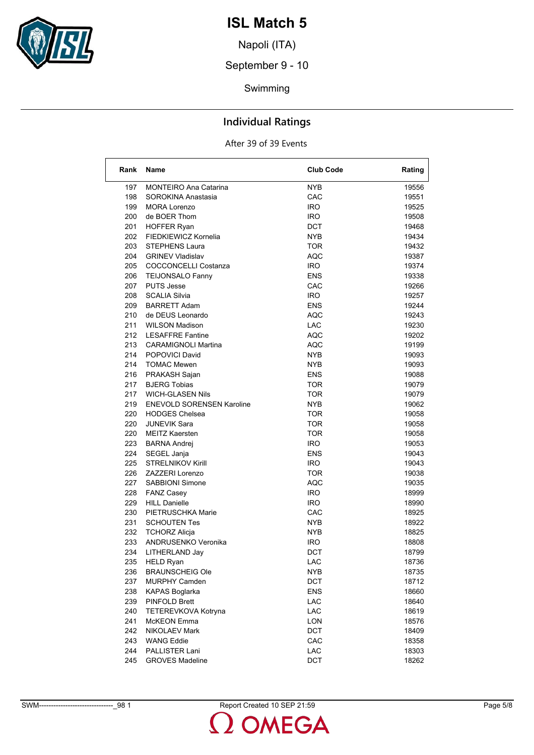

Napoli (ITA)

September 9 - 10

Swimming

### **Individual Ratings**

#### After 39 of 39 Events

| Rank | Name                             | <b>Club Code</b> | Rating |
|------|----------------------------------|------------------|--------|
| 197  | <b>MONTEIRO Ana Catarina</b>     | <b>NYB</b>       | 19556  |
| 198  | SOROKINA Anastasia               | CAC              | 19551  |
| 199  | <b>MORA Lorenzo</b>              | IRO.             | 19525  |
| 200  | de BOER Thom                     | <b>IRO</b>       | 19508  |
| 201  | <b>HOFFER Ryan</b>               | DCT              | 19468  |
| 202  | FIEDKIEWICZ Kornelia             | <b>NYB</b>       | 19434  |
| 203  | STEPHENS Laura                   | TOR              | 19432  |
| 204  | <b>GRINEV Vladislav</b>          | AQC              | 19387  |
| 205  | COCCONCELLI Costanza             | IRO.             | 19374  |
| 206  | <b>TEIJONSALO Fanny</b>          | <b>ENS</b>       | 19338  |
| 207  | <b>PUTS Jesse</b>                | CAC              | 19266  |
| 208  | <b>SCALIA Silvia</b>             | <b>IRO</b>       | 19257  |
| 209  | <b>BARRETT Adam</b>              | <b>ENS</b>       | 19244  |
| 210  | de DEUS Leonardo                 | AQC              | 19243  |
| 211  | <b>WILSON Madison</b>            | LAC              | 19230  |
| 212  | <b>LESAFFRE Fantine</b>          | AQC              | 19202  |
| 213  | <b>CARAMIGNOLI Martina</b>       | AQC              | 19199  |
| 214  | POPOVICI David                   | NYB              | 19093  |
| 214  | <b>TOMAC Mewen</b>               | NYB              | 19093  |
| 216  | PRAKASH Sajan                    | <b>ENS</b>       | 19088  |
| 217  | <b>BJERG Tobias</b>              | <b>TOR</b>       | 19079  |
| 217  | <b>WICH-GLASEN Nils</b>          | <b>TOR</b>       | 19079  |
| 219  | <b>ENEVOLD SORENSEN Karoline</b> | NYB              | 19062  |
| 220  | <b>HODGES Chelsea</b>            | <b>TOR</b>       | 19058  |
| 220  | <b>JUNEVIK Sara</b>              | TOR              | 19058  |
| 220  | <b>MEITZ Kaersten</b>            | TOR              | 19058  |
| 223  | <b>BARNA Andrej</b>              | <b>IRO</b>       | 19053  |
| 224  | SEGEL Janja                      | <b>ENS</b>       | 19043  |
| 225  | <b>STRELNIKOV Kirill</b>         | IRO.             | 19043  |
| 226  | <b>ZAZZERI Lorenzo</b>           | <b>TOR</b>       | 19038  |
| 227  | <b>SABBIONI Simone</b>           | AQC              | 19035  |
| 228  | <b>FANZ Casey</b>                | IRO.             | 18999  |
| 229  | <b>HILL Danielle</b>             | <b>IRO</b>       | 18990  |
| 230  | PIETRUSCHKA Marie                | CAC              | 18925  |
| 231  | <b>SCHOUTEN Tes</b>              | NYB              | 18922  |
| 232  | <b>TCHORZ Alicja</b>             | <b>NYB</b>       | 18825  |
| 233  | ANDRUSENKO Veronika              | <b>IRO</b>       | 18808  |
| 234  | LITHERLAND Jay                   | DCT              | 18799  |
|      | 235 HELD Ryan                    | LAC              | 18736  |
| 236  | <b>BRAUNSCHEIG Ole</b>           | NYB              | 18735  |
| 237  | <b>MURPHY Camden</b>             | DCT              | 18712  |
| 238  | <b>KAPAS Boglarka</b>            | <b>ENS</b>       | 18660  |
| 239  | PINFOLD Brett                    | <b>LAC</b>       | 18640  |
| 240  | TETEREVKOVA Kotryna              | LAC              | 18619  |
| 241  | McKEON Emma                      | <b>LON</b>       | 18576  |
| 242  | NIKOLAEV Mark                    | DCT              | 18409  |
| 243  | <b>WANG Eddie</b>                | CAC              | 18358  |
| 244  | PALLISTER Lani                   | LAC              | 18303  |
| 245  | <b>GROVES Madeline</b>           | DCT              | 18262  |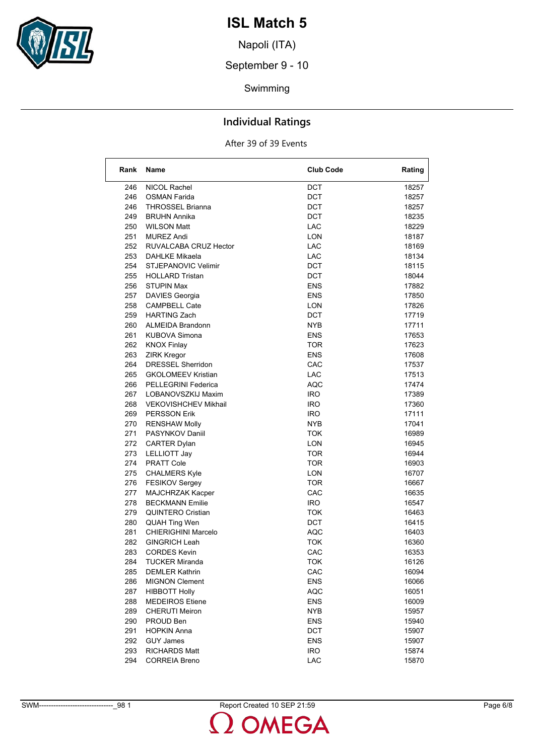

Napoli (ITA)

September 9 - 10

Swimming

### **Individual Ratings**

| Rank | <b>Name</b>                 | <b>Club Code</b> | Rating |
|------|-----------------------------|------------------|--------|
| 246  | NICOL Rachel                | <b>DCT</b>       | 18257  |
| 246  | OSMAN Farida                | DCT              | 18257  |
| 246  | <b>THROSSEL Brianna</b>     | DCT              | 18257  |
| 249  | <b>BRUHN Annika</b>         | DCT              | 18235  |
| 250  | <b>WILSON Matt</b>          | LAC              | 18229  |
| 251  | <b>MUREZ Andi</b>           | LON              | 18187  |
| 252  | RUVALCABA CRUZ Hector       | <b>LAC</b>       | 18169  |
| 253  | <b>DAHLKE Mikaela</b>       | LAC              | 18134  |
| 254  | STJEPANOVIC Velimir         | DCT              | 18115  |
| 255  | <b>HOLLARD Tristan</b>      | DCT              | 18044  |
| 256  | <b>STUPIN Max</b>           | <b>ENS</b>       | 17882  |
| 257  | DAVIES Georgia              | <b>ENS</b>       | 17850  |
| 258  | <b>CAMPBELL Cate</b>        | LON              | 17826  |
| 259  | <b>HARTING Zach</b>         | DCT              | 17719  |
| 260  | ALMEIDA Brandonn            | NYB              | 17711  |
| 261  | KUBOVA Simona               | <b>ENS</b>       | 17653  |
| 262  | <b>KNOX Finlay</b>          | <b>TOR</b>       | 17623  |
| 263  | <b>ZIRK Kregor</b>          | <b>ENS</b>       | 17608  |
| 264  | <b>DRESSEL Sherridon</b>    | CAC              | 17537  |
| 265  | <b>GKOLOMEEV Kristian</b>   | LAC              | 17513  |
| 266  | PELLEGRINI Federica         | AQC              | 17474  |
| 267  | LOBANOVSZKIJ Maxim          | <b>IRO</b>       | 17389  |
| 268  | <b>VEKOVISHCHEV Mikhail</b> | <b>IRO</b>       | 17360  |
| 269  | <b>PERSSON Erik</b>         | <b>IRO</b>       | 17111  |
| 270  | <b>RENSHAW Molly</b>        | <b>NYB</b>       | 17041  |
| 271  | PASYNKOV Daniil             | TOK              | 16989  |
| 272  | <b>CARTER Dylan</b>         | LON              | 16945  |
| 273  | LELLIOTT Jay                | <b>TOR</b>       | 16944  |
| 274  | <b>PRATT Cole</b>           | <b>TOR</b>       | 16903  |
| 275  | <b>CHALMERS Kyle</b>        | LON              | 16707  |
| 276  | FESIKOV Sergey              | <b>TOR</b>       | 16667  |
| 277  | MAJCHRZAK Kacper            | CAC              | 16635  |
| 278  | <b>BECKMANN Emilie</b>      | IRO.             | 16547  |
| 279  | QUINTERO Cristian           | TOK              | 16463  |
| 280  | <b>QUAH Ting Wen</b>        | DCT              | 16415  |
| 281  | CHIERIGHINI Marcelo         | <b>AQC</b>       | 16403  |
| 282  | <b>GINGRICH Leah</b>        | TOK              | 16360  |
| 283  | <b>CORDES Kevin</b>         | CAC              | 16353  |
| 284  | <b>TUCKER Miranda</b>       | <b>TOK</b>       | 16126  |
| 285  | <b>DEMLER Kathrin</b>       | CAC              | 16094  |
| 286  | <b>MIGNON Clement</b>       | <b>ENS</b>       | 16066  |
| 287  | <b>HIBBOTT Holly</b>        | <b>AQC</b>       | 16051  |
| 288  | <b>MEDEIROS Etiene</b>      | <b>ENS</b>       | 16009  |
| 289  | <b>CHERUTI Meiron</b>       | <b>NYB</b>       | 15957  |
| 290  | PROUD Ben                   | <b>ENS</b>       | 15940  |
| 291  | <b>HOPKIN Anna</b>          | <b>DCT</b>       | 15907  |
| 292  | <b>GUY James</b>            | <b>ENS</b>       | 15907  |
| 293  | <b>RICHARDS Matt</b>        | <b>IRO</b>       | 15874  |
| 294  | <b>CORREIA Breno</b>        | LAC              | 15870  |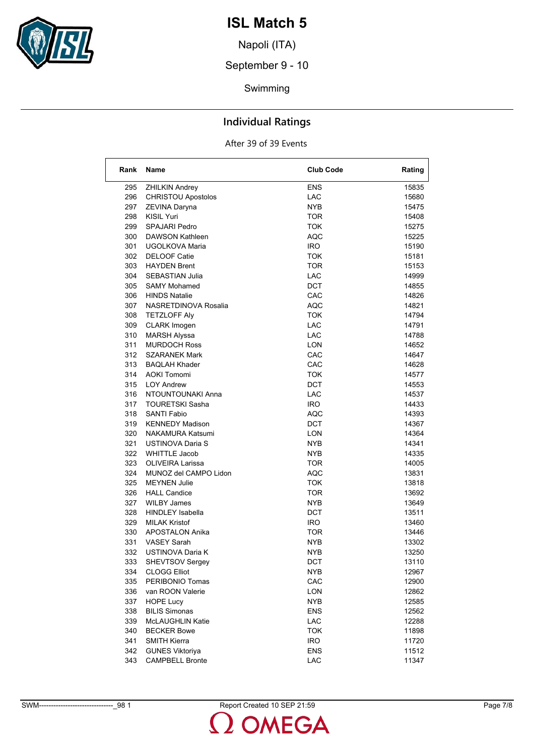

Napoli (ITA)

September 9 - 10

Swimming

### **Individual Ratings**

| Rank       | Name                                          | <b>Club Code</b> | Rating         |
|------------|-----------------------------------------------|------------------|----------------|
| 295        | <b>ZHILKIN Andrey</b>                         | ENS              | 15835          |
| 296        | <b>CHRISTOU Apostolos</b>                     | <b>LAC</b>       | 15680          |
| 297        | ZEVINA Daryna                                 | <b>NYB</b>       | 15475          |
| 298        | <b>KISIL Yuri</b>                             | <b>TOR</b>       | 15408          |
| 299        | <b>SPAJARI Pedro</b>                          | <b>TOK</b>       | 15275          |
| 300        | DAWSON Kathleen                               | <b>AQC</b>       | 15225          |
| 301        | UGOLKOVA Maria                                | IRO.             | 15190          |
| 302        | <b>DELOOF Catie</b>                           | TOK              | 15181          |
| 303        | <b>HAYDEN Brent</b>                           | <b>TOR</b>       | 15153          |
| 304        | <b>SEBASTIAN Julia</b>                        | LAC              | 14999          |
| 305        | <b>SAMY Mohamed</b>                           | <b>DCT</b>       | 14855          |
| 306        | <b>HINDS Natalie</b>                          | CAC              | 14826          |
| 307        | NASRETDINOVA Rosalia                          | <b>AQC</b>       | 14821          |
| 308        | <b>TETZLOFF Aly</b>                           | <b>TOK</b>       | 14794          |
| 309        | CLARK Imogen                                  | LAC.             | 14791          |
| 310        | <b>MARSH Alyssa</b>                           | LAC.             | 14788          |
| 311        | <b>MURDOCH Ross</b>                           | <b>LON</b>       | 14652          |
| 312        | <b>SZARANEK Mark</b>                          | CAC              | 14647          |
| 313        | <b>BAQLAH Khader</b>                          | <b>CAC</b>       | 14628          |
| 314        | <b>AOKI Tomomi</b>                            | TOK              | 14577          |
| 315        | <b>LOY Andrew</b>                             | DCT              | 14553          |
| 316        | NTOUNTOUNAKI Anna                             | LAC              | 14537          |
| 317        | <b>TOURETSKI Sasha</b>                        | <b>IRO</b>       | 14433          |
| 318        | <b>SANTI Fabio</b>                            | <b>AQC</b>       | 14393          |
| 319        | <b>KENNEDY Madison</b>                        | DCT              | 14367          |
| 320        | NAKAMURA Katsumi                              | LON              | 14364          |
| 321        | USTINOVA Daria S                              | NYB              | 14341          |
| 322        | <b>WHITTLE Jacob</b>                          | <b>NYB</b>       | 14335          |
| 323        | <b>OLIVEIRA Larissa</b>                       | TOR              | 14005          |
| 324        | MUNOZ del CAMPO Lidon                         | <b>AQC</b>       | 13831          |
| 325        | <b>MEYNEN Julie</b>                           | TOK              | 13818          |
| 326        | <b>HALL Candice</b>                           | TOR              | 13692          |
|            |                                               |                  |                |
| 327<br>328 | <b>WILBY James</b><br><b>HINDLEY Isabella</b> | NYB<br>DCT       | 13649<br>13511 |
| 329        | <b>MILAK Kristof</b>                          | IRO.             | 13460          |
| 330        | <b>APOSTALON Anika</b>                        | <b>TOR</b>       |                |
| 331        | <b>VASEY Sarah</b>                            | NYB              | 13446<br>13302 |
| 332        | USTINOVA Daria K                              | <b>NYB</b>       | 13250          |
|            |                                               |                  |                |
| 333<br>334 | SHEVTSOV Sergey<br><b>CLOGG Elliot</b>        | <b>DCT</b>       | 13110          |
| 335        | PERIBONIO Tomas                               | NYB<br>CAC       | 12967<br>12900 |
|            |                                               |                  |                |
| 336        | van ROON Valerie<br><b>HOPE Lucy</b>          | <b>LON</b>       | 12862          |
| 337        |                                               | <b>NYB</b>       | 12585          |
| 338        | <b>BILIS Simonas</b>                          | <b>ENS</b>       | 12562          |
| 339        | McLAUGHLIN Katie                              | LAC              | 12288          |
| 340        | <b>BECKER Bowe</b>                            | <b>TOK</b>       | 11898          |
| 341        | <b>SMITH Kierra</b>                           | <b>IRO</b>       | 11720          |
| 342        | <b>GUNES Viktoriya</b>                        | <b>ENS</b>       | 11512          |
| 343        | <b>CAMPBELL Bronte</b>                        | LAC              | 11347          |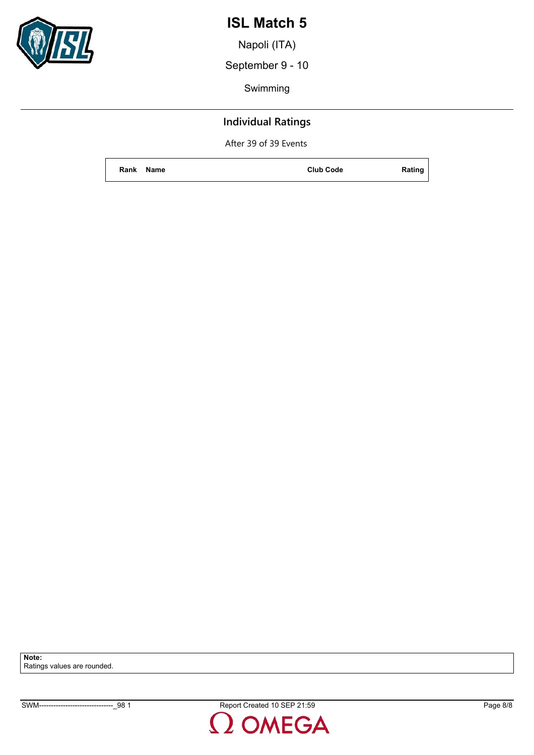

Napoli (ITA)

September 9 - 10

Swimming

### **Individual Ratings**

After 39 of 39 Events

**Rank Name Club Code Rating**

**Note:** Ratings values are rounded.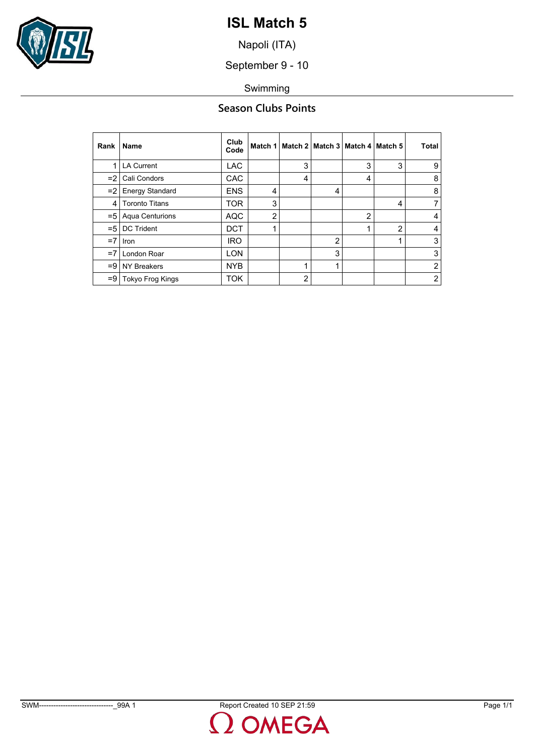

Napoli (ITA)

September 9 - 10

Swimming

### **Season Clubs Points**

| Rank          | <b>Name</b>            | Club<br>Code | Match 1        |   | Match 2   Match 3   Match 4   Match 5 |                |                | Total          |
|---------------|------------------------|--------------|----------------|---|---------------------------------------|----------------|----------------|----------------|
| 1             | <b>LA Current</b>      | <b>LAC</b>   |                | 3 |                                       | 3              | 3              | 9              |
| $=21$         | Cali Condors           | CAC          |                | 4 |                                       | 4              |                | 8              |
| $=21$         | <b>Energy Standard</b> | <b>ENS</b>   | 4              |   | 4                                     |                |                | 8              |
| 4             | <b>Toronto Titans</b>  | <b>TOR</b>   | 3              |   |                                       |                | 4              | 7              |
| $=$ 5 $\vert$ | <b>Aqua Centurions</b> | <b>AQC</b>   | $\overline{2}$ |   |                                       | $\overline{2}$ |                | 4              |
| $=$ 5         | <b>DC Trident</b>      | <b>DCT</b>   |                |   |                                       |                | $\overline{2}$ | 4              |
| $=7$          | <b>Iron</b>            | <b>IRO</b>   |                |   | 2                                     |                | 4              | 3              |
| $=7$          | London Roar            | <b>LON</b>   |                |   | 3                                     |                |                | 3              |
|               | $= 9$ NY Breakers      | <b>NYB</b>   |                |   | ◢                                     |                |                | $\overline{2}$ |
| $=9$          | Tokyo Frog Kings       | <b>TOK</b>   |                | 2 |                                       |                |                | $\overline{2}$ |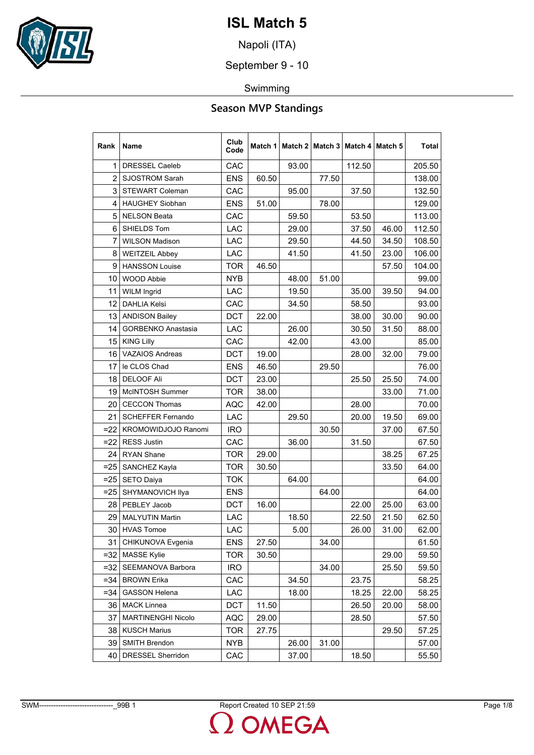

Napoli (ITA)

September 9 - 10

Swimming

### **Season MVP Standings**

| Rank           | Name                      | Club<br>Code | Match 1 |       | Match 2   Match 3   Match 4   Match 5 |        |       | Total  |
|----------------|---------------------------|--------------|---------|-------|---------------------------------------|--------|-------|--------|
| 1              | <b>DRESSEL Caeleb</b>     | CAC          |         | 93.00 |                                       | 112.50 |       | 205.50 |
| $\overline{2}$ | <b>SJOSTROM Sarah</b>     | <b>ENS</b>   | 60.50   |       | 77.50                                 |        |       | 138.00 |
| 3              | <b>STEWART Coleman</b>    | CAC          |         | 95.00 |                                       | 37.50  |       | 132.50 |
| 4              | HAUGHEY Siobhan           | <b>ENS</b>   | 51.00   |       | 78.00                                 |        |       | 129.00 |
| 5              | <b>NELSON Beata</b>       | CAC          |         | 59.50 |                                       | 53.50  |       | 113.00 |
| 6              | SHIELDS Tom               | <b>LAC</b>   |         | 29.00 |                                       | 37.50  | 46.00 | 112.50 |
| 7              | <b>WILSON Madison</b>     | <b>LAC</b>   |         | 29.50 |                                       | 44.50  | 34.50 | 108.50 |
| 8              | <b>WEITZEIL Abbey</b>     | <b>LAC</b>   |         | 41.50 |                                       | 41.50  | 23.00 | 106.00 |
| 9              | <b>HANSSON Louise</b>     | <b>TOR</b>   | 46.50   |       |                                       |        | 57.50 | 104.00 |
| 10             | <b>WOOD Abbie</b>         | NYB          |         | 48.00 | 51.00                                 |        |       | 99.00  |
| 11             | <b>WILM Ingrid</b>        | <b>LAC</b>   |         | 19.50 |                                       | 35.00  | 39.50 | 94.00  |
| 12             | <b>DAHLIA Kelsi</b>       | CAC          |         | 34.50 |                                       | 58.50  |       | 93.00  |
| 13             | <b>ANDISON Bailey</b>     | DCT          | 22.00   |       |                                       | 38.00  | 30.00 | 90.00  |
| 14             | <b>GORBENKO Anastasia</b> | <b>LAC</b>   |         | 26.00 |                                       | 30.50  | 31.50 | 88.00  |
| 15             | <b>KING Lilly</b>         | CAC          |         | 42.00 |                                       | 43.00  |       | 85.00  |
| 16             | <b>VAZAIOS Andreas</b>    | <b>DCT</b>   | 19.00   |       |                                       | 28.00  | 32.00 | 79.00  |
| 17             | le CLOS Chad              | <b>ENS</b>   | 46.50   |       | 29.50                                 |        |       | 76.00  |
| 18             | <b>DELOOF Ali</b>         | <b>DCT</b>   | 23.00   |       |                                       | 25.50  | 25.50 | 74.00  |
| 19             | McINTOSH Summer           | TOR          | 38.00   |       |                                       |        | 33.00 | 71.00  |
| 20             | <b>CECCON Thomas</b>      | <b>AQC</b>   | 42.00   |       |                                       | 28.00  |       | 70.00  |
| 21             | <b>SCHEFFER Fernando</b>  | <b>LAC</b>   |         | 29.50 |                                       | 20.00  | 19.50 | 69.00  |
| $=22$          | KROMOWIDJOJO Ranomi       | <b>IRO</b>   |         |       | 30.50                                 |        | 37.00 | 67.50  |
| $=22$          | <b>RESS Justin</b>        | <b>CAC</b>   |         | 36.00 |                                       | 31.50  |       | 67.50  |
| 24             | <b>RYAN Shane</b>         | <b>TOR</b>   | 29.00   |       |                                       |        | 38.25 | 67.25  |
| $= 25$         | SANCHEZ Kayla             | <b>TOR</b>   | 30.50   |       |                                       |        | 33.50 | 64.00  |
| $= 25$         | SETO Daiya                | <b>TOK</b>   |         | 64.00 |                                       |        |       | 64.00  |
| $= 25$         | SHYMANOVICH Ilya          | <b>ENS</b>   |         |       | 64.00                                 |        |       | 64.00  |
|                | 28   PEBLEY Jacob         | DCT          | 16.00   |       |                                       | 22.00  | 25.00 | 63.00  |
| 29             | <b>MALYUTIN Martin</b>    | <b>LAC</b>   |         | 18.50 |                                       | 22.50  | 21.50 | 62.50  |
| 30             | <b>HVAS</b> Tomoe         | <b>LAC</b>   |         | 5.00  |                                       | 26.00  | 31.00 | 62.00  |
| 31             | CHIKUNOVA Evgenia         | ENS          | 27.50   |       | 34.00                                 |        |       | 61.50  |
| $=32$          | <b>MASSE Kylie</b>        | <b>TOR</b>   | 30.50   |       |                                       |        | 29.00 | 59.50  |
| $=32$          | SEEMANOVA Barbora         | <b>IRO</b>   |         |       | 34.00                                 |        | 25.50 | 59.50  |
| $= 34$         | <b>BROWN Erika</b>        | CAC          |         | 34.50 |                                       | 23.75  |       | 58.25  |
| $= 34$         | <b>GASSON Helena</b>      | <b>LAC</b>   |         | 18.00 |                                       | 18.25  | 22.00 | 58.25  |
| 36             | <b>MACK Linnea</b>        | <b>DCT</b>   | 11.50   |       |                                       | 26.50  | 20.00 | 58.00  |
| 37             | MARTINENGHI Nicolo        | AQC          | 29.00   |       |                                       | 28.50  |       | 57.50  |
| 38             | <b>KUSCH Marius</b>       | <b>TOR</b>   | 27.75   |       |                                       |        | 29.50 | 57.25  |
| 39             | <b>SMITH Brendon</b>      | <b>NYB</b>   |         | 26.00 | 31.00                                 |        |       | 57.00  |
| 40             | DRESSEL Sherridon         | CAC          |         | 37.00 |                                       | 18.50  |       | 55.50  |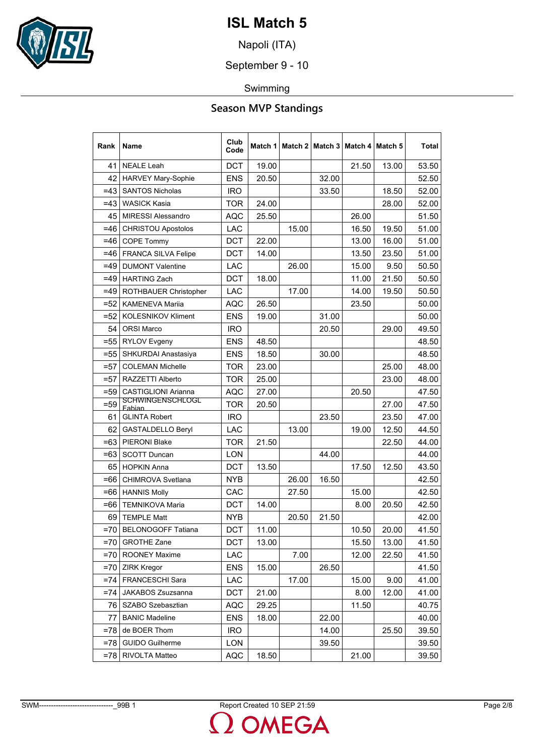

Napoli (ITA)

September 9 - 10

Swimming

### **Season MVP Standings**

| Rank   | Name                              | Club<br>Code | Match 1 |       | Match 2   Match 3 | Match 4 | Match 5 | Total |
|--------|-----------------------------------|--------------|---------|-------|-------------------|---------|---------|-------|
| 41     | <b>NEALE Leah</b>                 | <b>DCT</b>   | 19.00   |       |                   | 21.50   | 13.00   | 53.50 |
| 42     | HARVEY Mary-Sophie                | <b>ENS</b>   | 20.50   |       | 32.00             |         |         | 52.50 |
| $=43$  | <b>SANTOS Nicholas</b>            | <b>IRO</b>   |         |       | 33.50             |         | 18.50   | 52.00 |
| $=43$  | <b>WASICK Kasia</b>               | TOR          | 24.00   |       |                   |         | 28.00   | 52.00 |
| 45     | <b>MIRESSI Alessandro</b>         | AQC          | 25.50   |       |                   | 26.00   |         | 51.50 |
| $=46$  | <b>CHRISTOU Apostolos</b>         | <b>LAC</b>   |         | 15.00 |                   | 16.50   | 19.50   | 51.00 |
| $=46$  | <b>COPE Tommy</b>                 | <b>DCT</b>   | 22.00   |       |                   | 13.00   | 16.00   | 51.00 |
| $=46$  | <b>FRANCA SILVA Felipe</b>        | <b>DCT</b>   | 14.00   |       |                   | 13.50   | 23.50   | 51.00 |
| $=49$  | <b>DUMONT Valentine</b>           | <b>LAC</b>   |         | 26.00 |                   | 15.00   | 9.50    | 50.50 |
| $=49$  | <b>HARTING Zach</b>               | <b>DCT</b>   | 18.00   |       |                   | 11.00   | 21.50   | 50.50 |
| $=49$  | ROTHBAUER Christopher             | <b>LAC</b>   |         | 17.00 |                   | 14.00   | 19.50   | 50.50 |
| $= 52$ | <b>KAMENEVA Mariia</b>            | AQC          | 26.50   |       |                   | 23.50   |         | 50.00 |
| $= 52$ | KOLESNIKOV Kliment                | <b>ENS</b>   | 19.00   |       | 31.00             |         |         | 50.00 |
| 54     | <b>ORSI Marco</b>                 | <b>IRO</b>   |         |       | 20.50             |         | 29.00   | 49.50 |
| $= 55$ | <b>RYLOV Evgeny</b>               | <b>ENS</b>   | 48.50   |       |                   |         |         | 48.50 |
| $= 55$ | SHKURDAI Anastasiya               | <b>ENS</b>   | 18.50   |       | 30.00             |         |         | 48.50 |
| $= 57$ | <b>COLEMAN Michelle</b>           | <b>TOR</b>   | 23.00   |       |                   |         | 25.00   | 48.00 |
| $= 57$ | RAZZETTI Alberto                  | <b>TOR</b>   | 25.00   |       |                   |         | 23.00   | 48.00 |
| $=59$  | <b>CASTIGLIONI Arianna</b>        | AQC          | 27.00   |       |                   | 20.50   |         | 47.50 |
| $= 59$ | <u>SCHWINGENSCHLOGL</u><br>Fabian | TOR          | 20.50   |       |                   |         | 27.00   | 47.50 |
| 61     | <b>GLINTA Robert</b>              | <b>IRO</b>   |         |       | 23.50             |         | 23.50   | 47.00 |
| 62     | <b>GASTALDELLO Beryl</b>          | LAC          |         | 13.00 |                   | 19.00   | 12.50   | 44.50 |
| $=63$  | PIERONI Blake                     | <b>TOR</b>   | 21.50   |       |                   |         | 22.50   | 44.00 |
| $=63$  | <b>SCOTT Duncan</b>               | <b>LON</b>   |         |       | 44.00             |         |         | 44.00 |
| 65     | <b>HOPKIN Anna</b>                | <b>DCT</b>   | 13.50   |       |                   | 17.50   | 12.50   | 43.50 |
| $=66$  | CHIMROVA Svetlana                 | <b>NYB</b>   |         | 26.00 | 16.50             |         |         | 42.50 |
| $=66$  | <b>HANNIS Molly</b>               | CAC          |         | 27.50 |                   | 15.00   |         | 42.50 |
| $=66$  | <b>TEMNIKOVA Maria</b>            | <b>DCT</b>   | 14.00   |       |                   | 8.00    | 20.50   | 42.50 |
| 69     | <b>TEMPLE Matt</b>                | <b>NYB</b>   |         | 20.50 | 21.50             |         |         | 42.00 |
| $=70$  | <b>BELONOGOFF Tatiana</b>         | <b>DCT</b>   | 11.00   |       |                   | 10.50   | 20.00   | 41.50 |
| $=70$  | <b>GROTHE Zane</b>                | DCT          | 13.00   |       |                   | 15.50   | 13.00   | 41.50 |
| $= 70$ | <b>ROONEY Maxime</b>              | LAC          |         | 7.00  |                   | 12.00   | 22.50   | 41.50 |
| $=70$  | <b>ZIRK Kregor</b>                | <b>ENS</b>   | 15.00   |       | 26.50             |         |         | 41.50 |
| $= 74$ | FRANCESCHI Sara                   | LAC          |         | 17.00 |                   | 15.00   | 9.00    | 41.00 |
| $= 74$ | JAKABOS Zsuzsanna                 | DCT          | 21.00   |       |                   | 8.00    | 12.00   | 41.00 |
| 76     | SZABO Szebasztian                 | AQC          | 29.25   |       |                   | 11.50   |         | 40.75 |
| 77     | <b>BANIC Madeline</b>             | <b>ENS</b>   | 18.00   |       | 22.00             |         |         | 40.00 |
| $=78$  | de BOER Thom                      | <b>IRO</b>   |         |       | 14.00             |         | 25.50   | 39.50 |
| $= 78$ | <b>GUIDO Guilherme</b>            | LON          |         |       | 39.50             |         |         | 39.50 |
| $= 78$ | RIVOLTA Matteo                    | AQC          | 18.50   |       |                   | 21.00   |         | 39.50 |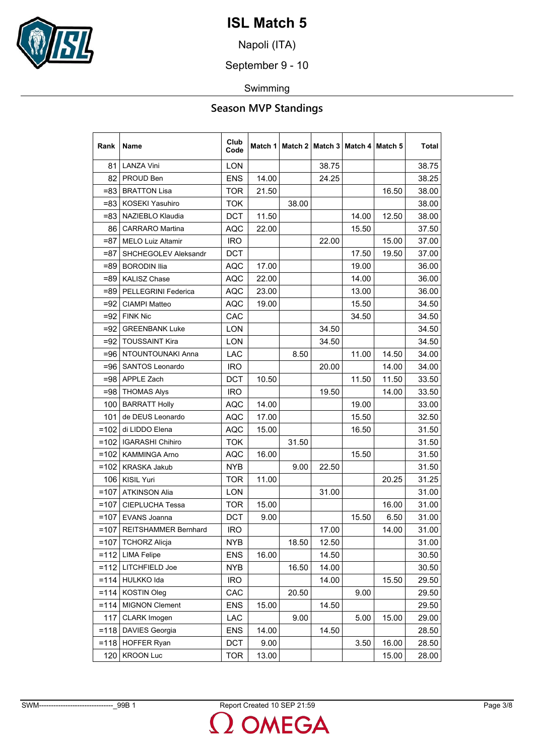

Napoli (ITA)

September 9 - 10

Swimming

### **Season MVP Standings**

| Rank    | Name                        | Club<br>Code | Match 1 |       | Match 2   Match 3 |       | Match 4   Match 5 | Total |
|---------|-----------------------------|--------------|---------|-------|-------------------|-------|-------------------|-------|
| 81      | <b>LANZA Vini</b>           | <b>LON</b>   |         |       | 38.75             |       |                   | 38.75 |
| 82      | PROUD Ben                   | <b>ENS</b>   | 14.00   |       | 24.25             |       |                   | 38.25 |
| $= 83$  | <b>BRATTON Lisa</b>         | <b>TOR</b>   | 21.50   |       |                   |       | 16.50             | 38.00 |
| $= 83$  | <b>KOSEKI Yasuhiro</b>      | TOK.         |         | 38.00 |                   |       |                   | 38.00 |
| $= 83$  | NAZIEBLO Klaudia            | <b>DCT</b>   | 11.50   |       |                   | 14.00 | 12.50             | 38.00 |
| 86      | <b>CARRARO</b> Martina      | <b>AQC</b>   | 22.00   |       |                   | 15.50 |                   | 37.50 |
| $= 87$  | <b>MELO Luiz Altamir</b>    | <b>IRO</b>   |         |       | 22.00             |       | 15.00             | 37.00 |
| $= 87$  | <b>SHCHEGOLEV Aleksandr</b> | <b>DCT</b>   |         |       |                   | 17.50 | 19.50             | 37.00 |
| $=89$   | <b>BORODIN Ilia</b>         | <b>AQC</b>   | 17.00   |       |                   | 19.00 |                   | 36.00 |
| $=89$   | <b>KALISZ Chase</b>         | AQC          | 22.00   |       |                   | 14.00 |                   | 36.00 |
| $= 89$  | PELLEGRINI Federica         | AQC          | 23.00   |       |                   | 13.00 |                   | 36.00 |
| $= 92$  | CIAMPI Matteo               | <b>AQC</b>   | 19.00   |       |                   | 15.50 |                   | 34.50 |
| $=92$   | <b>FINK Nic</b>             | CAC          |         |       |                   | 34.50 |                   | 34.50 |
| $=92$   | <b>GREENBANK Luke</b>       | <b>LON</b>   |         |       | 34.50             |       |                   | 34.50 |
| $= 92$  | <b>TOUSSAINT Kira</b>       | <b>LON</b>   |         |       | 34.50             |       |                   | 34.50 |
|         | =96   NTOUNTOUNAKI Anna     | LAC          |         | 8.50  |                   | 11.00 | 14.50             | 34.00 |
| $= 96$  | <b>SANTOS Leonardo</b>      | <b>IRO</b>   |         |       | 20.00             |       | 14.00             | 34.00 |
|         | =98 APPLE Zach              | <b>DCT</b>   | 10.50   |       |                   | 11.50 | 11.50             | 33.50 |
| $= 98$  | <b>THOMAS Alys</b>          | <b>IRO</b>   |         |       | 19.50             |       | 14.00             | 33.50 |
| 100     | <b>BARRATT Holly</b>        | <b>AQC</b>   | 14.00   |       |                   | 19.00 |                   | 33.00 |
| 101     | de DEUS Leonardo            | <b>AQC</b>   | 17.00   |       |                   | 15.50 |                   | 32.50 |
| $=102$  | di LIDDO Elena              | AQC          | 15.00   |       |                   | 16.50 |                   | 31.50 |
| $=102$  | <b>IGARASHI Chihiro</b>     | <b>TOK</b>   |         | 31.50 |                   |       |                   | 31.50 |
|         | =102   KAMMINGA Arno        | <b>AQC</b>   | 16.00   |       |                   | 15.50 |                   | 31.50 |
|         | =102   KRASKA Jakub         | NYB          |         | 9.00  | 22.50             |       |                   | 31.50 |
| 106     | <b>KISIL Yuri</b>           | <b>TOR</b>   | 11.00   |       |                   |       | 20.25             | 31.25 |
| $=107$  | <b>ATKINSON Alia</b>        | <b>LON</b>   |         |       | 31.00             |       |                   | 31.00 |
| $=107$  | <b>CIEPLUCHA Tessa</b>      | <b>TOR</b>   | 15.00   |       |                   |       | 16.00             | 31.00 |
| $=107$  | EVANS Joanna                | <b>DCT</b>   | 9.00    |       |                   | 15.50 | 6.50              | 31.00 |
| $=107$  | REITSHAMMER Bernhard        | <b>IRO</b>   |         |       | 17.00             |       | 14.00             | 31.00 |
| $=107$  | <b>TCHORZ Alicja</b>        | NYB          |         | 18.50 | 12.50             |       |                   | 31.00 |
|         | =112   LIMA Felipe          | <b>ENS</b>   | 16.00   |       | 14.50             |       |                   | 30.50 |
|         | $=112$ LITCHFIELD Joe       | <b>NYB</b>   |         | 16.50 | 14.00             |       |                   | 30.50 |
|         | $=114$ HULKKO Ida           | <b>IRO</b>   |         |       | 14.00             |       | 15.50             | 29.50 |
| $= 114$ | <b>KOSTIN Oleg</b>          | CAC          |         | 20.50 |                   | 9.00  |                   | 29.50 |
| $= 114$ | <b>MIGNON Clement</b>       | <b>ENS</b>   | 15.00   |       | 14.50             |       |                   | 29.50 |
| 117     | <b>CLARK</b> Imogen         | LAC          |         | 9.00  |                   | 5.00  | 15.00             | 29.00 |
| $=118$  | DAVIES Georgia              | <b>ENS</b>   | 14.00   |       | 14.50             |       |                   | 28.50 |
|         | $=118$ HOFFER Ryan          | <b>DCT</b>   | 9.00    |       |                   | 3.50  | 16.00             | 28.50 |
| 120     | <b>KROON Luc</b>            | <b>TOR</b>   | 13.00   |       |                   |       | 15.00             | 28.00 |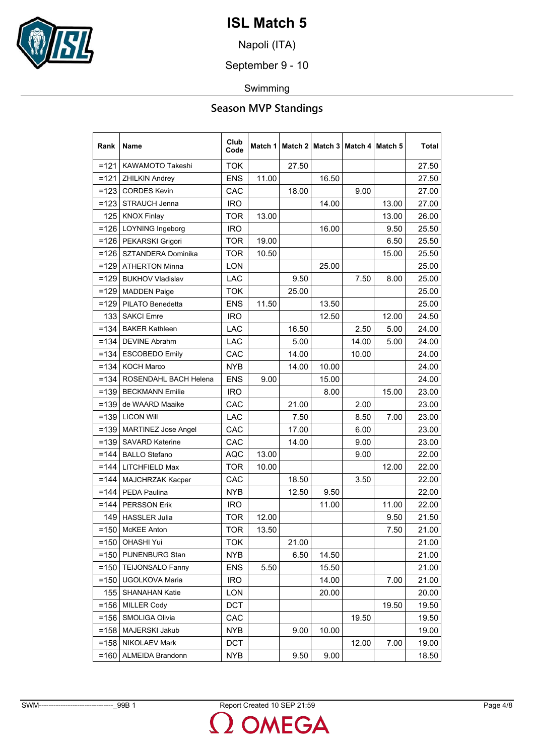

Napoli (ITA)

September 9 - 10

Swimming

### **Season MVP Standings**

| Rank    | Name                       | Club<br>Code | Match 1 | Match 2 | Match $3 $ |       | Match 4   Match 5 | Total |
|---------|----------------------------|--------------|---------|---------|------------|-------|-------------------|-------|
| $=121$  | KAWAMOTO Takeshi           | <b>TOK</b>   |         | 27.50   |            |       |                   | 27.50 |
| $=121$  | <b>ZHILKIN Andrey</b>      | <b>ENS</b>   | 11.00   |         | 16.50      |       |                   | 27.50 |
| $=123$  | <b>CORDES Kevin</b>        | CAC          |         | 18.00   |            | 9.00  |                   | 27.00 |
|         | $=123$ STRAUCH Jenna       | <b>IRO</b>   |         |         | 14.00      |       | 13.00             | 27.00 |
|         | 125 KNOX Finlay            | TOR          | 13.00   |         |            |       | 13.00             | 26.00 |
|         | =126   LOYNING Ingeborg    | <b>IRO</b>   |         |         | 16.00      |       | 9.50              | 25.50 |
|         | =126   PEKARSKI Grigori    | TOR.         | 19.00   |         |            |       | 6.50              | 25.50 |
| $=126$  | SZTANDERA Dominika         | <b>TOR</b>   | 10.50   |         |            |       | 15.00             | 25.50 |
|         | $=$ 129   ATHERTON Minna   | <b>LON</b>   |         |         | 25.00      |       |                   | 25.00 |
|         | =129   BUKHOV Vladislav    | LAC          |         | 9.50    |            | 7.50  | 8.00              | 25.00 |
| $=129$  | <b>MADDEN Paige</b>        | <b>TOK</b>   |         | 25.00   |            |       |                   | 25.00 |
|         | =129   PILATO Benedetta    | <b>ENS</b>   | 11.50   |         | 13.50      |       |                   | 25.00 |
| 133     | <b>SAKCI Emre</b>          | <b>IRO</b>   |         |         | 12.50      |       | 12.00             | 24.50 |
| $= 134$ | <b>BAKER Kathleen</b>      | LAC          |         | 16.50   |            | 2.50  | 5.00              | 24.00 |
| $= 134$ | <b>DEVINE Abrahm</b>       | LAC          |         | 5.00    |            | 14.00 | 5.00              | 24.00 |
|         | =134 ESCOBEDO Emily        | <b>CAC</b>   |         | 14.00   |            | 10.00 |                   | 24.00 |
| $= 134$ | <b>KOCH Marco</b>          | <b>NYB</b>   |         | 14.00   | 10.00      |       |                   | 24.00 |
| $=134$  | ROSENDAHL BACH Helena      | <b>ENS</b>   | 9.00    |         | 15.00      |       |                   | 24.00 |
|         | =139   BECKMANN Emilie     | <b>IRO</b>   |         |         | 8.00       |       | 15.00             | 23.00 |
| $=139$  | de WAARD Maaike            | CAC          |         | 21.00   |            | 2.00  |                   | 23.00 |
|         | $=139$ LICON Will          | LAC          |         | 7.50    |            | 8.50  | 7.00              | 23.00 |
|         | =139   MARTINEZ Jose Angel | <b>CAC</b>   |         | 17.00   |            | 6.00  |                   | 23.00 |
| $= 139$ | <b>SAVARD Katerine</b>     | <b>CAC</b>   |         | 14.00   |            | 9.00  |                   | 23.00 |
| $= 144$ | <b>BALLO Stefano</b>       | <b>AQC</b>   | 13.00   |         |            | 9.00  |                   | 22.00 |
| $= 144$ | LITCHFIELD Max             | <b>TOR</b>   | 10.00   |         |            |       | 12.00             | 22.00 |
| $= 144$ | <b>MAJCHRZAK Kacper</b>    | CAC          |         | 18.50   |            | 3.50  |                   | 22.00 |
|         | $=$ 144   PEDA Paulina     | <b>NYB</b>   |         | 12.50   | 9.50       |       |                   | 22.00 |
|         | $=144$   PERSSON Erik      | <b>IRO</b>   |         |         | 11.00      |       | 11.00             | 22.00 |
| 149     | <b>HASSLER Julia</b>       | <b>TOR</b>   | 12.00   |         |            |       | 9.50              | 21.50 |
|         | $=150$ McKEE Anton         | <b>TOR</b>   | 13.50   |         |            |       | 7.50              | 21.00 |
| $= 150$ | <b>OHASHI Yui</b>          | <b>TOK</b>   |         | 21.00   |            |       |                   | 21.00 |
|         | $=150$ PIJNENBURG Stan     | <b>NYB</b>   |         | 6.50    | 14.50      |       |                   | 21.00 |
|         | =150   TEIJONSALO Fanny    | <b>ENS</b>   | 5.50    |         | 15.50      |       |                   | 21.00 |
|         | =150 UGOLKOVA Maria        | <b>IRO</b>   |         |         | 14.00      |       | 7.00              | 21.00 |
| 155     | <b>SHANAHAN Katie</b>      | LON          |         |         | 20.00      |       |                   | 20.00 |
|         | $=156$ MILLER Cody         | <b>DCT</b>   |         |         |            |       | 19.50             | 19.50 |
| $= 156$ | SMOLIGA Olivia             | CAC          |         |         |            | 19.50 |                   | 19.50 |
| $= 158$ | MAJERSKI Jakub             | <b>NYB</b>   |         | 9.00    | 10.00      |       |                   | 19.00 |
|         | =158   NIKOLAEV Mark       | <b>DCT</b>   |         |         |            | 12.00 | 7.00              | 19.00 |
| $= 160$ | ALMEIDA Brandonn           | NYB          |         | 9.50    | 9.00       |       |                   | 18.50 |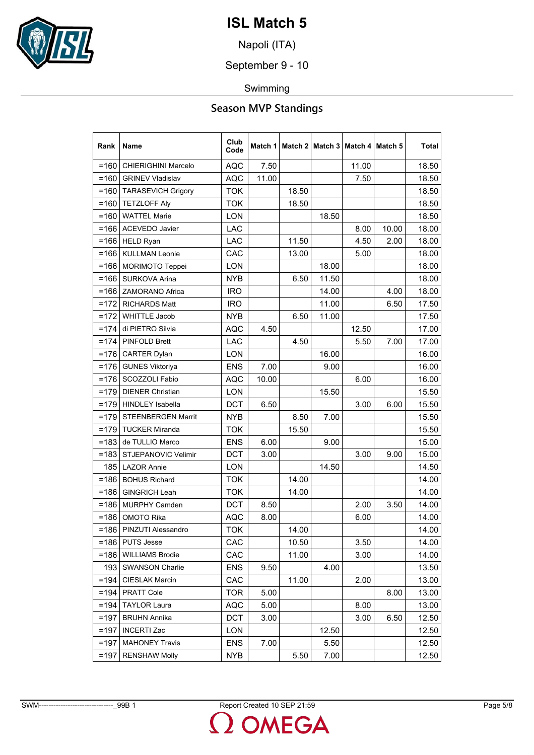

Napoli (ITA)

September 9 - 10

Swimming

### **Season MVP Standings**

| Rank    | Name                       | Club<br>Code | Match 1 |       | Match 2   Match 3 | Match 4 | Match 5 | Total |
|---------|----------------------------|--------------|---------|-------|-------------------|---------|---------|-------|
| $= 160$ | <b>CHIERIGHINI Marcelo</b> | AQC          | 7.50    |       |                   | 11.00   |         | 18.50 |
| $= 160$ | <b>GRINEV Vladislav</b>    | <b>AQC</b>   | 11.00   |       |                   | 7.50    |         | 18.50 |
| $= 160$ | <b>TARASEVICH Grigory</b>  | <b>TOK</b>   |         | 18.50 |                   |         |         | 18.50 |
| $= 160$ | <b>TETZLOFF Aly</b>        | <b>TOK</b>   |         | 18.50 |                   |         |         | 18.50 |
| $=160$  | <b>WATTEL Marie</b>        | <b>LON</b>   |         |       | 18.50             |         |         | 18.50 |
| $= 166$ | <b>ACEVEDO Javier</b>      | <b>LAC</b>   |         |       |                   | 8.00    | 10.00   | 18.00 |
| $= 166$ | <b>HELD Ryan</b>           | LAC          |         | 11.50 |                   | 4.50    | 2.00    | 18.00 |
| $= 166$ | <b>KULLMAN Leonie</b>      | CAC          |         | 13.00 |                   | 5.00    |         | 18.00 |
| $= 166$ | <b>MORIMOTO Teppei</b>     | <b>LON</b>   |         |       | 18.00             |         |         | 18.00 |
| $= 166$ | SURKOVA Arina              | NYB          |         | 6.50  | 11.50             |         |         | 18.00 |
| $= 166$ | <b>ZAMORANO Africa</b>     | <b>IRO</b>   |         |       | 14.00             |         | 4.00    | 18.00 |
|         | $=172$ RICHARDS Matt       | <b>IRO</b>   |         |       | 11.00             |         | 6.50    | 17.50 |
| $=172$  | <b>WHITTLE Jacob</b>       | NYB          |         | 6.50  | 11.00             |         |         | 17.50 |
| $=174$  | di PIETRO Silvia           | <b>AQC</b>   | 4.50    |       |                   | 12.50   |         | 17.00 |
| $= 174$ | <b>PINFOLD Brett</b>       | <b>LAC</b>   |         | 4.50  |                   | 5.50    | 7.00    | 17.00 |
| $= 176$ | <b>CARTER Dylan</b>        | LON          |         |       | 16.00             |         |         | 16.00 |
| $= 176$ | <b>GUNES Viktoriya</b>     | <b>ENS</b>   | 7.00    |       | 9.00              |         |         | 16.00 |
| $= 176$ | SCOZZOLI Fabio             | <b>AQC</b>   | 10.00   |       |                   | 6.00    |         | 16.00 |
| $=179$  | <b>DIENER Christian</b>    | LON          |         |       | 15.50             |         |         | 15.50 |
| $=179$  | <b>HINDLEY Isabella</b>    | <b>DCT</b>   | 6.50    |       |                   | 3.00    | 6.00    | 15.50 |
| $=179$  | <b>STEENBERGEN Marrit</b>  | <b>NYB</b>   |         | 8.50  | 7.00              |         |         | 15.50 |
| $=179$  | <b>TUCKER Miranda</b>      | <b>TOK</b>   |         | 15.50 |                   |         |         | 15.50 |
| $=183$  | de TULLIO Marco            | <b>ENS</b>   | 6.00    |       | 9.00              |         |         | 15.00 |
| $= 183$ | STJEPANOVIC Velimir        | <b>DCT</b>   | 3.00    |       |                   | 3.00    | 9.00    | 15.00 |
| 185     | <b>LAZOR Annie</b>         | LON          |         |       | 14.50             |         |         | 14.50 |
| $= 186$ | <b>BOHUS Richard</b>       | <b>TOK</b>   |         | 14.00 |                   |         |         | 14.00 |
| $=186$  | <b>GINGRICH Leah</b>       | <b>TOK</b>   |         | 14.00 |                   |         |         | 14.00 |
| $= 186$ | <b>MURPHY Camden</b>       | <b>DCT</b>   | 8.50    |       |                   | 2.00    | 3.50    | 14.00 |
| $= 186$ | <b>OMOTO Rika</b>          | <b>AQC</b>   | 8.00    |       |                   | 6.00    |         | 14.00 |
|         | =186   PINZUTI Alessandro  | <b>TOK</b>   |         | 14.00 |                   |         |         | 14.00 |
|         | =186   PUTS Jesse          | CAC          |         | 10.50 |                   | 3.50    |         | 14.00 |
|         | =186   WILLIAMS Brodie     | CAC          |         | 11.00 |                   | 3.00    |         | 14.00 |
| 193     | <b>SWANSON Charlie</b>     | ENS          | 9.50    |       | 4.00              |         |         | 13.50 |
| $= 194$ | <b>CIESLAK Marcin</b>      | CAC          |         | 11.00 |                   | 2.00    |         | 13.00 |
| $= 194$ | PRATT Cole                 | <b>TOR</b>   | 5.00    |       |                   |         | 8.00    | 13.00 |
| $=194$  | <b>TAYLOR Laura</b>        | <b>AQC</b>   | 5.00    |       |                   | 8.00    |         | 13.00 |
| $=197$  | <b>BRUHN Annika</b>        | <b>DCT</b>   | 3.00    |       |                   | 3.00    | 6.50    | 12.50 |
| $=197$  | <b>INCERTI Zac</b>         | LON          |         |       | 12.50             |         |         | 12.50 |
| $=197$  | <b>MAHONEY Travis</b>      | <b>ENS</b>   | 7.00    |       | 5.50              |         |         | 12.50 |
| $=197$  | <b>RENSHAW Molly</b>       | NYB          |         | 5.50  | 7.00              |         |         | 12.50 |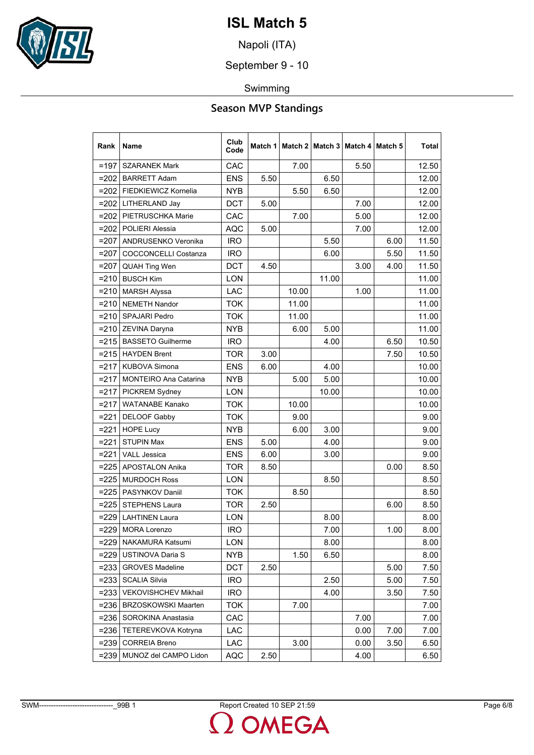

Napoli (ITA)

September 9 - 10

Swimming

### **Season MVP Standings**

| Rank    | <b>Name</b>                  | Club<br>Code | Match 1 |       | Match 2   Match 3   Match 4   Match 5 |      |      | Total |
|---------|------------------------------|--------------|---------|-------|---------------------------------------|------|------|-------|
| $=197$  | <b>SZARANEK Mark</b>         | CAC          |         | 7.00  |                                       | 5.50 |      | 12.50 |
| $= 202$ | <b>BARRETT Adam</b>          | <b>ENS</b>   | 5.50    |       | 6.50                                  |      |      | 12.00 |
| $= 202$ | FIEDKIEWICZ Kornelia         | <b>NYB</b>   |         | 5.50  | 6.50                                  |      |      | 12.00 |
|         | =202   LITHERLAND Jay        | <b>DCT</b>   | 5.00    |       |                                       | 7.00 |      | 12.00 |
| $=202$  | PIETRUSCHKA Marie            | CAC          |         | 7.00  |                                       | 5.00 |      | 12.00 |
| $= 202$ | POLIERI Alessia              | <b>AQC</b>   | 5.00    |       |                                       | 7.00 |      | 12.00 |
| $= 207$ | ANDRUSENKO Veronika          | <b>IRO</b>   |         |       | 5.50                                  |      | 6.00 | 11.50 |
| $= 207$ | <b>COCCONCELLI Costanza</b>  | <b>IRO</b>   |         |       | 6.00                                  |      | 5.50 | 11.50 |
| $= 207$ | <b>QUAH Ting Wen</b>         | <b>DCT</b>   | 4.50    |       |                                       | 3.00 | 4.00 | 11.50 |
| $= 210$ | <b>BUSCH Kim</b>             | <b>LON</b>   |         |       | 11.00                                 |      |      | 11.00 |
| $= 210$ | <b>MARSH Alyssa</b>          | <b>LAC</b>   |         | 10.00 |                                       | 1.00 |      | 11.00 |
|         | =210   NEMETH Nandor         | <b>TOK</b>   |         | 11.00 |                                       |      |      | 11.00 |
| $= 210$ | <b>SPAJARI Pedro</b>         | <b>TOK</b>   |         | 11.00 |                                       |      |      | 11.00 |
| $= 210$ | ZEVINA Daryna                | <b>NYB</b>   |         | 6.00  | 5.00                                  |      |      | 11.00 |
|         | =215   BASSETO Guilherme     | <b>IRO</b>   |         |       | 4.00                                  |      | 6.50 | 10.50 |
| $= 215$ | <b>HAYDEN Brent</b>          | <b>TOR</b>   | 3.00    |       |                                       |      | 7.50 | 10.50 |
| $= 217$ | KUBOVA Simona                | <b>ENS</b>   | 6.00    |       | 4.00                                  |      |      | 10.00 |
| $= 217$ | <b>MONTEIRO Ana Catarina</b> | <b>NYB</b>   |         | 5.00  | 5.00                                  |      |      | 10.00 |
| $= 217$ | PICKREM Sydney               | LON          |         |       | 10.00                                 |      |      | 10.00 |
| $= 217$ | <b>WATANABE Kanako</b>       | <b>TOK</b>   |         | 10.00 |                                       |      |      | 10.00 |
| $= 221$ | DELOOF Gabby                 | <b>TOK</b>   |         | 9.00  |                                       |      |      | 9.00  |
| $= 221$ | <b>HOPE Lucy</b>             | <b>NYB</b>   |         | 6.00  | 3.00                                  |      |      | 9.00  |
| $= 221$ | <b>STUPIN Max</b>            | <b>ENS</b>   | 5.00    |       | 4.00                                  |      |      | 9.00  |
| $= 221$ | <b>VALL Jessica</b>          | <b>ENS</b>   | 6.00    |       | 3.00                                  |      |      | 9.00  |
| $= 225$ | <b>APOSTALON Anika</b>       | <b>TOR</b>   | 8.50    |       |                                       |      | 0.00 | 8.50  |
| $= 225$ | <b>MURDOCH Ross</b>          | <b>LON</b>   |         |       | 8.50                                  |      |      | 8.50  |
|         | =225   PASYNKOV Daniil       | <b>TOK</b>   |         | 8.50  |                                       |      |      | 8.50  |
| $= 225$ | <b>STEPHENS Laura</b>        | <b>TOR</b>   | 2.50    |       |                                       |      | 6.00 | 8.50  |
| $= 229$ | <b>LAHTINEN Laura</b>        | LON          |         |       | 8.00                                  |      |      | 8.00  |
| $= 229$ | <b>MORA Lorenzo</b>          | <b>IRO</b>   |         |       | 7.00                                  |      | 1.00 | 8.00  |
| $= 229$ | NAKAMURA Katsumi             | LON          |         |       | 8.00                                  |      |      | 8.00  |
| $= 229$ | <b>USTINOVA Daria S</b>      | NYB          |         | 1.50  | 6.50                                  |      |      | 8.00  |
| $= 233$ | <b>GROVES Madeline</b>       | <b>DCT</b>   | 2.50    |       |                                       |      | 5.00 | 7.50  |
| $= 233$ | <b>SCALIA Silvia</b>         | <b>IRO</b>   |         |       | 2.50                                  |      | 5.00 | 7.50  |
| $= 233$ | <b>VEKOVISHCHEV Mikhail</b>  | <b>IRO</b>   |         |       | 4.00                                  |      | 3.50 | 7.50  |
| $= 236$ | <b>BRZOSKOWSKI Maarten</b>   | <b>TOK</b>   |         | 7.00  |                                       |      |      | 7.00  |
| $= 236$ | SOROKINA Anastasia           | CAC          |         |       |                                       | 7.00 |      | 7.00  |
| $= 236$ | TETEREVKOVA Kotryna          | LAC.         |         |       |                                       | 0.00 | 7.00 | 7.00  |
| $= 239$ | <b>CORREIA Breno</b>         | LAC          |         | 3.00  |                                       | 0.00 | 3.50 | 6.50  |
| $= 239$ | MUNOZ del CAMPO Lidon        | AQC          | 2.50    |       |                                       | 4.00 |      | 6.50  |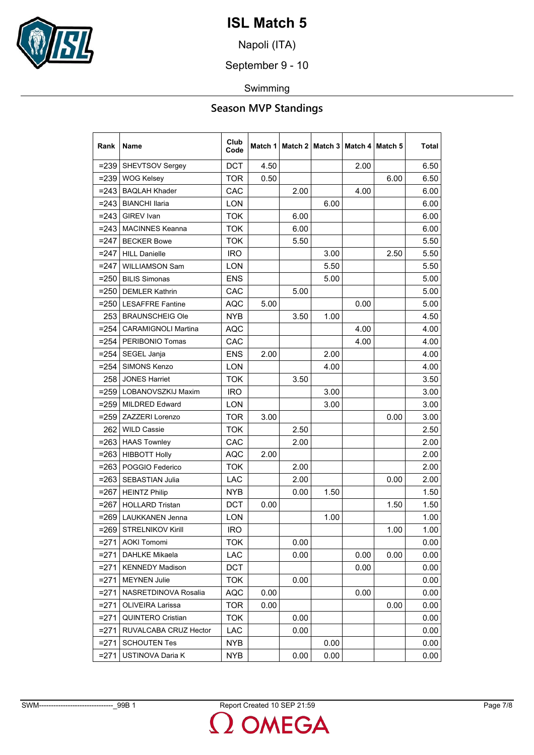

Napoli (ITA)

September 9 - 10

Swimming

### **Season MVP Standings**

| Rank    | Name                       | Club<br>Code | Match 1 |      | Match 2   Match 3 |      | Match 4   Match 5 | Total |
|---------|----------------------------|--------------|---------|------|-------------------|------|-------------------|-------|
| $= 239$ | <b>SHEVTSOV Sergey</b>     | <b>DCT</b>   | 4.50    |      |                   | 2.00 |                   | 6.50  |
| $= 239$ | <b>WOG Kelsey</b>          | <b>TOR</b>   | 0.50    |      |                   |      | 6.00              | 6.50  |
| $= 243$ | <b>BAQLAH Khader</b>       | <b>CAC</b>   |         | 2.00 |                   | 4.00 |                   | 6.00  |
| $= 243$ | <b>BIANCHI Ilaria</b>      | LON          |         |      | 6.00              |      |                   | 6.00  |
| $= 243$ | <b>GIREV</b> Ivan          | <b>TOK</b>   |         | 6.00 |                   |      |                   | 6.00  |
|         | =243   MACINNES Keanna     | <b>TOK</b>   |         | 6.00 |                   |      |                   | 6.00  |
| $= 247$ | <b>BECKER Bowe</b>         | <b>TOK</b>   |         | 5.50 |                   |      |                   | 5.50  |
| $= 247$ | <b>HILL Danielle</b>       | <b>IRO</b>   |         |      | 3.00              |      | 2.50              | 5.50  |
| $= 247$ | <b>WILLIAMSON Sam</b>      | <b>LON</b>   |         |      | 5.50              |      |                   | 5.50  |
| $= 250$ | <b>BILIS Simonas</b>       | ENS          |         |      | 5.00              |      |                   | 5.00  |
| $= 250$ | <b>DEMLER Kathrin</b>      | CAC          |         | 5.00 |                   |      |                   | 5.00  |
|         | =250   LESAFFRE Fantine    | <b>AQC</b>   | 5.00    |      |                   | 0.00 |                   | 5.00  |
| 253     | <b>BRAUNSCHEIG Ole</b>     | NYB          |         | 3.50 | 1.00              |      |                   | 4.50  |
| $= 254$ | <b>CARAMIGNOLI Martina</b> | AQC          |         |      |                   | 4.00 |                   | 4.00  |
|         | =254   PERIBONIO Tomas     | CAC          |         |      |                   | 4.00 |                   | 4.00  |
| $= 254$ | SEGEL Janja                | ENS          | 2.00    |      | 2.00              |      |                   | 4.00  |
| $= 254$ | SIMONS Kenzo               | <b>LON</b>   |         |      | 4.00              |      |                   | 4.00  |
| 258     | <b>JONES Harriet</b>       | <b>TOK</b>   |         | 3.50 |                   |      |                   | 3.50  |
|         | =259   LOBANOVSZKIJ Maxim  | <b>IRO</b>   |         |      | 3.00              |      |                   | 3.00  |
| $= 259$ | <b>MILDRED Edward</b>      | <b>LON</b>   |         |      | 3.00              |      |                   | 3.00  |
|         | =259 ZAZZERI Lorenzo       | <b>TOR</b>   | 3.00    |      |                   |      | 0.00              | 3.00  |
| 262     | <b>WILD Cassie</b>         | <b>TOK</b>   |         | 2.50 |                   |      |                   | 2.50  |
| $= 263$ | <b>HAAS Townley</b>        | <b>CAC</b>   |         | 2.00 |                   |      |                   | 2.00  |
|         | $= 263$ HIBBOTT Holly      | <b>AQC</b>   | 2.00    |      |                   |      |                   | 2.00  |
|         | =263   POGGIO Federico     | <b>TOK</b>   |         | 2.00 |                   |      |                   | 2.00  |
|         | =263   SEBASTIAN Julia     | LAC          |         | 2.00 |                   |      | 0.00              | 2.00  |
| $= 267$ | <b>HEINTZ Philip</b>       | <b>NYB</b>   |         | 0.00 | 1.50              |      |                   | 1.50  |
| $= 267$ | <b>HOLLARD Tristan</b>     | <b>DCT</b>   | 0.00    |      |                   |      | 1.50              | 1.50  |
|         | =269   LAUKKANEN Jenna     | LON          |         |      | 1.00              |      |                   | 1.00  |
|         | $=$ 269 STRELNIKOV Kirill  | <b>IRO</b>   |         |      |                   |      | 1.00              | 1.00  |
| $= 271$ | <b>AOKI Tomomi</b>         | TOK          |         | 0.00 |                   |      |                   | 0.00  |
| $= 271$ | <b>DAHLKE Mikaela</b>      | LAC          |         | 0.00 |                   | 0.00 | 0.00              | 0.00  |
|         | =271   KENNEDY Madison     | <b>DCT</b>   |         |      |                   | 0.00 |                   | 0.00  |
| $= 271$ | <b>MEYNEN Julie</b>        | <b>TOK</b>   |         | 0.00 |                   |      |                   | 0.00  |
| $= 271$ | NASRETDINOVA Rosalia       | <b>AQC</b>   | 0.00    |      |                   | 0.00 |                   | 0.00  |
| $= 271$ | <b>OLIVEIRA Larissa</b>    | <b>TOR</b>   | 0.00    |      |                   |      | 0.00              | 0.00  |
| $= 271$ | <b>QUINTERO Cristian</b>   | <b>TOK</b>   |         | 0.00 |                   |      |                   | 0.00  |
| $= 271$ | RUVALCABA CRUZ Hector      | LAC          |         | 0.00 |                   |      |                   | 0.00  |
| $= 271$ | <b>SCHOUTEN Tes</b>        | NYB          |         |      | 0.00              |      |                   | 0.00  |
| $= 271$ | USTINOVA Daria K           | NYB          |         | 0.00 | 0.00              |      |                   | 0.00  |